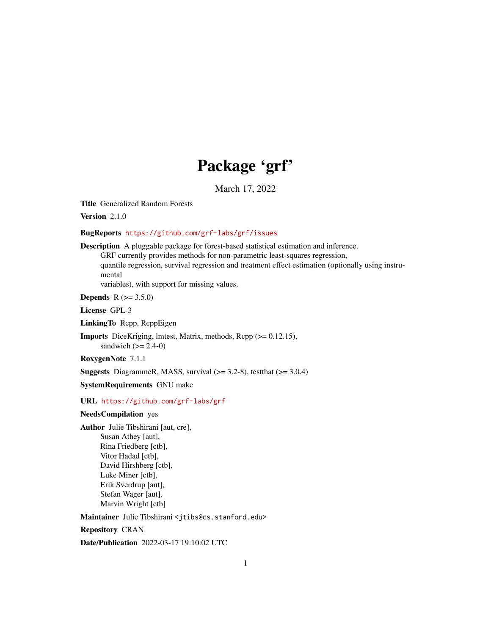# Package 'grf'

March 17, 2022

Title Generalized Random Forests

Version 2.1.0

BugReports <https://github.com/grf-labs/grf/issues>

Description A pluggable package for forest-based statistical estimation and inference.

GRF currently provides methods for non-parametric least-squares regression, quantile regression, survival regression and treatment effect estimation (optionally using instrumental

variables), with support for missing values.

**Depends**  $R (= 3.5.0)$ 

License GPL-3

LinkingTo Rcpp, RcppEigen

Imports DiceKriging, lmtest, Matrix, methods, Rcpp (>= 0.12.15), sandwich  $(>= 2.4-0)$ 

RoxygenNote 7.1.1

**Suggests** DiagrammeR, MASS, survival  $(>= 3.2-8)$ , test that  $(>= 3.0.4)$ 

SystemRequirements GNU make

URL <https://github.com/grf-labs/grf>

# NeedsCompilation yes

Author Julie Tibshirani [aut, cre], Susan Athey [aut], Rina Friedberg [ctb], Vitor Hadad [ctb], David Hirshberg [ctb], Luke Miner [ctb], Erik Sverdrup [aut], Stefan Wager [aut], Marvin Wright [ctb]

Maintainer Julie Tibshirani <jtibs@cs.stanford.edu>

Repository CRAN

Date/Publication 2022-03-17 19:10:02 UTC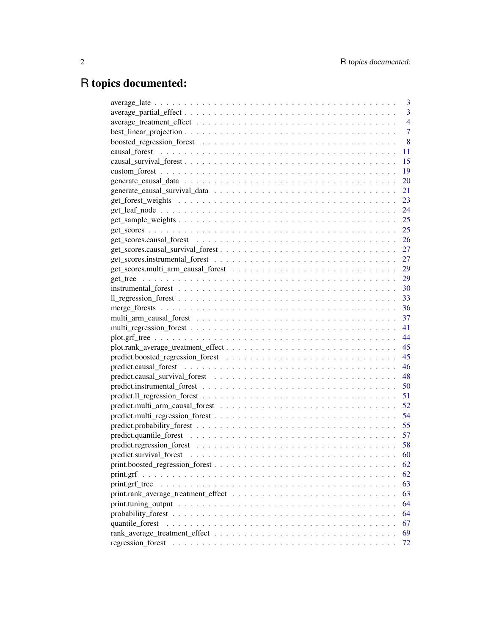# R topics documented:

|                 | 3              |
|-----------------|----------------|
|                 | 3              |
|                 | 4              |
|                 | $\overline{7}$ |
|                 | 8              |
|                 | 11             |
|                 | 15             |
|                 | 19             |
|                 | 20             |
|                 | 21             |
|                 | 23             |
|                 | 24             |
|                 | 25             |
|                 | 25             |
|                 | 26             |
|                 | 27             |
|                 | 27             |
|                 | 29             |
|                 | 29             |
|                 |                |
|                 |                |
|                 |                |
|                 |                |
|                 |                |
|                 |                |
|                 |                |
|                 | 45             |
|                 | 46             |
|                 | 48             |
|                 |                |
|                 |                |
|                 |                |
|                 |                |
|                 |                |
|                 | 57             |
|                 |                |
|                 | 60             |
|                 | 62             |
|                 | 62             |
|                 | 63             |
|                 | 63             |
|                 | 64             |
|                 | 64             |
| quantile_forest | 67             |
|                 | 69             |
|                 | 72             |
|                 |                |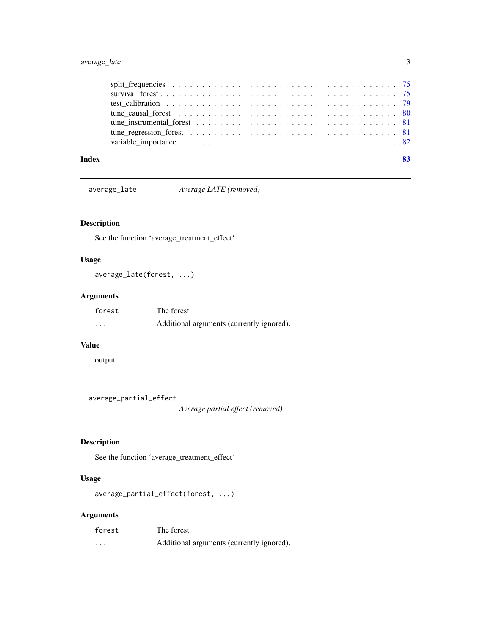# <span id="page-2-0"></span>average\_late 3

| test calibration $\ldots \ldots \ldots \ldots \ldots \ldots \ldots \ldots \ldots \ldots \ldots \ldots$ |  |
|--------------------------------------------------------------------------------------------------------|--|
|                                                                                                        |  |
|                                                                                                        |  |
|                                                                                                        |  |

average\_late *Average LATE (removed)*

# Description

See the function 'average\_treatment\_effect'

# Usage

average\_late(forest, ...)

# Arguments

| forest   | The forest                                |
|----------|-------------------------------------------|
| $\cdots$ | Additional arguments (currently ignored). |

## Value

output

average\_partial\_effect

*Average partial effect (removed)*

# Description

See the function 'average\_treatment\_effect'

# Usage

```
average_partial_effect(forest, ...)
```

| forest   | The forest                                |
|----------|-------------------------------------------|
| $\cdots$ | Additional arguments (currently ignored). |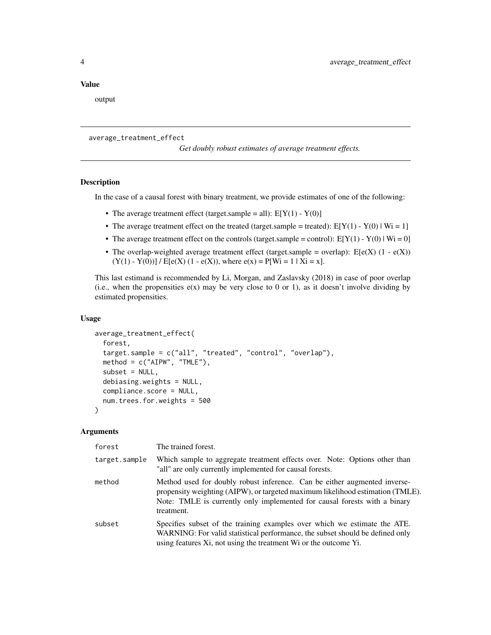#### <span id="page-3-0"></span>Value

output

#### average\_treatment\_effect

*Get doubly robust estimates of average treatment effects.*

#### **Description**

In the case of a causal forest with binary treatment, we provide estimates of one of the following:

- The average treatment effect (target.sample = all):  $E[Y(1) Y(0)]$
- The average treatment effect on the treated (target.sample = treated):  $E[Y(1) Y(0) | Wi = 1]$
- The average treatment effect on the controls (target.sample = control):  $E[Y(1) Y(0) | Wi = 0]$
- The overlap-weighted average treatment effect (target.sample = overlap):  $E[e(X) (1 e(X))]$  $(Y(1) - Y(0))$  /  $E[e(X) (1 - e(X))$ , where  $e(x) = P[W_i = 1 | X_i = x]$ .

This last estimand is recommended by Li, Morgan, and Zaslavsky (2018) in case of poor overlap (i.e., when the propensities  $e(x)$  may be very close to 0 or 1), as it doesn't involve dividing by estimated propensities.

#### Usage

```
average_treatment_effect(
  forest,
  target.sample = c("all", "treated", "control", "overlap"),
 method = c("AIPW", "TMLE"),
  subset = NULL,
  debiasing.weights = NULL,
  compliance.score = NULL,
  num.trees.for.weights = 500
)
```

| forest        | The trained forest.                                                                                                                                                                                                                                    |
|---------------|--------------------------------------------------------------------------------------------------------------------------------------------------------------------------------------------------------------------------------------------------------|
| target.sample | Which sample to aggregate treatment effects over. Note: Options other than<br>"all" are only currently implemented for causal forests.                                                                                                                 |
| method        | Method used for doubly robust inference. Can be either augmented inverse-<br>propensity weighting (AIPW), or targeted maximum likelihood estimation (TMLE).<br>Note: TMLE is currently only implemented for causal forests with a binary<br>treatment. |
| subset        | Specifies subset of the training examples over which we estimate the ATE.<br>WARNING: For valid statistical performance, the subset should be defined only<br>using features Xi, not using the treatment Wi or the outcome Yi.                         |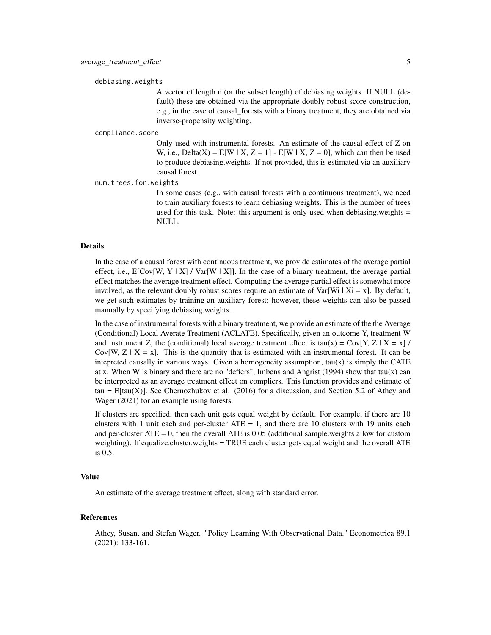#### debiasing.weights

A vector of length n (or the subset length) of debiasing weights. If NULL (default) these are obtained via the appropriate doubly robust score construction, e.g., in the case of causal\_forests with a binary treatment, they are obtained via inverse-propensity weighting.

#### compliance.score

Only used with instrumental forests. An estimate of the causal effect of Z on W, i.e., Delta(X) =  $E[W \mid X, Z = 1] - E[W \mid X, Z = 0]$ , which can then be used to produce debiasing.weights. If not provided, this is estimated via an auxiliary causal forest.

num.trees.for.weights

In some cases (e.g., with causal forests with a continuous treatment), we need to train auxiliary forests to learn debiasing weights. This is the number of trees used for this task. Note: this argument is only used when debiasing.weights = NULL.

#### Details

In the case of a causal forest with continuous treatment, we provide estimates of the average partial effect, i.e.,  $E[Cov[W, Y | X] / Var[W | X]]$ . In the case of a binary treatment, the average partial effect matches the average treatment effect. Computing the average partial effect is somewhat more involved, as the relevant doubly robust scores require an estimate of  $Var[W_i | X_i = x]$ . By default, we get such estimates by training an auxiliary forest; however, these weights can also be passed manually by specifying debiasing.weights.

In the case of instrumental forests with a binary treatment, we provide an estimate of the the Average (Conditional) Local Averate Treatment (ACLATE). Specifically, given an outcome Y, treatment W and instrument Z, the (conditional) local average treatment effect is tau(x) =  $Cov[Y, Z | X = x]$  / Cov[W,  $Z \mid X = x$ ]. This is the quantity that is estimated with an instrumental forest. It can be intepreted causally in various ways. Given a homogeneity assumption,  $tau(x)$  is simply the CATE at x. When W is binary and there are no "defiers", Imbens and Angrist (1994) show that tau $(x)$  can be interpreted as an average treatment effect on compliers. This function provides and estimate of tau =  $E[tau(X)]$ . See Chernozhukov et al. (2016) for a discussion, and Section 5.2 of Athey and Wager (2021) for an example using forests.

If clusters are specified, then each unit gets equal weight by default. For example, if there are 10 clusters with 1 unit each and per-cluster  $ATE = 1$ , and there are 10 clusters with 19 units each and per-cluster  $ATE = 0$ , then the overall ATE is 0.05 (additional sample, weights allow for custom weighting). If equalize.cluster.weights = TRUE each cluster gets equal weight and the overall ATE is 0.5.

# Value

An estimate of the average treatment effect, along with standard error.

#### References

Athey, Susan, and Stefan Wager. "Policy Learning With Observational Data." Econometrica 89.1 (2021): 133-161.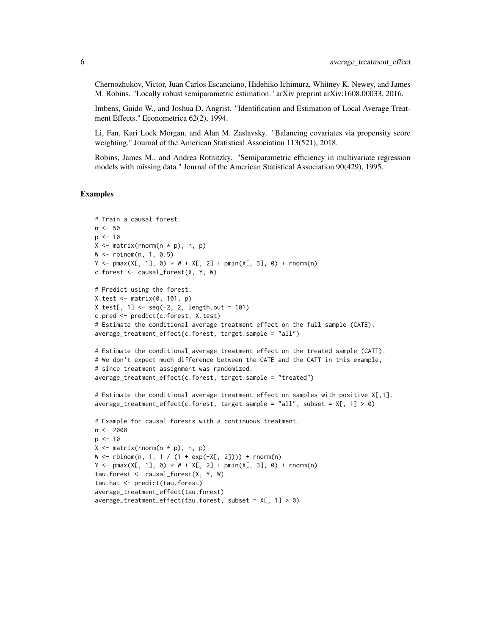Chernozhukov, Victor, Juan Carlos Escanciano, Hidehiko Ichimura, Whitney K. Newey, and James M. Robins. "Locally robust semiparametric estimation." arXiv preprint arXiv:1608.00033, 2016.

Imbens, Guido W., and Joshua D. Angrist. "Identification and Estimation of Local Average Treatment Effects." Econometrica 62(2), 1994.

Li, Fan, Kari Lock Morgan, and Alan M. Zaslavsky. "Balancing covariates via propensity score weighting." Journal of the American Statistical Association 113(521), 2018.

Robins, James M., and Andrea Rotnitzky. "Semiparametric efficiency in multivariate regression models with missing data." Journal of the American Statistical Association 90(429), 1995.

```
# Train a causal forest.
n < -50p \le -10X \leftarrow matrix(rnorm(n * p), n, p)W \leftarrow \text{rbinom}(n, 1, 0.5)Y \le - pmax(X[, 1], 0) * W + X[, 2] + pmin(X[, 3], 0) + rnorm(n)
c.forest <- causal_forest(X, Y, W)
# Predict using the forest.
X.test <- matrix(0, 101, p)
X.test[, 1] < -seq(-2, 2, length.out = 101)c.pred <- predict(c.forest, X.test)
# Estimate the conditional average treatment effect on the full sample (CATE).
average_treatment_effect(c.forest, target.sample = "all")
# Estimate the conditional average treatment effect on the treated sample (CATT).
# We don't expect much difference between the CATE and the CATT in this example,
# since treatment assignment was randomized.
average_treatment_effect(c.forest, target.sample = "treated")
# Estimate the conditional average treatment effect on samples with positive X[,1].
average_treatment_effect(c.forest, target.sample = "all", subset = X[, 1] > 0)
# Example for causal forests with a continuous treatment.
n < -2000p \le -10X \leftarrow matrix(rnorm(n * p), n, p)W \le - rbinom(n, 1, 1 / (1 + exp(-X[, 2]))) + rnorm(n)
Y \le - pmax(X[, 1], 0) * W + X[, 2] + pmin(X[, 3], 0) + rnorm(n)
tau.forest <- causal_forest(X, Y, W)
tau.hat <- predict(tau.forest)
average_treatment_effect(tau.forest)
average_treatment_effect(tau.forest, subset = X[, 1] > 0)
```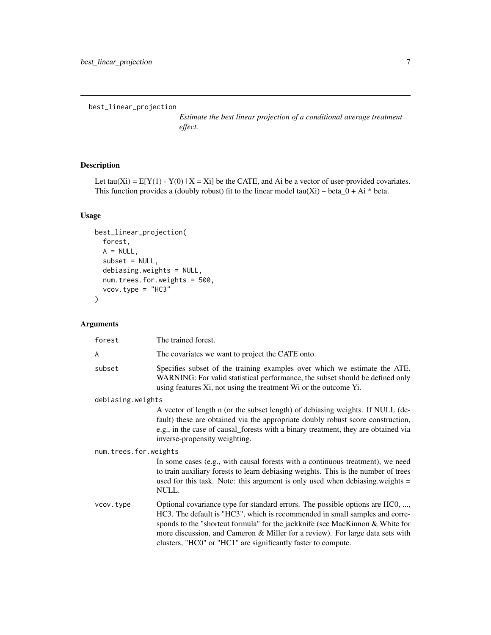```
best_linear_projection
```
*Estimate the best linear projection of a conditional average treatment effect.*

# Description

Let tau(Xi) =  $E[Y(1) - Y(0) | X = Xi]$  be the CATE, and Ai be a vector of user-provided covariates. This function provides a (doubly robust) fit to the linear model tau(Xi)  $\sim$  beta\_0 + Ai \* beta.

# Usage

```
best_linear_projection(
  forest,
 A = NULL,subset = NULL,
 debiasing.weights = NULL,
 num.trees.for.weights = 500,
 vcov.type = "HC3"
)
```

| forest                | The trained forest.                                                                                                                                                                                                                                                                                                                                                                             |  |
|-----------------------|-------------------------------------------------------------------------------------------------------------------------------------------------------------------------------------------------------------------------------------------------------------------------------------------------------------------------------------------------------------------------------------------------|--|
| A                     | The covariates we want to project the CATE onto.                                                                                                                                                                                                                                                                                                                                                |  |
| subset                | Specifies subset of the training examples over which we estimate the ATE.<br>WARNING: For valid statistical performance, the subset should be defined only<br>using features Xi, not using the treatment Wi or the outcome Yi.                                                                                                                                                                  |  |
| debiasing.weights     |                                                                                                                                                                                                                                                                                                                                                                                                 |  |
|                       | A vector of length n (or the subset length) of debiasing weights. If NULL (de-<br>fault) these are obtained via the appropriate doubly robust score construction,<br>e.g., in the case of causal_forests with a binary treatment, they are obtained via<br>inverse-propensity weighting.                                                                                                        |  |
| num.trees.for.weights |                                                                                                                                                                                                                                                                                                                                                                                                 |  |
|                       | In some cases (e.g., with causal forests with a continuous treatment), we need<br>to train auxiliary forests to learn debiasing weights. This is the number of trees<br>used for this task. Note: this argument is only used when debiasing weights =<br>NULL.                                                                                                                                  |  |
| vcov.type             | Optional covariance type for standard errors. The possible options are HC0, ,<br>HC3. The default is "HC3", which is recommended in small samples and corre-<br>sponds to the "shortcut formula" for the jackknife (see MacKinnon & White for<br>more discussion, and Cameron & Miller for a review). For large data sets with<br>clusters, "HC0" or "HC1" are significantly faster to compute. |  |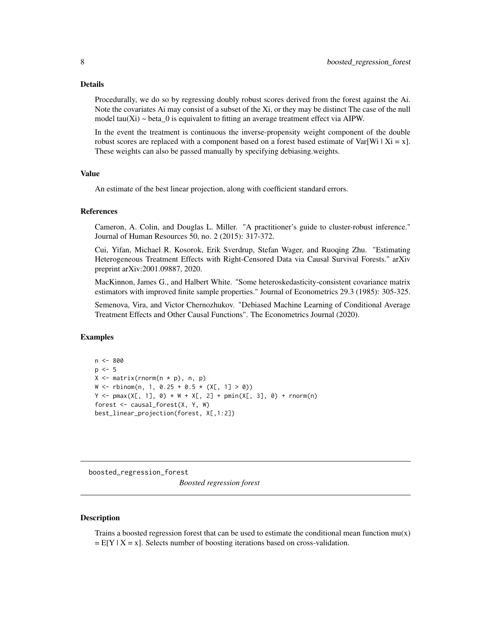#### <span id="page-7-0"></span>Details

Procedurally, we do so by regressing doubly robust scores derived from the forest against the Ai. Note the covariates Ai may consist of a subset of the Xi, or they may be distinct The case of the null model tau(Xi)  $\sim$  beta\_0 is equivalent to fitting an average treatment effect via AIPW.

In the event the treatment is continuous the inverse-propensity weight component of the double robust scores are replaced with a component based on a forest based estimate of Var[Wi | Xi = x]. These weights can also be passed manually by specifying debiasing.weights.

#### Value

An estimate of the best linear projection, along with coefficient standard errors.

#### References

Cameron, A. Colin, and Douglas L. Miller. "A practitioner's guide to cluster-robust inference." Journal of Human Resources 50, no. 2 (2015): 317-372.

Cui, Yifan, Michael R. Kosorok, Erik Sverdrup, Stefan Wager, and Ruoqing Zhu. "Estimating Heterogeneous Treatment Effects with Right-Censored Data via Causal Survival Forests." arXiv preprint arXiv:2001.09887, 2020.

MacKinnon, James G., and Halbert White. "Some heteroskedasticity-consistent covariance matrix estimators with improved finite sample properties." Journal of Econometrics 29.3 (1985): 305-325.

Semenova, Vira, and Victor Chernozhukov. "Debiased Machine Learning of Conditional Average Treatment Effects and Other Causal Functions". The Econometrics Journal (2020).

# Examples

```
n <- 800
p \le -5X \leftarrow matrix(rnorm(n * p), n, p)W \le - rbinom(n, 1, 0.25 + 0.5 * (X[, 1] > 0))
Y \le - pmax(X[, 1], 0) * W + X[, 2] + pmin(X[, 3], 0) + rnorm(n)
forest <- causal_forest(X, Y, W)
best_linear_projection(forest, X[,1:2])
```
boosted\_regression\_forest

*Boosted regression forest*

#### Description

Trains a boosted regression forest that can be used to estimate the conditional mean function  $mu(x)$  $= E[Y | X = x]$ . Selects number of boosting iterations based on cross-validation.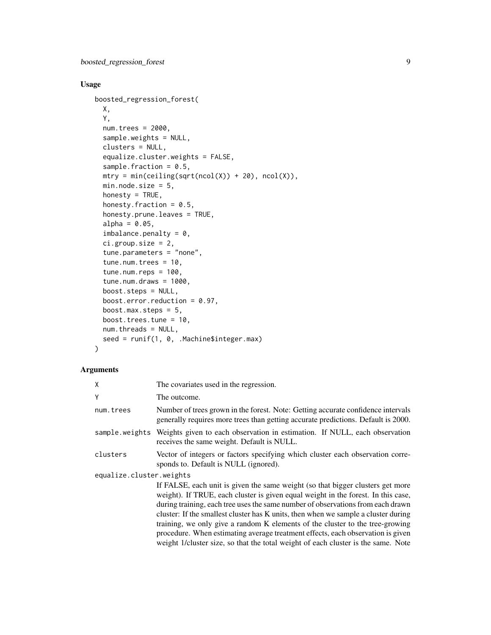# Usage

```
boosted_regression_forest(
 X,
 Y,
 num.trees = 2000,
  sample.weights = NULL,
 clusters = NULL,
 equalize.cluster.weights = FALSE,
  sample.fraction = 0.5,
 mtry = min(ceiling(sqrt(ncol(X)) + 20), ncol(X)),min.node.size = 5,
 honesty = TRUE,
 honesty.fraction = 0.5,
 honesty.prune.leaves = TRUE,
  alpha = 0.05,
  imbalance.penalty = 0,ci.group.size = 2,
  tune.parameters = "none",
  tune.num.trees = 10,
  tune.num.reps = 100,
  tune.num.draws = 1000,
 boost.steps = NULL,
 boost.error.reduction = 0.97,
 boost.max.steps = 5,
 boost.trees.tune = 10,
 num.threads = NULL,
  seed = runif(1, 0, .Machine$integer.max)
\mathcal{L}
```

| Χ                        | The covariates used in the regression.                                                                                                                                                                                                                                                                                                                                                                                                                                                                                                                                                                |
|--------------------------|-------------------------------------------------------------------------------------------------------------------------------------------------------------------------------------------------------------------------------------------------------------------------------------------------------------------------------------------------------------------------------------------------------------------------------------------------------------------------------------------------------------------------------------------------------------------------------------------------------|
| Υ                        | The outcome.                                                                                                                                                                                                                                                                                                                                                                                                                                                                                                                                                                                          |
| num.trees                | Number of trees grown in the forest. Note: Getting accurate confidence intervals<br>generally requires more trees than getting accurate predictions. Default is 2000.                                                                                                                                                                                                                                                                                                                                                                                                                                 |
|                          | sample weights Weights given to each observation in estimation. If NULL, each observation<br>receives the same weight. Default is NULL.                                                                                                                                                                                                                                                                                                                                                                                                                                                               |
| clusters                 | Vector of integers or factors specifying which cluster each observation corre-<br>sponds to. Default is NULL (ignored).                                                                                                                                                                                                                                                                                                                                                                                                                                                                               |
| equalize.cluster.weights |                                                                                                                                                                                                                                                                                                                                                                                                                                                                                                                                                                                                       |
|                          | If FALSE, each unit is given the same weight (so that bigger clusters get more<br>weight). If TRUE, each cluster is given equal weight in the forest. In this case,<br>during training, each tree uses the same number of observations from each drawn<br>cluster: If the smallest cluster has K units, then when we sample a cluster during<br>training, we only give a random K elements of the cluster to the tree-growing<br>procedure. When estimating average treatment effects, each observation is given<br>weight 1/cluster size, so that the total weight of each cluster is the same. Note |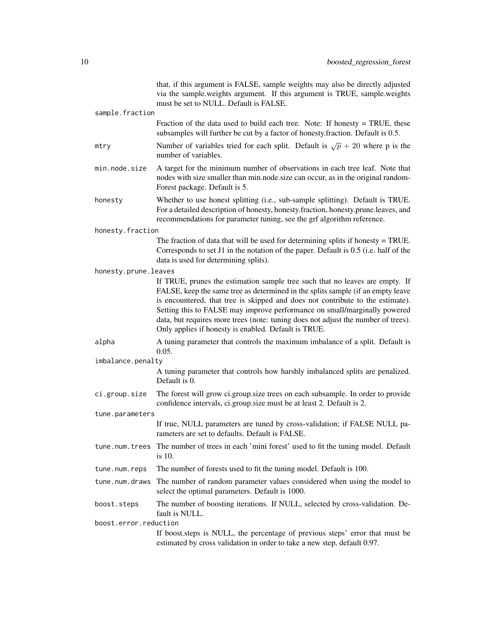|                       | that, if this argument is FALSE, sample weights may also be directly adjusted<br>via the sample weights argument. If this argument is TRUE, sample weights<br>must be set to NULL. Default is FALSE.                                                                                                                                                                                                                                                                        |
|-----------------------|-----------------------------------------------------------------------------------------------------------------------------------------------------------------------------------------------------------------------------------------------------------------------------------------------------------------------------------------------------------------------------------------------------------------------------------------------------------------------------|
| sample.fraction       |                                                                                                                                                                                                                                                                                                                                                                                                                                                                             |
|                       | Fraction of the data used to build each tree. Note: If honesty $=$ TRUE, these<br>subsamples will further be cut by a factor of honesty. fraction. Default is 0.5.                                                                                                                                                                                                                                                                                                          |
| mtry                  | Number of variables tried for each split. Default is $\sqrt{p} + 20$ where p is the<br>number of variables.                                                                                                                                                                                                                                                                                                                                                                 |
| min.node.size         | A target for the minimum number of observations in each tree leaf. Note that<br>nodes with size smaller than min.node.size can occur, as in the original random-<br>Forest package. Default is 5.                                                                                                                                                                                                                                                                           |
| honesty               | Whether to use honest splitting (i.e., sub-sample splitting). Default is TRUE.<br>For a detailed description of honesty, honesty.fraction, honesty.prune.leaves, and<br>recommendations for parameter tuning, see the grf algorithm reference.                                                                                                                                                                                                                              |
| honesty.fraction      |                                                                                                                                                                                                                                                                                                                                                                                                                                                                             |
|                       | The fraction of data that will be used for determining splits if honesty $=$ TRUE.<br>Corresponds to set J1 in the notation of the paper. Default is 0.5 (i.e. half of the<br>data is used for determining splits).                                                                                                                                                                                                                                                         |
| honesty.prune.leaves  |                                                                                                                                                                                                                                                                                                                                                                                                                                                                             |
|                       | If TRUE, prunes the estimation sample tree such that no leaves are empty. If<br>FALSE, keep the same tree as determined in the splits sample (if an empty leave<br>is encountered, that tree is skipped and does not contribute to the estimate).<br>Setting this to FALSE may improve performance on small/marginally powered<br>data, but requires more trees (note: tuning does not adjust the number of trees).<br>Only applies if honesty is enabled. Default is TRUE. |
| alpha                 | A tuning parameter that controls the maximum imbalance of a split. Default is<br>0.05.                                                                                                                                                                                                                                                                                                                                                                                      |
| imbalance.penalty     |                                                                                                                                                                                                                                                                                                                                                                                                                                                                             |
|                       | A tuning parameter that controls how harshly imbalanced splits are penalized.<br>Default is 0.                                                                                                                                                                                                                                                                                                                                                                              |
| ci.group.size         | The forest will grow ci.group.size trees on each subsample. In order to provide<br>confidence intervals, ci.group.size must be at least 2. Default is 2.                                                                                                                                                                                                                                                                                                                    |
| tune.parameters       |                                                                                                                                                                                                                                                                                                                                                                                                                                                                             |
|                       | If true, NULL parameters are tuned by cross-validation; if FALSE NULL pa-<br>rameters are set to defaults. Default is FALSE.                                                                                                                                                                                                                                                                                                                                                |
|                       | tune . num. trees The number of trees in each 'mini forest' used to fit the tuning model. Default<br>is $10$ .                                                                                                                                                                                                                                                                                                                                                              |
| tune.num.reps         | The number of forests used to fit the tuning model. Default is 100.                                                                                                                                                                                                                                                                                                                                                                                                         |
| tune.num.draws        | The number of random parameter values considered when using the model to<br>select the optimal parameters. Default is 1000.                                                                                                                                                                                                                                                                                                                                                 |
| boost.steps           | The number of boosting iterations. If NULL, selected by cross-validation. De-<br>fault is NULL.                                                                                                                                                                                                                                                                                                                                                                             |
| boost.error.reduction |                                                                                                                                                                                                                                                                                                                                                                                                                                                                             |
|                       | If boost.steps is NULL, the percentage of previous steps' error that must be<br>estimated by cross validation in order to take a new step, default 0.97.                                                                                                                                                                                                                                                                                                                    |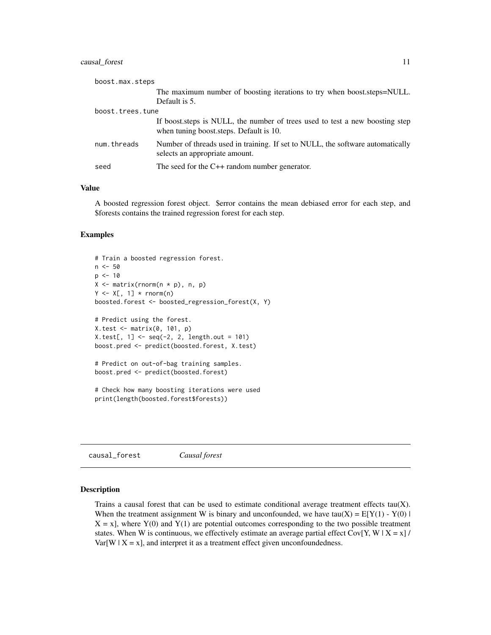#### <span id="page-10-0"></span>causal\_forest 11

| boost.max.steps  |                                                                                                                         |
|------------------|-------------------------------------------------------------------------------------------------------------------------|
|                  | The maximum number of boosting iterations to try when boost.steps=NULL.                                                 |
|                  | Default is 5.                                                                                                           |
| boost.trees.tune |                                                                                                                         |
|                  | If boost steps is NULL, the number of trees used to test a new boosting step<br>when tuning boost steps. Default is 10. |
| num.threads      | Number of threads used in training. If set to NULL, the software automatically<br>selects an appropriate amount.        |
| seed             | The seed for the $C++$ random number generator.                                                                         |

#### Value

A boosted regression forest object. \$error contains the mean debiased error for each step, and \$forests contains the trained regression forest for each step.

#### Examples

```
# Train a boosted regression forest.
n < -50p \le -10X \leftarrow matrix(rnorm(n * p), n, p)Y \leftarrow X[, 1] * rnorm(n)boosted.forest <- boosted_regression_forest(X, Y)
# Predict using the forest.
X.test <- matrix(0, 101, p)
X.test[, 1] < -seq(-2, 2, length.out = 101)boost.pred <- predict(boosted.forest, X.test)
# Predict on out-of-bag training samples.
boost.pred <- predict(boosted.forest)
# Check how many boosting iterations were used
print(length(boosted.forest$forests))
```
causal\_forest *Causal forest*

#### Description

Trains a causal forest that can be used to estimate conditional average treatment effects  $tau(X)$ . When the treatment assignment W is binary and unconfounded, we have  $tau(X) = E[Y(1) - Y(0)]$  $X = x$ ], where  $Y(0)$  and  $Y(1)$  are potential outcomes corresponding to the two possible treatment states. When W is continuous, we effectively estimate an average partial effect Cov[Y, W | X = x] /  $Var[W \mid X = x]$ , and interpret it as a treatment effect given unconfoundedness.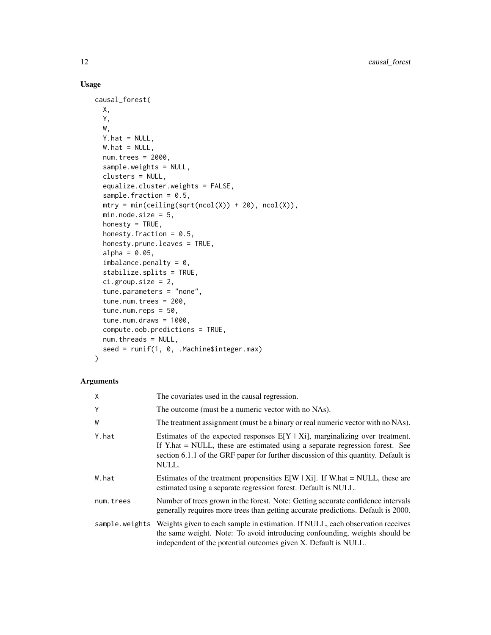# Usage

```
causal_forest(
  X,
  Y,
 W,
 Y.hat = NULL,W.hat = NULL,num.trees = 2000,
  sample.weights = NULL,
  clusters = NULL,
  equalize.cluster.weights = FALSE,
  sample.fraction = 0.5,
  mtry = min(ceiling(sqrt(ncol(X)) + 20), ncol(X)),min.node.size = 5,
  honesty = TRUE,
  honesty.fraction = 0.5,
  honesty.prune.leaves = TRUE,
  alpha = 0.05,
  imbalance.penalty = 0,stabilize.splits = TRUE,
  ci.group.size = 2,
  tune.parameters = "none",
  tune.num.trees = 200,
  tune.num.reps = 50,
  tune.num.draws = 1000,
  compute.oob.predictions = TRUE,
  num.threads = NULL,
  seed = runif(1, 0, .Machine$integer.max)
\mathcal{L}
```

| X         | The covariates used in the causal regression.                                                                                                                                                                                                                 |
|-----------|---------------------------------------------------------------------------------------------------------------------------------------------------------------------------------------------------------------------------------------------------------------|
| Υ         | The outcome (must be a numeric vector with no NAs).                                                                                                                                                                                                           |
| W         | The treatment assignment (must be a binary or real numeric vector with no NAs).                                                                                                                                                                               |
| Y.hat     | Estimates of the expected responses $E[Y X_i]$ , marginalizing over treatment.<br>If Y.hat = NULL, these are estimated using a separate regression forest. See<br>section 6.1.1 of the GRF paper for further discussion of this quantity. Default is<br>NULL. |
| W.hat     | Estimates of the treatment propensities $E[W   X_i]$ . If W.hat = NULL, these are<br>estimated using a separate regression forest. Default is NULL.                                                                                                           |
| num.trees | Number of trees grown in the forest. Note: Getting accurate confidence intervals<br>generally requires more trees than getting accurate predictions. Default is 2000.                                                                                         |
|           | sample.weights Weights given to each sample in estimation. If NULL, each observation receives<br>the same weight. Note: To avoid introducing confounding, weights should be<br>independent of the potential outcomes given X. Default is NULL.                |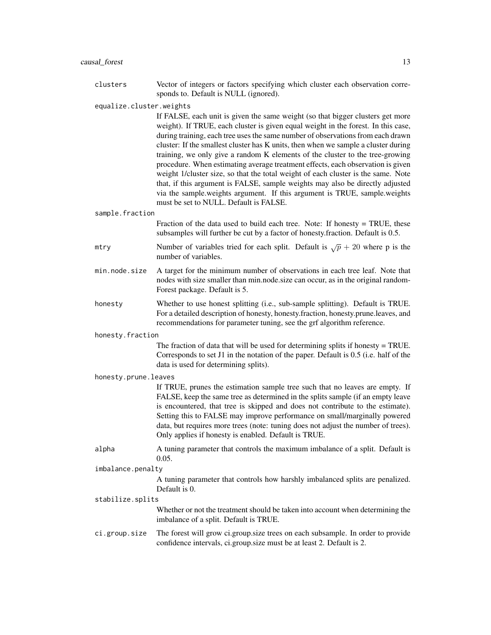clusters Vector of integers or factors specifying which cluster each observation corresponds to. Default is NULL (ignored).

equalize.cluster.weights

If FALSE, each unit is given the same weight (so that bigger clusters get more weight). If TRUE, each cluster is given equal weight in the forest. In this case, during training, each tree uses the same number of observations from each drawn cluster: If the smallest cluster has K units, then when we sample a cluster during training, we only give a random K elements of the cluster to the tree-growing procedure. When estimating average treatment effects, each observation is given weight 1/cluster size, so that the total weight of each cluster is the same. Note that, if this argument is FALSE, sample weights may also be directly adjusted via the sample.weights argument. If this argument is TRUE, sample.weights must be set to NULL. Default is FALSE.

#### sample.fraction

Fraction of the data used to build each tree. Note: If honesty = TRUE, these subsamples will further be cut by a factor of honesty.fraction. Default is 0.5.

- mtry Number of variables tried for each split. Default is  $\sqrt{p} + 20$  where p is the number of variables.
- min.node.size A target for the minimum number of observations in each tree leaf. Note that nodes with size smaller than min.node.size can occur, as in the original random-Forest package. Default is 5.

honesty Whether to use honest splitting (i.e., sub-sample splitting). Default is TRUE. For a detailed description of honesty, honesty.fraction, honesty.prune.leaves, and recommendations for parameter tuning, see the grf algorithm reference.

#### honesty.fraction

The fraction of data that will be used for determining splits if honesty = TRUE. Corresponds to set J1 in the notation of the paper. Default is 0.5 (i.e. half of the data is used for determining splits).

#### honesty.prune.leaves

If TRUE, prunes the estimation sample tree such that no leaves are empty. If FALSE, keep the same tree as determined in the splits sample (if an empty leave is encountered, that tree is skipped and does not contribute to the estimate). Setting this to FALSE may improve performance on small/marginally powered data, but requires more trees (note: tuning does not adjust the number of trees). Only applies if honesty is enabled. Default is TRUE.

alpha A tuning parameter that controls the maximum imbalance of a split. Default is 0.05.

#### imbalance.penalty

A tuning parameter that controls how harshly imbalanced splits are penalized. Default is 0.

#### stabilize.splits

Whether or not the treatment should be taken into account when determining the imbalance of a split. Default is TRUE.

ci.group.size The forest will grow ci.group.size trees on each subsample. In order to provide confidence intervals, ci.group.size must be at least 2. Default is 2.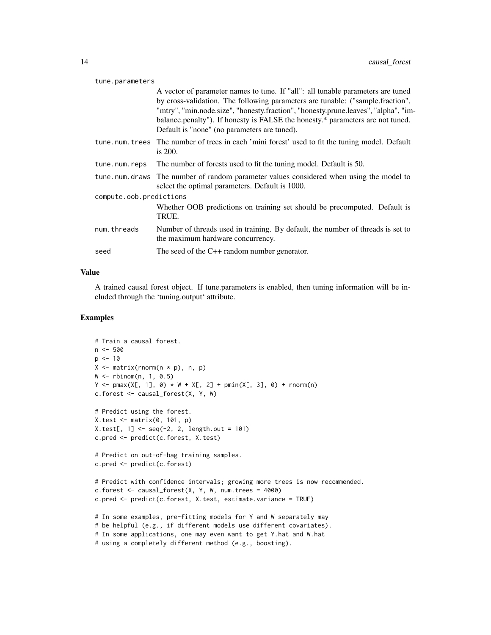#### tune.parameters

|                         | A vector of parameter names to tune. If "all": all tunable parameters are tuned<br>by cross-validation. The following parameters are tunable: ("sample.fraction",<br>"mtry", "min.node.size", "honesty.fraction", "honesty.prune.leaves", "alpha", "im-<br>balance.penalty"). If honesty is FALSE the honesty.* parameters are not tuned.<br>Default is "none" (no parameters are tuned). |  |
|-------------------------|-------------------------------------------------------------------------------------------------------------------------------------------------------------------------------------------------------------------------------------------------------------------------------------------------------------------------------------------------------------------------------------------|--|
|                         | tune num trees The number of trees in each 'mini forest' used to fit the tuning model. Default<br>is $200$ .                                                                                                                                                                                                                                                                              |  |
| tune.num.reps           | The number of forests used to fit the tuning model. Default is 50.                                                                                                                                                                                                                                                                                                                        |  |
|                         | tune, num, draws The number of random parameter values considered when using the model to<br>select the optimal parameters. Default is 1000.                                                                                                                                                                                                                                              |  |
| compute.oob.predictions |                                                                                                                                                                                                                                                                                                                                                                                           |  |
|                         | Whether OOB predictions on training set should be precomputed. Default is<br>TRUE.                                                                                                                                                                                                                                                                                                        |  |
| num.threads             | Number of threads used in training. By default, the number of threads is set to<br>the maximum hardware concurrency.                                                                                                                                                                                                                                                                      |  |
| seed                    | The seed of the $C++$ random number generator.                                                                                                                                                                                                                                                                                                                                            |  |
|                         |                                                                                                                                                                                                                                                                                                                                                                                           |  |

#### Value

A trained causal forest object. If tune.parameters is enabled, then tuning information will be included through the 'tuning.output' attribute.

```
# Train a causal forest.
n < -500p \le -10X \leftarrow matrix(rnorm(n * p), n, p)W < - rbinom(n, 1, 0.5)
Y \le - pmax(X[, 1], 0) * W + X[, 2] + pmin(X[, 3], 0) + rnorm(n)
c.forest <- causal_forest(X, Y, W)
# Predict using the forest.
X.test <- matrix(0, 101, p)
X.test[, 1] < -seq(-2, 2, length.out = 101)c.pred <- predict(c.forest, X.test)
# Predict on out-of-bag training samples.
c.pred <- predict(c.forest)
# Predict with confidence intervals; growing more trees is now recommended.
c.forest \le causal_forest(X, Y, W, num.trees = 4000)
c.pred <- predict(c.forest, X.test, estimate.variance = TRUE)
# In some examples, pre-fitting models for Y and W separately may
# be helpful (e.g., if different models use different covariates).
# In some applications, one may even want to get Y.hat and W.hat
# using a completely different method (e.g., boosting).
```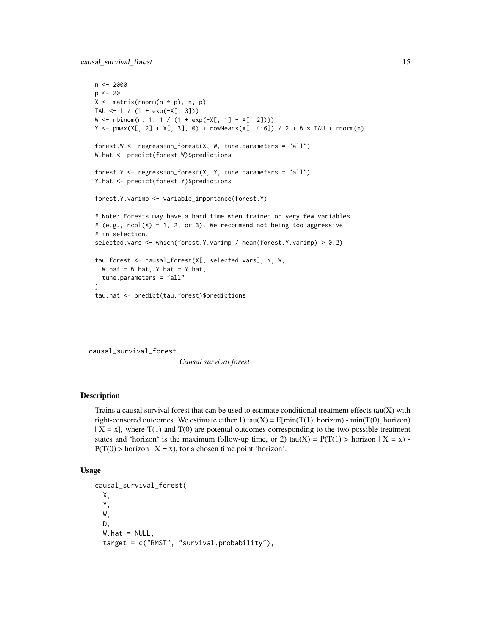<span id="page-14-0"></span>causal\_survival\_forest 15

```
n < -2000p \le -20X \leftarrow matrix(rnorm(n * p), n, p)TAU \le -1 / (1 + \exp(-X[, 3]))W \leq r \text{ binom}(n, 1, 1 / (1 + \exp(-X[, 1] - X[, 2]))Y \leq -pmax(X[, 2] + X[, 3], 0) + rowMeans(X[, 4:6]) / 2 + W * TAU + rnorm(n)forest.W <- regression_forest(X, W, tune.parameters = "all")
W.hat <- predict(forest.W)$predictions
forest.Y <- regression_forest(X, Y, tune.parameters = "all")
Y.hat <- predict(forest.Y)$predictions
forest.Y.varimp <- variable_importance(forest.Y)
# Note: Forests may have a hard time when trained on very few variables
# (e.g., ncol(X) = 1, 2, or 3). We recommend not being too aggressive
# in selection.
selected.vars <- which(forest.Y.varimp / mean(forest.Y.varimp) > 0.2)
tau.forest <- causal_forest(X[, selected.vars], Y, W,
  W.hat = W.hat, Y.hat = Y.hat,
  tune.parameters = "all"
\lambdatau.hat <- predict(tau.forest)$predictions
```
causal\_survival\_forest

*Causal survival forest*

#### Description

Trains a causal survival forest that can be used to estimate conditional treatment effects  $tau(X)$  with right-censored outcomes. We estimate either 1) tau(X) =  $E[\min(T(1), \text{horizon}) - \min(T(0), \text{horizon})]$  $| X = x |$ , where T(1) and T(0) are potental outcomes corresponding to the two possible treatment states and 'horizon' is the maximum follow-up time, or 2) tau(X) =  $P(T(1) >$  horizon  $|X = x)$  - $P(T(0) > horizon \mid X = x)$ , for a chosen time point 'horizon'.

#### Usage

```
causal_survival_forest(
 X,
  Y,
 W,
 D,
  W.hat = NULL,target = c("RMST", "survival.probability"),
```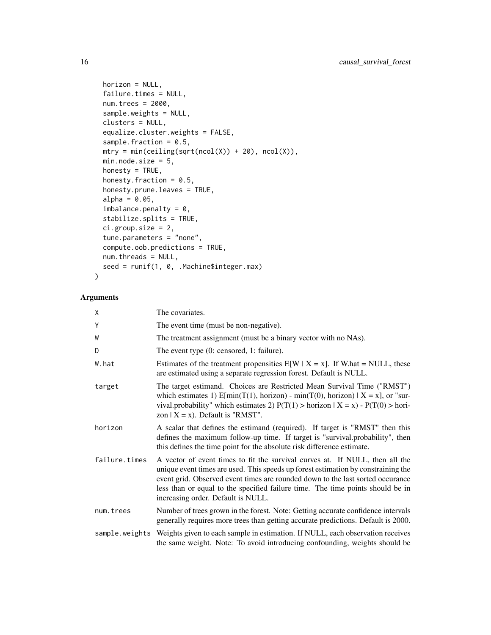```
horizon = NULL,
failure.times = NULL,
num.trees = 2000,
sample.weights = NULL,
clusters = NULL,
equalize.cluster.weights = FALSE,
sample.fraction = 0.5,
mtry = min(ceiling(sqrt(ncol(X)) + 20), ncol(X)),min.node.size = 5,
honesty = TRUE,
honesty.fraction = 0.5,
honesty.prune.leaves = TRUE,
alpha = 0.05,
imbalance.penalty = 0,stabilize.splits = TRUE,
ci.group.size = 2,
tune.parameters = "none",
compute.oob.predictions = TRUE,
num.threads = NULL,
seed = runif(1, 0, .Machine$integer.max)
```
# Arguments

)

| χ             | The covariates.                                                                                                                                                                                                                                                                                                                                                             |
|---------------|-----------------------------------------------------------------------------------------------------------------------------------------------------------------------------------------------------------------------------------------------------------------------------------------------------------------------------------------------------------------------------|
| Υ             | The event time (must be non-negative).                                                                                                                                                                                                                                                                                                                                      |
| W             | The treatment assignment (must be a binary vector with no NAs).                                                                                                                                                                                                                                                                                                             |
| D             | The event type (0: censored, 1: failure).                                                                                                                                                                                                                                                                                                                                   |
| W.hat         | Estimates of the treatment propensities $E[W \mid X = x]$ . If W.hat = NULL, these<br>are estimated using a separate regression forest. Default is NULL.                                                                                                                                                                                                                    |
| target        | The target estimand. Choices are Restricted Mean Survival Time ("RMST")<br>which estimates 1) $E[\min(T(1), \text{horizon}) - \min(T(0), \text{horizon}) \mid X = x]$ , or "sur-<br>vival.probability" which estimates 2) $P(T(1) > horizon   X = x) - P(T(0) > horizon)$<br>zon $X = x$ ). Default is "RMST".                                                              |
| horizon       | A scalar that defines the estimand (required). If target is "RMST" then this<br>defines the maximum follow-up time. If target is "survival.probability", then<br>this defines the time point for the absolute risk difference estimate.                                                                                                                                     |
| failure.times | A vector of event times to fit the survival curves at. If NULL, then all the<br>unique event times are used. This speeds up forest estimation by constraining the<br>event grid. Observed event times are rounded down to the last sorted occurance<br>less than or equal to the specified failure time. The time points should be in<br>increasing order. Default is NULL. |
| num.trees     | Number of trees grown in the forest. Note: Getting accurate confidence intervals<br>generally requires more trees than getting accurate predictions. Default is 2000.                                                                                                                                                                                                       |
|               | sample weights Weights given to each sample in estimation. If NULL, each observation receives<br>the same weight. Note: To avoid introducing confounding, weights should be                                                                                                                                                                                                 |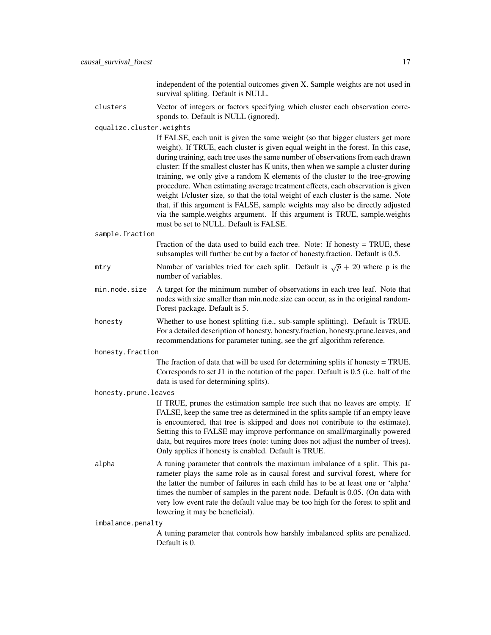independent of the potential outcomes given X. Sample weights are not used in survival spliting. Default is NULL.

clusters Vector of integers or factors specifying which cluster each observation corresponds to. Default is NULL (ignored).

equalize.cluster.weights

If FALSE, each unit is given the same weight (so that bigger clusters get more weight). If TRUE, each cluster is given equal weight in the forest. In this case, during training, each tree uses the same number of observations from each drawn cluster: If the smallest cluster has K units, then when we sample a cluster during training, we only give a random K elements of the cluster to the tree-growing procedure. When estimating average treatment effects, each observation is given weight 1/cluster size, so that the total weight of each cluster is the same. Note that, if this argument is FALSE, sample weights may also be directly adjusted via the sample.weights argument. If this argument is TRUE, sample.weights must be set to NULL. Default is FALSE.

sample.fraction

Fraction of the data used to build each tree. Note: If honesty = TRUE, these subsamples will further be cut by a factor of honesty.fraction. Default is 0.5.

- mtry Number of variables tried for each split. Default is  $\sqrt{p} + 20$  where p is the number of variables.
- min.node.size A target for the minimum number of observations in each tree leaf. Note that nodes with size smaller than min.node.size can occur, as in the original random-Forest package. Default is 5.
- honesty Whether to use honest splitting (i.e., sub-sample splitting). Default is TRUE. For a detailed description of honesty, honesty.fraction, honesty.prune.leaves, and recommendations for parameter tuning, see the grf algorithm reference.

honesty.fraction

The fraction of data that will be used for determining splits if honesty = TRUE. Corresponds to set J1 in the notation of the paper. Default is 0.5 (i.e. half of the data is used for determining splits).

honesty.prune.leaves

If TRUE, prunes the estimation sample tree such that no leaves are empty. If FALSE, keep the same tree as determined in the splits sample (if an empty leave is encountered, that tree is skipped and does not contribute to the estimate). Setting this to FALSE may improve performance on small/marginally powered data, but requires more trees (note: tuning does not adjust the number of trees). Only applies if honesty is enabled. Default is TRUE.

alpha A tuning parameter that controls the maximum imbalance of a split. This parameter plays the same role as in causal forest and survival forest, where for the latter the number of failures in each child has to be at least one or 'alpha' times the number of samples in the parent node. Default is 0.05. (On data with very low event rate the default value may be too high for the forest to split and lowering it may be beneficial).

imbalance.penalty

A tuning parameter that controls how harshly imbalanced splits are penalized. Default is 0.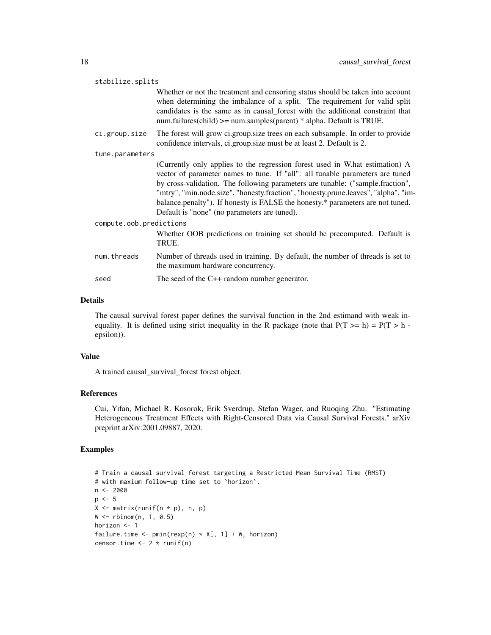| stabilize.splits        |                                                                                                                                                                                                                                                                                                                                                                                                                                                                         |  |
|-------------------------|-------------------------------------------------------------------------------------------------------------------------------------------------------------------------------------------------------------------------------------------------------------------------------------------------------------------------------------------------------------------------------------------------------------------------------------------------------------------------|--|
|                         | Whether or not the treatment and censoring status should be taken into account<br>when determining the imbalance of a split. The requirement for valid split<br>candidates is the same as in causal_forest with the additional constraint that<br>num.failures(child) $>=$ num.samples(parent) $*$ alpha. Default is TRUE.                                                                                                                                              |  |
| ci.group.size           | The forest will grow ci.group.size trees on each subsample. In order to provide<br>confidence intervals, ci.group.size must be at least 2. Default is 2.                                                                                                                                                                                                                                                                                                                |  |
| tune.parameters         |                                                                                                                                                                                                                                                                                                                                                                                                                                                                         |  |
|                         | (Currently only applies to the regression forest used in W.hat estimation) A<br>vector of parameter names to tune. If "all": all tunable parameters are tuned<br>by cross-validation. The following parameters are tunable: ("sample.fraction",<br>"mtry", "min.node.size", "honesty.fraction", "honesty.prune.leaves", "alpha", "im-<br>balance.penalty"). If honesty is FALSE the honesty.* parameters are not tuned.<br>Default is "none" (no parameters are tuned). |  |
| compute.oob.predictions |                                                                                                                                                                                                                                                                                                                                                                                                                                                                         |  |
|                         | Whether OOB predictions on training set should be precomputed. Default is<br>TRUE.                                                                                                                                                                                                                                                                                                                                                                                      |  |
| num.threads             | Number of threads used in training. By default, the number of threads is set to<br>the maximum hardware concurrency.                                                                                                                                                                                                                                                                                                                                                    |  |
| seed                    | The seed of the $C++$ random number generator.                                                                                                                                                                                                                                                                                                                                                                                                                          |  |
|                         |                                                                                                                                                                                                                                                                                                                                                                                                                                                                         |  |

#### Details

The causal survival forest paper defines the survival function in the 2nd estimand with weak inequality. It is defined using strict inequality in the R package (note that  $P(T \gt h) = P(T \gt h$ epsilon)).

#### Value

A trained causal\_survival\_forest forest object.

## References

Cui, Yifan, Michael R. Kosorok, Erik Sverdrup, Stefan Wager, and Ruoqing Zhu. "Estimating Heterogeneous Treatment Effects with Right-Censored Data via Causal Survival Forests." arXiv preprint arXiv:2001.09887, 2020.

```
# Train a causal survival forest targeting a Restricted Mean Survival Time (RMST)
# with maxium follow-up time set to `horizon`.
n <- 2000
p \le -5X \leftarrow matrix(runif(n * p), n, p)W \leftarrow \text{rbinom}(n, 1, 0.5)horizon <- 1
failure.time \leq pmin(rexp(n) \star X[, 1] + W, horizon)
censor.time \leq 2 \star runif(n)
```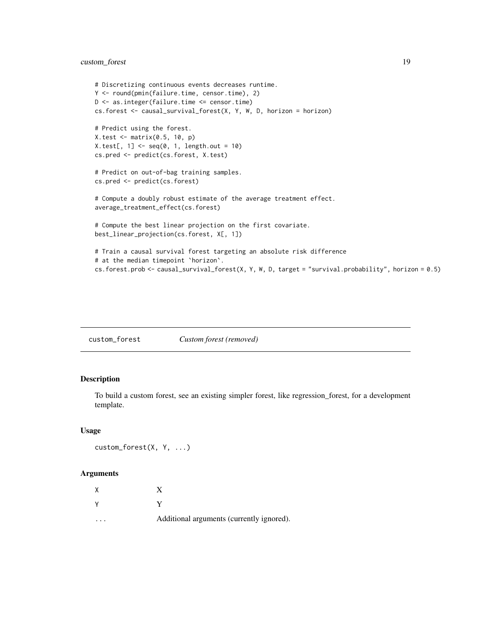# <span id="page-18-0"></span>custom\_forest 19

```
# Discretizing continuous events decreases runtime.
Y <- round(pmin(failure.time, censor.time), 2)
D <- as.integer(failure.time <= censor.time)
cs.forest \le causal_survival_forest(X, Y, W, D, horizon = horizon)
# Predict using the forest.
X.test <- matrix(0.5, 10, p)
X.test[, 1] < -seq(0, 1, length.out = 10)cs.pred <- predict(cs.forest, X.test)
# Predict on out-of-bag training samples.
cs.pred <- predict(cs.forest)
# Compute a doubly robust estimate of the average treatment effect.
average_treatment_effect(cs.forest)
# Compute the best linear projection on the first covariate.
best_linear_projection(cs.forest, X[, 1])
# Train a causal survival forest targeting an absolute risk difference
# at the median timepoint `horizon`.
cs.forest.prob <- causal_survival_forest(X, Y, W, D, target = "survival.probability", horizon = 0.5)
```
custom\_forest *Custom forest (removed)*

# Description

To build a custom forest, see an existing simpler forest, like regression\_forest, for a development template.

#### Usage

```
custom_forest(X, Y, ...)
```

| χ |                                           |
|---|-------------------------------------------|
| v |                                           |
| . | Additional arguments (currently ignored). |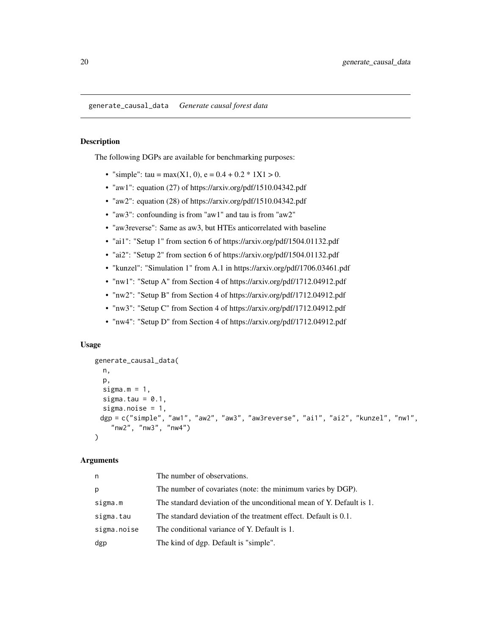# <span id="page-19-0"></span>Description

The following DGPs are available for benchmarking purposes:

- "simple": tau = max(X1, 0), e =  $0.4 + 0.2 * 1X1 > 0$ .
- "aw1": equation (27) of https://arxiv.org/pdf/1510.04342.pdf
- "aw2": equation (28) of https://arxiv.org/pdf/1510.04342.pdf
- "aw3": confounding is from "aw1" and tau is from "aw2"
- "aw3reverse": Same as aw3, but HTEs anticorrelated with baseline
- "ai1": "Setup 1" from section 6 of https://arxiv.org/pdf/1504.01132.pdf
- "ai2": "Setup 2" from section 6 of https://arxiv.org/pdf/1504.01132.pdf
- "kunzel": "Simulation 1" from A.1 in https://arxiv.org/pdf/1706.03461.pdf
- "nw1": "Setup A" from Section 4 of https://arxiv.org/pdf/1712.04912.pdf
- "nw2": "Setup B" from Section 4 of https://arxiv.org/pdf/1712.04912.pdf
- "nw3": "Setup C" from Section 4 of https://arxiv.org/pdf/1712.04912.pdf
- "nw4": "Setup D" from Section 4 of https://arxiv.org/pdf/1712.04912.pdf

#### Usage

```
generate_causal_data(
  n,
  p,
  sigma.m = 1,
  sigma.tau = 0.1,
  sigma.noise = 1,
 dgp = c("simple", "aw1", "aw2", "aw3", "aw3reverse", "ai1", "ai2", "kunzel", "nw1",
    "nw2", "nw3", "nw4")
\lambda
```

| n           | The number of observations.                                          |
|-------------|----------------------------------------------------------------------|
| р           | The number of covariates (note: the minimum varies by DGP).          |
| sigma.m     | The standard deviation of the unconditional mean of Y. Default is 1. |
| sigma.tau   | The standard deviation of the treatment effect. Default is 0.1.      |
| sigma.noise | The conditional variance of Y. Default is 1.                         |
| dgp         | The kind of dgp. Default is "simple".                                |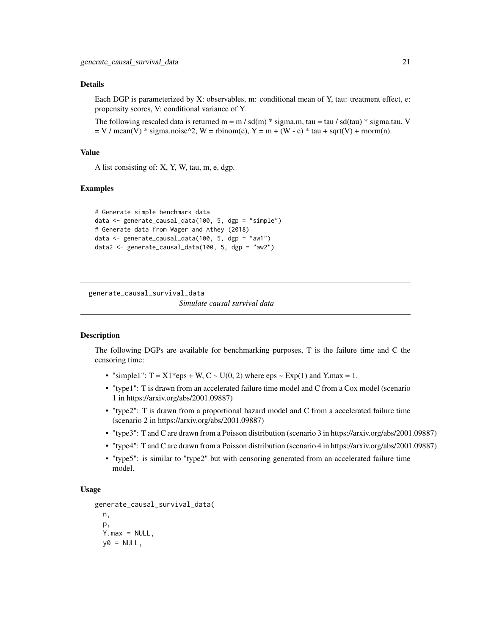#### <span id="page-20-0"></span>Details

Each DGP is parameterized by X: observables, m: conditional mean of Y, tau: treatment effect, e: propensity scores, V: conditional variance of Y.

The following rescaled data is returned m = m / sd(m)  $*$  sigma.m, tau = tau / sd(tau)  $*$  sigma.tau, V  $=$  V / mean(V)  $*$  sigma.noise^2, W = rbinom(e), Y = m + (W - e)  $*$  tau + sqrt(V) + rnorm(n).

#### Value

A list consisting of: X, Y, W, tau, m, e, dgp.

#### Examples

```
# Generate simple benchmark data
data <- generate_causal_data(100, 5, dgp = "simple")
# Generate data from Wager and Athey (2018)
data <- generate_causal_data(100, 5, dgp = "aw1")
data2 <- generate_causal_data(100, 5, dgp = "aw2")
```
generate\_causal\_survival\_data

*Simulate causal survival data*

# **Description**

The following DGPs are available for benchmarking purposes, T is the failure time and C the censoring time:

- "simple1":  $T = X1*eps + W, C \sim U(0, 2)$  where  $eps \sim Exp(1)$  and  $Y.max = 1$ .
- "type1": T is drawn from an accelerated failure time model and C from a Cox model (scenario 1 in https://arxiv.org/abs/2001.09887)
- "type2": T is drawn from a proportional hazard model and C from a accelerated failure time (scenario 2 in https://arxiv.org/abs/2001.09887)
- "type3": T and C are drawn from a Poisson distribution (scenario 3 in https://arxiv.org/abs/2001.09887)
- "type4": T and C are drawn from a Poisson distribution (scenario 4 in https://arxiv.org/abs/2001.09887)
- "type5": is similar to "type2" but with censoring generated from an accelerated failure time model.

#### Usage

```
generate_causal_survival_data(
  n,
  p,
  Y.max = NULL,y0 = NULL,
```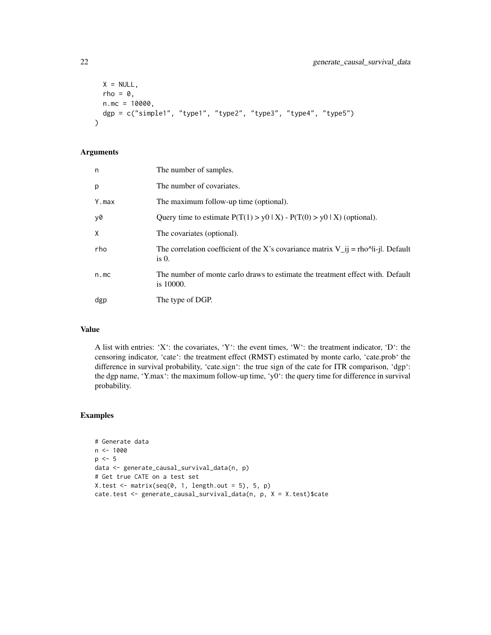```
X = NULL,rho = \theta,
 n.mc = 10000,
 dgp = c("simple1", "type1", "type2", "type3", "type4", "type5")
\lambda
```
#### Arguments

| n     | The number of samples.                                                                                                                           |
|-------|--------------------------------------------------------------------------------------------------------------------------------------------------|
| p     | The number of covariates.                                                                                                                        |
| Y.max | The maximum follow-up time (optional).                                                                                                           |
| y0    | Query time to estimate $P(T(1) > y0   X) - P(T(0) > y0   X)$ (optional).                                                                         |
| X     | The covariates (optional).                                                                                                                       |
| rho   | The correlation coefficient of the X's covariance matrix $V_{ij} = \frac{r}{r}$ = rho <sup><math>\lambda</math></sup>  i-  . Default<br>is $0$ . |
| n.mc  | The number of monte carlo draws to estimate the treatment effect with. Default<br>is 10000.                                                      |
| dgp   | The type of DGP.                                                                                                                                 |

#### Value

A list with entries: 'X': the covariates, 'Y': the event times, 'W': the treatment indicator, 'D': the censoring indicator, 'cate': the treatment effect (RMST) estimated by monte carlo, 'cate.prob' the difference in survival probability, 'cate.sign': the true sign of the cate for ITR comparison, 'dgp': the dgp name, 'Y.max': the maximum follow-up time, 'y0': the query time for difference in survival probability.

```
# Generate data
n <- 1000
p \le -5data <- generate_causal_survival_data(n, p)
# Get true CATE on a test set
X.test < - matrix(seq(0, 1, length.out = 5), 5, p)
cate.test <- generate_causal_survival_data(n, p, X = X.test)$cate
```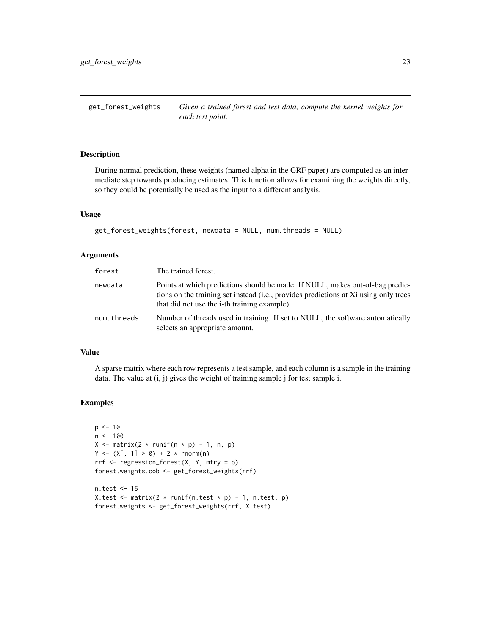<span id="page-22-1"></span><span id="page-22-0"></span>get\_forest\_weights *Given a trained forest and test data, compute the kernel weights for each test point.*

# Description

During normal prediction, these weights (named alpha in the GRF paper) are computed as an intermediate step towards producing estimates. This function allows for examining the weights directly, so they could be potentially be used as the input to a different analysis.

#### Usage

```
get_forest_weights(forest, newdata = NULL, num.threads = NULL)
```
#### Arguments

| forest      | The trained forest.                                                                                                                                                                                                           |
|-------------|-------------------------------------------------------------------------------------------------------------------------------------------------------------------------------------------------------------------------------|
| newdata     | Points at which predictions should be made. If NULL, makes out-of-bag predic-<br>tions on the training set instead (i.e., provides predictions at Xi using only trees<br>that did not use the <i>i</i> -th training example). |
| num.threads | Number of threads used in training. If set to NULL, the software automatically<br>selects an appropriate amount.                                                                                                              |

#### Value

A sparse matrix where each row represents a test sample, and each column is a sample in the training data. The value at (i, j) gives the weight of training sample j for test sample i.

```
p \le -10n < -100X \le matrix(2 * runif(n * p) - 1, n, p)
Y \leftarrow (X[, 1] > 0) + 2 * rnorm(n)rrf <- regression_forest(X, Y, mtry = p)
forest.weights.oob <- get_forest_weights(rrf)
n.test <- 15
```

```
X.test \leq matrix(2 \star runif(n.test \star p) - 1, n.test, p)
forest.weights <- get_forest_weights(rrf, X.test)
```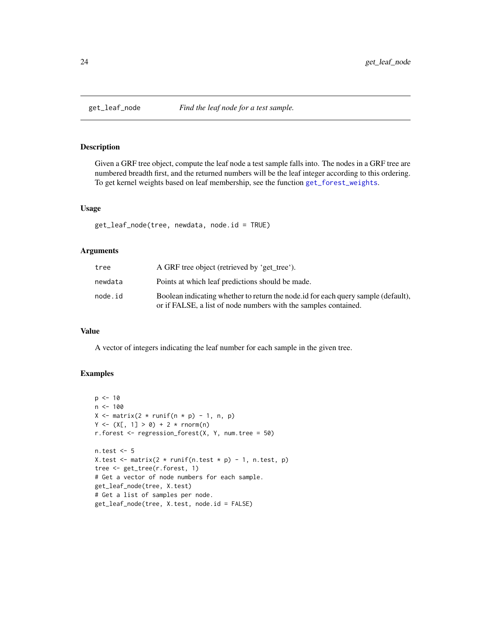<span id="page-23-0"></span>

## Description

Given a GRF tree object, compute the leaf node a test sample falls into. The nodes in a GRF tree are numbered breadth first, and the returned numbers will be the leaf integer according to this ordering. To get kernel weights based on leaf membership, see the function [get\\_forest\\_weights](#page-22-1).

# Usage

```
get_leaf_node(tree, newdata, node.id = TRUE)
```
# Arguments

| tree    | A GRF tree object (retrieved by 'get_tree').                                                                                                         |
|---------|------------------------------------------------------------------------------------------------------------------------------------------------------|
| newdata | Points at which leaf predictions should be made.                                                                                                     |
| node.id | Boolean indicating whether to return the node id for each query sample (default).<br>or if FALSE, a list of node numbers with the samples contained. |

# Value

A vector of integers indicating the leaf number for each sample in the given tree.

```
p \le -10n < -100X \le matrix(2 * runif(n * p) - 1, n, p)
Y \le -(X[, 1] > 0) + 2 * \text{norm}(n)r.forest \leq regression_forest(X, Y, num.tree = 50)
n.test <- 5
X.test \leq matrix(2 \star runif(n.test \star p) - 1, n.test, p)
tree <- get_tree(r.forest, 1)
# Get a vector of node numbers for each sample.
get_leaf_node(tree, X.test)
# Get a list of samples per node.
get_leaf_node(tree, X.test, node.id = FALSE)
```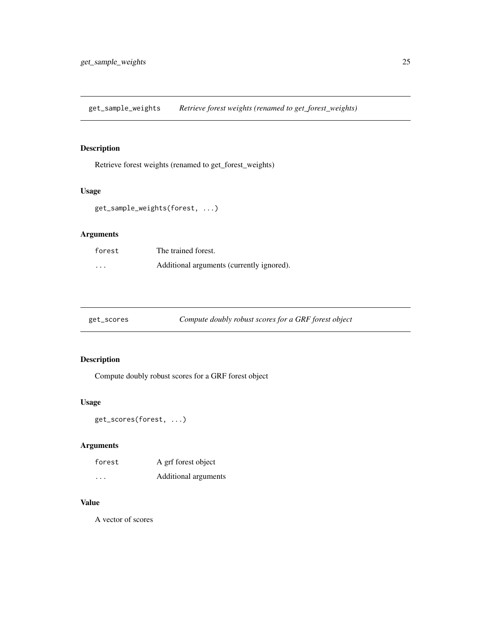<span id="page-24-0"></span>get\_sample\_weights *Retrieve forest weights (renamed to get\_forest\_weights)*

# Description

Retrieve forest weights (renamed to get\_forest\_weights)

#### Usage

```
get_sample_weights(forest, ...)
```
# Arguments

| forest                  | The trained forest.                       |
|-------------------------|-------------------------------------------|
| $\cdot$ $\cdot$ $\cdot$ | Additional arguments (currently ignored). |

# Description

Compute doubly robust scores for a GRF forest object

# Usage

get\_scores(forest, ...)

# Arguments

| forest               | A grf forest object  |
|----------------------|----------------------|
| $\ddot{\phantom{0}}$ | Additional arguments |

# Value

A vector of scores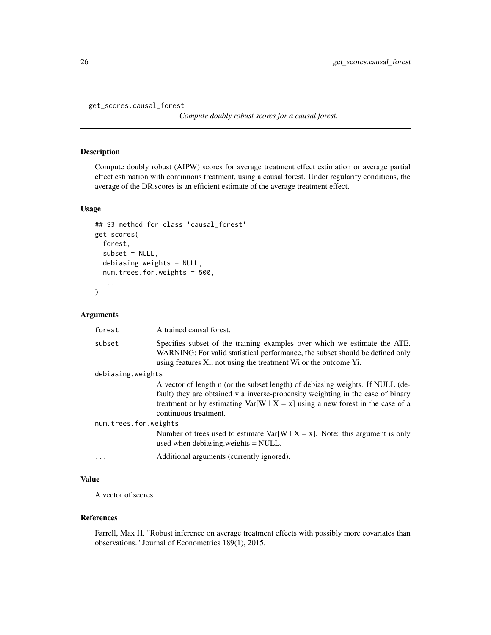```
get_scores.causal_forest
```
*Compute doubly robust scores for a causal forest.*

#### Description

Compute doubly robust (AIPW) scores for average treatment effect estimation or average partial effect estimation with continuous treatment, using a causal forest. Under regularity conditions, the average of the DR.scores is an efficient estimate of the average treatment effect.

# Usage

```
## S3 method for class 'causal_forest'
get_scores(
  forest,
  subset = NULL,debiasing.weights = NULL,
  num.trees.for.weights = 500,
  ...
\mathcal{L}
```
Arguments

| forest                | A trained causal forest.                                                                                                                                                                                                                                                      |  |
|-----------------------|-------------------------------------------------------------------------------------------------------------------------------------------------------------------------------------------------------------------------------------------------------------------------------|--|
| subset                | Specifies subset of the training examples over which we estimate the ATE.<br>WARNING: For valid statistical performance, the subset should be defined only<br>using features Xi, not using the treatment Wi or the outcome Yi.                                                |  |
| debiasing.weights     |                                                                                                                                                                                                                                                                               |  |
|                       | A vector of length n (or the subset length) of debiasing weights. If NULL (de-<br>fault) they are obtained via inverse-propensity weighting in the case of binary<br>treatment or by estimating $Var[W   X = x]$ using a new forest in the case of a<br>continuous treatment. |  |
| num.trees.for.weights |                                                                                                                                                                                                                                                                               |  |
|                       | Number of trees used to estimate Var[W   X = x]. Note: this argument is only<br>used when debiasing weights $=$ NULL.                                                                                                                                                         |  |
| $\ddots$              | Additional arguments (currently ignored).                                                                                                                                                                                                                                     |  |
|                       |                                                                                                                                                                                                                                                                               |  |

# Value

A vector of scores.

#### References

Farrell, Max H. "Robust inference on average treatment effects with possibly more covariates than observations." Journal of Econometrics 189(1), 2015.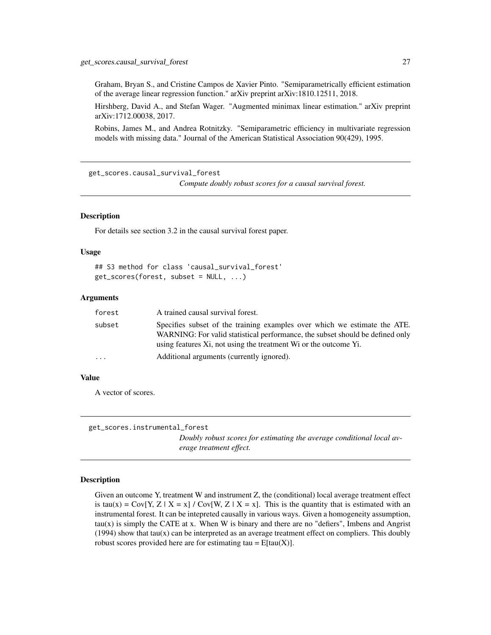<span id="page-26-0"></span>Graham, Bryan S., and Cristine Campos de Xavier Pinto. "Semiparametrically efficient estimation of the average linear regression function." arXiv preprint arXiv:1810.12511, 2018.

Hirshberg, David A., and Stefan Wager. "Augmented minimax linear estimation." arXiv preprint arXiv:1712.00038, 2017.

Robins, James M., and Andrea Rotnitzky. "Semiparametric efficiency in multivariate regression models with missing data." Journal of the American Statistical Association 90(429), 1995.

get\_scores.causal\_survival\_forest

*Compute doubly robust scores for a causal survival forest.*

#### **Description**

For details see section 3.2 in the causal survival forest paper.

#### Usage

```
## S3 method for class 'causal_survival_forest'
get_scores(forest, subset = NULL, ...)
```
#### Arguments

| forest    | A trained causal survival forest.                                                                                                                                                                                              |
|-----------|--------------------------------------------------------------------------------------------------------------------------------------------------------------------------------------------------------------------------------|
| subset    | Specifies subset of the training examples over which we estimate the ATE.<br>WARNING: For valid statistical performance, the subset should be defined only<br>using features Xi, not using the treatment Wi or the outcome Yi. |
| $\ddotsc$ | Additional arguments (currently ignored).                                                                                                                                                                                      |

# Value

A vector of scores.

```
get_scores.instrumental_forest
```
*Doubly robust scores for estimating the average conditional local average treatment effect.*

#### Description

Given an outcome Y, treatment W and instrument Z, the (conditional) local average treatment effect is tau(x) = Cov[Y, Z | X = x] / Cov[W, Z | X = x]. This is the quantity that is estimated with an instrumental forest. It can be intepreted causally in various ways. Given a homogeneity assumption,  $tau(x)$  is simply the CATE at x. When W is binary and there are no "defiers", Imbens and Angrist  $(1994)$  show that tau $(x)$  can be interpreted as an average treatment effect on compliers. This doubly robust scores provided here are for estimating tau =  $E[tau(X)]$ .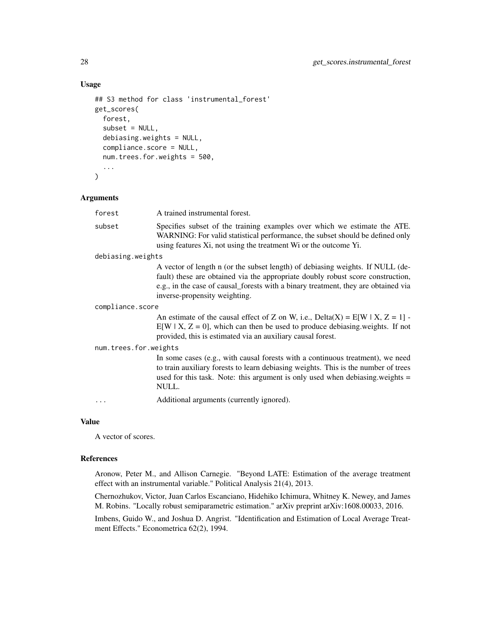# Usage

```
## S3 method for class 'instrumental_forest'
get_scores(
  forest,
  subset = NULL,
  debiasing.weights = NULL,
  compliance.score = NULL,
  num.trees.for.weights = 500,
  ...
\mathcal{E}
```
# Arguments

| forest                | A trained instrumental forest.                                                                                                                                                                                                                                                           |
|-----------------------|------------------------------------------------------------------------------------------------------------------------------------------------------------------------------------------------------------------------------------------------------------------------------------------|
| subset                | Specifies subset of the training examples over which we estimate the ATE.<br>WARNING: For valid statistical performance, the subset should be defined only<br>using features Xi, not using the treatment Wi or the outcome Yi.                                                           |
| debiasing.weights     |                                                                                                                                                                                                                                                                                          |
|                       | A vector of length n (or the subset length) of debiasing weights. If NULL (de-<br>fault) these are obtained via the appropriate doubly robust score construction,<br>e.g., in the case of causal_forests with a binary treatment, they are obtained via<br>inverse-propensity weighting. |
| compliance.score      |                                                                                                                                                                                                                                                                                          |
|                       | An estimate of the causal effect of Z on W, i.e., $Delta(X) = E[W \mid X, Z = 1]$ .<br>$E[W \mid X, Z = 0]$ , which can then be used to produce debiasing weights. If not<br>provided, this is estimated via an auxiliary causal forest.                                                 |
| num.trees.for.weights |                                                                                                                                                                                                                                                                                          |
|                       | In some cases (e.g., with causal forests with a continuous treatment), we need<br>to train auxiliary forests to learn debiasing weights. This is the number of trees<br>used for this task. Note: this argument is only used when debiasing weights =<br>NULL.                           |
|                       | Additional arguments (currently ignored).                                                                                                                                                                                                                                                |
|                       |                                                                                                                                                                                                                                                                                          |

# Value

A vector of scores.

#### References

Aronow, Peter M., and Allison Carnegie. "Beyond LATE: Estimation of the average treatment effect with an instrumental variable." Political Analysis 21(4), 2013.

Chernozhukov, Victor, Juan Carlos Escanciano, Hidehiko Ichimura, Whitney K. Newey, and James M. Robins. "Locally robust semiparametric estimation." arXiv preprint arXiv:1608.00033, 2016.

Imbens, Guido W., and Joshua D. Angrist. "Identification and Estimation of Local Average Treatment Effects." Econometrica 62(2), 1994.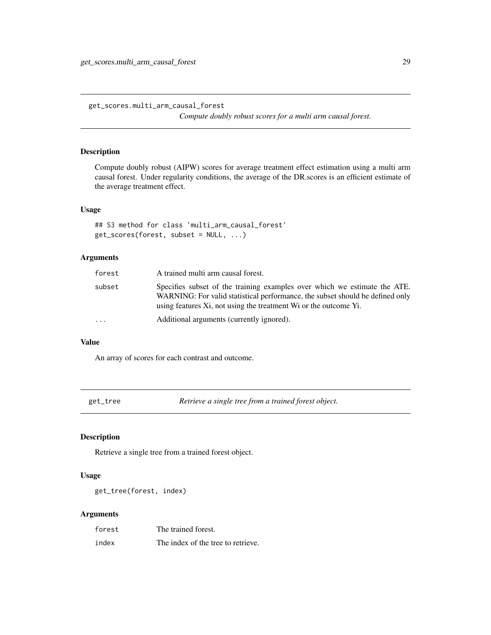<span id="page-28-0"></span>get\_scores.multi\_arm\_causal\_forest

*Compute doubly robust scores for a multi arm causal forest.*

#### Description

Compute doubly robust (AIPW) scores for average treatment effect estimation using a multi arm causal forest. Under regularity conditions, the average of the DR.scores is an efficient estimate of the average treatment effect.

#### Usage

```
## S3 method for class 'multi_arm_causal_forest'
get_scores(forest, subset = NULL, ...)
```
### Arguments

| forest                  | A trained multi arm causal forest.                                                                                                                                                                                             |
|-------------------------|--------------------------------------------------------------------------------------------------------------------------------------------------------------------------------------------------------------------------------|
| subset                  | Specifies subset of the training examples over which we estimate the ATE.<br>WARNING: For valid statistical performance, the subset should be defined only<br>using features Xi, not using the treatment Wi or the outcome Yi. |
| $\cdot$ $\cdot$ $\cdot$ | Additional arguments (currently ignored).                                                                                                                                                                                      |

#### Value

An array of scores for each contrast and outcome.

get\_tree *Retrieve a single tree from a trained forest object.*

# Description

Retrieve a single tree from a trained forest object.

# Usage

get\_tree(forest, index)

| forest | The trained forest.                |
|--------|------------------------------------|
| index  | The index of the tree to retrieve. |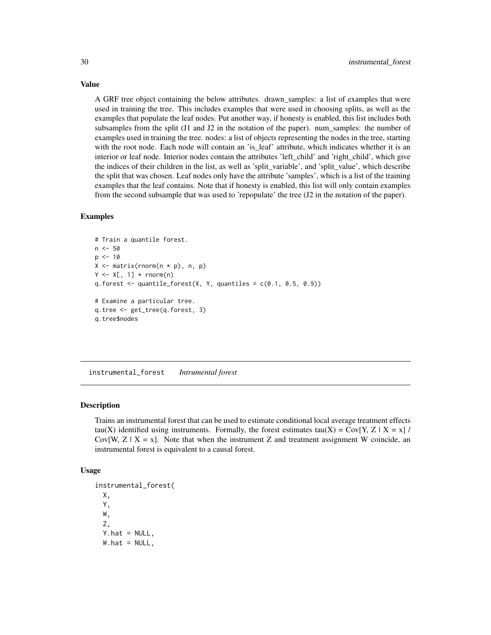A GRF tree object containing the below attributes. drawn\_samples: a list of examples that were used in training the tree. This includes examples that were used in choosing splits, as well as the examples that populate the leaf nodes. Put another way, if honesty is enabled, this list includes both subsamples from the split (J1 and J2 in the notation of the paper). num\_samples: the number of examples used in training the tree. nodes: a list of objects representing the nodes in the tree, starting with the root node. Each node will contain an 'is\_leaf' attribute, which indicates whether it is an interior or leaf node. Interior nodes contain the attributes 'left\_child' and 'right\_child', which give the indices of their children in the list, as well as 'split\_variable', and 'split\_value', which describe the split that was chosen. Leaf nodes only have the attribute 'samples', which is a list of the training examples that the leaf contains. Note that if honesty is enabled, this list will only contain examples from the second subsample that was used to 'repopulate' the tree (J2 in the notation of the paper).

#### Examples

```
# Train a quantile forest.
n <- 50
p \le -10X \leq - matrix(rnorm(n * p), n, p)
Y \leq X[, 1] * rnorm(n)q.forest \leq quantile_forest(X, Y, quantiles = c(0.1, 0.5, 0.9))
# Examine a particular tree.
q.tree <- get_tree(q.forest, 3)
q.tree$nodes
```
instrumental\_forest *Intrumental forest*

#### Description

Trains an instrumental forest that can be used to estimate conditional local average treatment effects tau(X) identified using instruments. Formally, the forest estimates tau(X) = Cov[Y, Z | X = x] / Cov[W,  $Z \mid X = x$ ]. Note that when the instrument Z and treatment assignment W coincide, an instrumental forest is equivalent to a causal forest.

#### Usage

```
instrumental_forest(
 X,
 Y,
 W,
  Z,
 Y.hat = NULL,
 W.hat = NULL,
```
<span id="page-29-0"></span>

# Value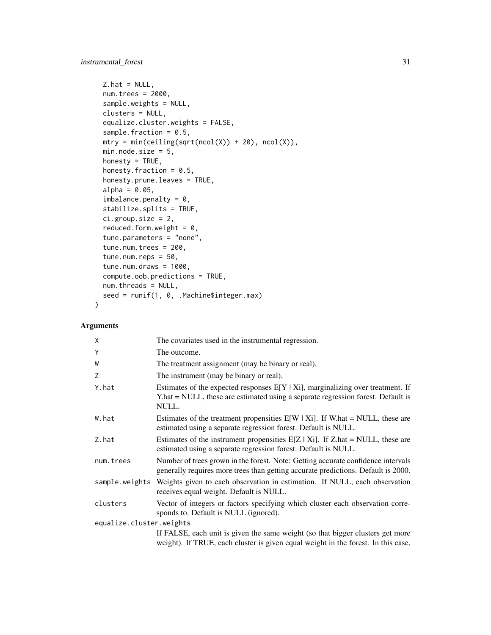```
Z.hat = NULL,num.trees = 2000,
sample.weights = NULL,
clusters = NULL,
equalize.cluster.weights = FALSE,
sample.fraction = 0.5,
mtry = min(ceiling(sqrt(ncol(X)) + 20), ncol(X)),min.node.size = 5,
honesty = TRUE,
honesty.fraction = 0.5,
honesty.prune.leaves = TRUE,
alpha = 0.05,
imbalance.penalty = 0,stabilize.splits = TRUE,
ci.group.size = 2,
reduced.form.weight = 0,
tune.parameters = "none",
tune.num.trees = 200,
tune.num.reps = 50,
tune.num.draws = 1000,
compute.oob.predictions = TRUE,
num.threads = NULL,
seed = runif(1, 0, .Machine$integer.max)
```
# Arguments

 $\mathcal{L}$ 

| X                        | The covariates used in the instrumental regression.                                                                                                                            |  |
|--------------------------|--------------------------------------------------------------------------------------------------------------------------------------------------------------------------------|--|
| Y                        | The outcome.                                                                                                                                                                   |  |
| W                        | The treatment assignment (may be binary or real).                                                                                                                              |  |
| Z                        | The instrument (may be binary or real).                                                                                                                                        |  |
| Y.hat                    | Estimates of the expected responses $E[Y X_i]$ , marginalizing over treatment. If<br>Y.hat = NULL, these are estimated using a separate regression forest. Default is<br>NULL. |  |
| W.hat                    | Estimates of the treatment propensities $E[W   Xi]$ . If W.hat = NULL, these are<br>estimated using a separate regression forest. Default is NULL.                             |  |
| Z.hat                    | Estimates of the instrument propensities $E[Z   X_i]$ . If Z.hat = NULL, these are<br>estimated using a separate regression forest. Default is NULL.                           |  |
| num.trees                | Number of trees grown in the forest. Note: Getting accurate confidence intervals<br>generally requires more trees than getting accurate predictions. Default is 2000.          |  |
|                          | sample weights Weights given to each observation in estimation. If NULL, each observation<br>receives equal weight. Default is NULL.                                           |  |
| clusters                 | Vector of integers or factors specifying which cluster each observation corre-<br>sponds to. Default is NULL (ignored).                                                        |  |
| equalize.cluster.weights |                                                                                                                                                                                |  |
|                          | If FALSE, each unit is given the same weight (so that bigger clusters get more<br>weight). If TRUE, each cluster is given equal weight in the forest. In this case,            |  |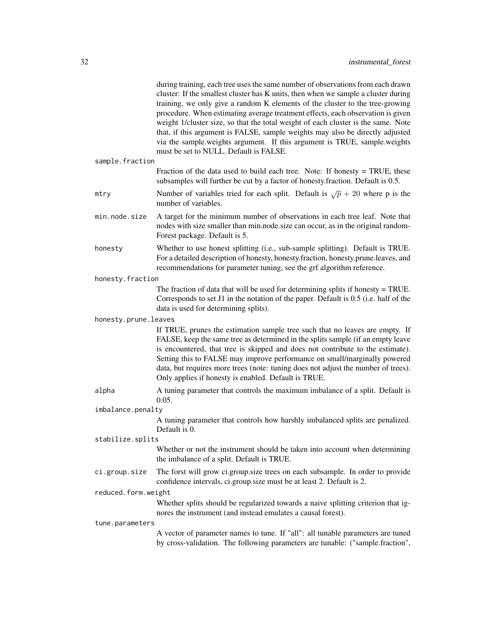| sample.fraction      | during training, each tree uses the same number of observations from each drawn<br>cluster: If the smallest cluster has K units, then when we sample a cluster during<br>training, we only give a random K elements of the cluster to the tree-growing<br>procedure. When estimating average treatment effects, each observation is given<br>weight 1/cluster size, so that the total weight of each cluster is the same. Note<br>that, if this argument is FALSE, sample weights may also be directly adjusted<br>via the sample weights argument. If this argument is TRUE, sample weights<br>must be set to NULL. Default is FALSE. |
|----------------------|----------------------------------------------------------------------------------------------------------------------------------------------------------------------------------------------------------------------------------------------------------------------------------------------------------------------------------------------------------------------------------------------------------------------------------------------------------------------------------------------------------------------------------------------------------------------------------------------------------------------------------------|
|                      | Fraction of the data used to build each tree. Note: If honesty = TRUE, these<br>subsamples will further be cut by a factor of honesty. fraction. Default is 0.5.                                                                                                                                                                                                                                                                                                                                                                                                                                                                       |
| mtry                 | Number of variables tried for each split. Default is $\sqrt{p} + 20$ where p is the<br>number of variables.                                                                                                                                                                                                                                                                                                                                                                                                                                                                                                                            |
| min.node.size        | A target for the minimum number of observations in each tree leaf. Note that<br>nodes with size smaller than min.node.size can occur, as in the original random-<br>Forest package. Default is 5.                                                                                                                                                                                                                                                                                                                                                                                                                                      |
| honesty              | Whether to use honest splitting (i.e., sub-sample splitting). Default is TRUE.<br>For a detailed description of honesty, honesty.fraction, honesty.prune.leaves, and<br>recommendations for parameter tuning, see the grf algorithm reference.                                                                                                                                                                                                                                                                                                                                                                                         |
| honesty.fraction     |                                                                                                                                                                                                                                                                                                                                                                                                                                                                                                                                                                                                                                        |
|                      | The fraction of data that will be used for determining splits if honesty $=$ TRUE.<br>Corresponds to set J1 in the notation of the paper. Default is 0.5 (i.e. half of the<br>data is used for determining splits).                                                                                                                                                                                                                                                                                                                                                                                                                    |
| honesty.prune.leaves |                                                                                                                                                                                                                                                                                                                                                                                                                                                                                                                                                                                                                                        |
|                      | If TRUE, prunes the estimation sample tree such that no leaves are empty. If<br>FALSE, keep the same tree as determined in the splits sample (if an empty leave<br>is encountered, that tree is skipped and does not contribute to the estimate).<br>Setting this to FALSE may improve performance on small/marginally powered<br>data, but requires more trees (note: tuning does not adjust the number of trees).<br>Only applies if honesty is enabled. Default is TRUE.                                                                                                                                                            |
| alpha                | A tuning parameter that controls the maximum imbalance of a split. Default is<br>0.05.                                                                                                                                                                                                                                                                                                                                                                                                                                                                                                                                                 |
| imbalance.penalty    |                                                                                                                                                                                                                                                                                                                                                                                                                                                                                                                                                                                                                                        |
|                      | A tuning parameter that controls how harshly imbalanced splits are penalized.<br>Default is 0.                                                                                                                                                                                                                                                                                                                                                                                                                                                                                                                                         |
| stabilize.splits     |                                                                                                                                                                                                                                                                                                                                                                                                                                                                                                                                                                                                                                        |
|                      | Whether or not the instrument should be taken into account when determining                                                                                                                                                                                                                                                                                                                                                                                                                                                                                                                                                            |
| ci.group.size        | the imbalance of a split. Default is TRUE.                                                                                                                                                                                                                                                                                                                                                                                                                                                                                                                                                                                             |
|                      | The forst will grow ci.group.size trees on each subsample. In order to provide<br>confidence intervals, ci.group.size must be at least 2. Default is 2.                                                                                                                                                                                                                                                                                                                                                                                                                                                                                |
| reduced.form.weight  |                                                                                                                                                                                                                                                                                                                                                                                                                                                                                                                                                                                                                                        |
|                      | Whether splits should be regularized towards a naive splitting criterion that ig-<br>nores the instrument (and instead emulates a causal forest).                                                                                                                                                                                                                                                                                                                                                                                                                                                                                      |
| tune.parameters      | A vector of parameter names to tune. If "all": all tunable parameters are tuned                                                                                                                                                                                                                                                                                                                                                                                                                                                                                                                                                        |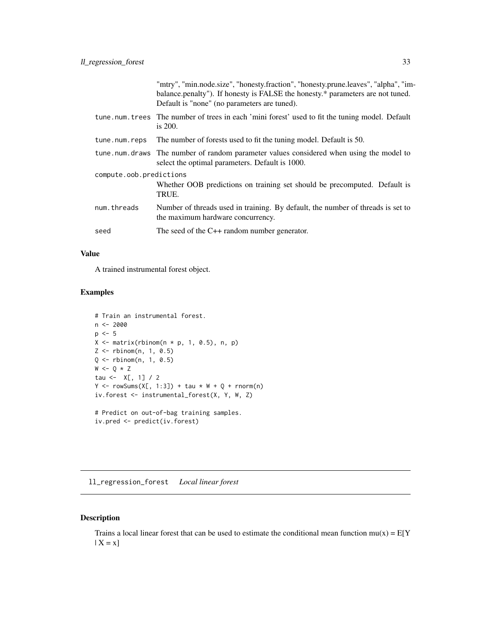<span id="page-32-0"></span>

|                         |               | "mtry", "min.node.size", "honesty.fraction", "honesty.prune.leaves", "alpha", "im-<br>balance.penalty"). If honesty is FALSE the honesty.* parameters are not tuned.<br>Default is "none" (no parameters are tuned). |
|-------------------------|---------------|----------------------------------------------------------------------------------------------------------------------------------------------------------------------------------------------------------------------|
|                         |               | tune num trees The number of trees in each 'mini forest' used to fit the tuning model. Default<br>is $200$ .                                                                                                         |
|                         | tune.num.reps | The number of forests used to fit the tuning model. Default is 50.                                                                                                                                                   |
|                         |               | tune . num. draws The number of random parameter values considered when using the model to<br>select the optimal parameters. Default is 1000.                                                                        |
| compute.oob.predictions |               |                                                                                                                                                                                                                      |
|                         |               | Whether OOB predictions on training set should be precomputed. Default is<br>TRUE.                                                                                                                                   |
|                         | num.threads   | Number of threads used in training. By default, the number of threads is set to<br>the maximum hardware concurrency.                                                                                                 |
|                         | seed          | The seed of the $C++$ random number generator.                                                                                                                                                                       |
|                         |               |                                                                                                                                                                                                                      |

# Value

A trained instrumental forest object.

# Examples

```
# Train an instrumental forest.
n < -2000p \le -5X \leftarrow matrix(rbinom(n * p, 1, 0.5), n, p)Z \leq - rbinom(n, 1, 0.5)
Q \leftarrow rbinom(n, 1, 0.5)W \leftarrow Q * Ztau <- X[, 1] / 2
Y \leftarrow \text{rowSums}(X[, 1:3]) + \text{tau} \times W + Q + \text{rnorm}(n)iv.forest <- instrumental_forest(X, Y, W, Z)
# Predict on out-of-bag training samples.
```
iv.pred <- predict(iv.forest)

ll\_regression\_forest *Local linear forest*

# Description

Trains a local linear forest that can be used to estimate the conditional mean function  $mu(x) = E[Y]$  $| X = x]$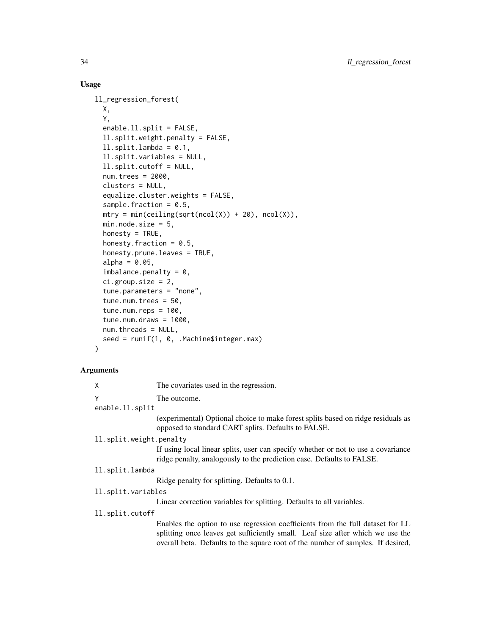# Usage

```
ll_regression_forest(
 X,
  Y,
  enable.ll.split = FALSE,
  ll.split.weight.penalty = FALSE,
  11.split.lambda = 0.1,ll.split.variables = NULL,
  ll.split.cutoff = NULL,
  num.trees = 2000,
  clusters = NULL,
  equalize.cluster.weights = FALSE,
  sample.fraction = 0.5,
  mtry = min(ceiling(sqrt(ncol(X)) + 20), ncol(X)),min.node.size = 5,
  honesty = TRUE,
  honesty.fraction = 0.5,
  honesty.prune.leaves = TRUE,
  alpha = 0.05,
  imbalance.penalty = 0,ci.group.size = 2,
  tune.parameters = "none",
  tune.num.trees = 50,
  tune.num.reps = 100,
  tune.num.draws = 1000,
  num.threads = NULL,
  seed = runif(1, 0, .Machine$integer.max)
\mathcal{L}
```
#### Arg

| <b>uments</b>           |                                                                                                                                                                                                                                                     |
|-------------------------|-----------------------------------------------------------------------------------------------------------------------------------------------------------------------------------------------------------------------------------------------------|
| X                       | The covariates used in the regression.                                                                                                                                                                                                              |
| Y                       | The outcome.                                                                                                                                                                                                                                        |
| enable.ll.split         |                                                                                                                                                                                                                                                     |
|                         | (experimental) Optional choice to make forest splits based on ridge residuals as<br>opposed to standard CART splits. Defaults to FALSE.                                                                                                             |
| 11.split.weight.penalty |                                                                                                                                                                                                                                                     |
|                         | If using local linear splits, user can specify whether or not to use a covariance<br>ridge penalty, analogously to the prediction case. Defaults to FALSE.                                                                                          |
| ll.split.lambda         |                                                                                                                                                                                                                                                     |
|                         | Ridge penalty for splitting. Defaults to 0.1.                                                                                                                                                                                                       |
| ll.split.variables      |                                                                                                                                                                                                                                                     |
|                         | Linear correction variables for splitting. Defaults to all variables.                                                                                                                                                                               |
| ll.split.cutoff         |                                                                                                                                                                                                                                                     |
|                         | Enables the option to use regression coefficients from the full dataset for LL<br>splitting once leaves get sufficiently small. Leaf size after which we use the<br>overall beta. Defaults to the square root of the number of samples. If desired, |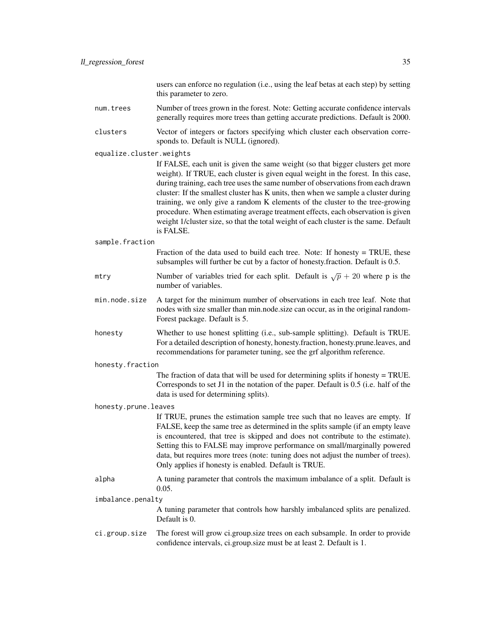users can enforce no regulation (i.e., using the leaf betas at each step) by setting this parameter to zero.

- num. trees Number of trees grown in the forest. Note: Getting accurate confidence intervals generally requires more trees than getting accurate predictions. Default is 2000.
- clusters Vector of integers or factors specifying which cluster each observation corresponds to. Default is NULL (ignored).

#### equalize.cluster.weights

If FALSE, each unit is given the same weight (so that bigger clusters get more weight). If TRUE, each cluster is given equal weight in the forest. In this case, during training, each tree uses the same number of observations from each drawn cluster: If the smallest cluster has K units, then when we sample a cluster during training, we only give a random K elements of the cluster to the tree-growing procedure. When estimating average treatment effects, each observation is given weight 1/cluster size, so that the total weight of each cluster is the same. Default is FALSE.

#### sample.fraction

Fraction of the data used to build each tree. Note: If honesty = TRUE, these subsamples will further be cut by a factor of honesty.fraction. Default is 0.5.

- mtry Number of variables tried for each split. Default is  $\sqrt{p} + 20$  where p is the number of variables.
- min.node.size A target for the minimum number of observations in each tree leaf. Note that nodes with size smaller than min.node.size can occur, as in the original random-Forest package. Default is 5.
- honesty Whether to use honest splitting (i.e., sub-sample splitting). Default is TRUE. For a detailed description of honesty, honesty.fraction, honesty.prune.leaves, and recommendations for parameter tuning, see the grf algorithm reference.
- honesty.fraction

The fraction of data that will be used for determining splits if honesty = TRUE. Corresponds to set J1 in the notation of the paper. Default is 0.5 (i.e. half of the data is used for determining splits).

#### honesty.prune.leaves

If TRUE, prunes the estimation sample tree such that no leaves are empty. If FALSE, keep the same tree as determined in the splits sample (if an empty leave is encountered, that tree is skipped and does not contribute to the estimate). Setting this to FALSE may improve performance on small/marginally powered data, but requires more trees (note: tuning does not adjust the number of trees). Only applies if honesty is enabled. Default is TRUE.

alpha A tuning parameter that controls the maximum imbalance of a split. Default is 0.05.

#### imbalance.penalty

A tuning parameter that controls how harshly imbalanced splits are penalized. Default is 0.

ci.group.size The forest will grow ci.group.size trees on each subsample. In order to provide confidence intervals, ci.group.size must be at least 2. Default is 1.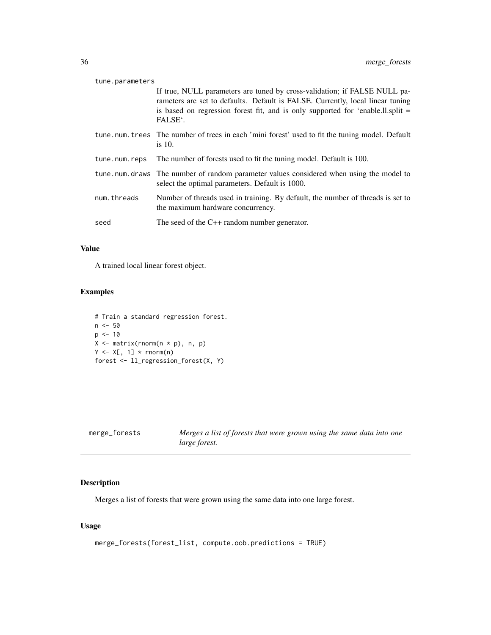<span id="page-35-0"></span>

| tune.parameters |                                                                                                                                                                                                                                                                        |  |
|-----------------|------------------------------------------------------------------------------------------------------------------------------------------------------------------------------------------------------------------------------------------------------------------------|--|
|                 | If true, NULL parameters are tuned by cross-validation; if FALSE NULL pa-<br>rameters are set to defaults. Default is FALSE. Currently, local linear tuning<br>is based on regression forest fit, and is only supported for 'enable.ll.split $=$<br>FALSE <sup>.</sup> |  |
|                 | tune num trees The number of trees in each 'mini forest' used to fit the tuning model. Default<br>is $10$ .                                                                                                                                                            |  |
| tune.num.reps   | The number of forests used to fit the tuning model. Default is 100.                                                                                                                                                                                                    |  |
|                 |                                                                                                                                                                                                                                                                        |  |
|                 | tune num draws The number of random parameter values considered when using the model to<br>select the optimal parameters. Default is 1000.                                                                                                                             |  |
| num.threads     | Number of threads used in training. By default, the number of threads is set to<br>the maximum hardware concurrency.                                                                                                                                                   |  |

# Value

A trained local linear forest object.

# Examples

```
# Train a standard regression forest.
n <- 50
p \le -10X <- matrix(rnorm(n * p), n, p)
Y \leftarrow X[, 1] * rnorm(n)forest <- ll_regression_forest(X, Y)
```

| merge_forests | Merges a list of forests that were grown using the same data into one |
|---------------|-----------------------------------------------------------------------|
|               | <i>large forest.</i>                                                  |

# Description

Merges a list of forests that were grown using the same data into one large forest.

# Usage

```
merge_forests(forest_list, compute.oob.predictions = TRUE)
```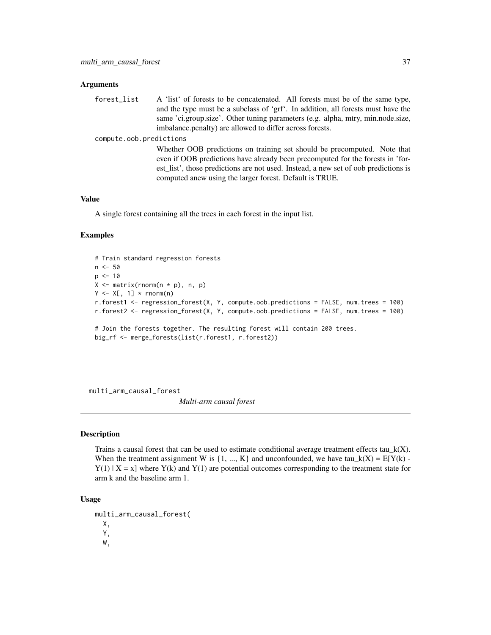#### **Arguments**

forest\_list A 'list' of forests to be concatenated. All forests must be of the same type, and the type must be a subclass of 'grf'. In addition, all forests must have the same 'ci.group.size'. Other tuning parameters (e.g. alpha, mtry, min.node.size, imbalance.penalty) are allowed to differ across forests.

#### compute.oob.predictions

Whether OOB predictions on training set should be precomputed. Note that even if OOB predictions have already been precomputed for the forests in 'forest\_list', those predictions are not used. Instead, a new set of oob predictions is computed anew using the larger forest. Default is TRUE.

#### Value

A single forest containing all the trees in each forest in the input list.

#### Examples

```
# Train standard regression forests
n < -50p \le -10X \leftarrow matrix(rnorm(n * p), n, p)Y \leq X[, 1] * rnorm(n)r.forest1 <- regression_forest(X, Y, compute.oob.predictions = FALSE, num.trees = 100)
r.forest2 <- regression_forest(X, Y, compute.oob.predictions = FALSE, num.trees = 100)
# Join the forests together. The resulting forest will contain 200 trees.
big_rf <- merge_forests(list(r.forest1, r.forest2))
```
multi\_arm\_causal\_forest

*Multi-arm causal forest*

#### **Description**

Trains a causal forest that can be used to estimate conditional average treatment effects tau\_k(X). When the treatment assignment W is  $\{1, ..., K\}$  and unconfounded, we have tau\_k(X) = E[Y(k) - $Y(1)$  | X = x] where  $Y(k)$  and  $Y(1)$  are potential outcomes corresponding to the treatment state for arm k and the baseline arm 1.

#### Usage

multi\_arm\_causal\_forest( X, Y, W,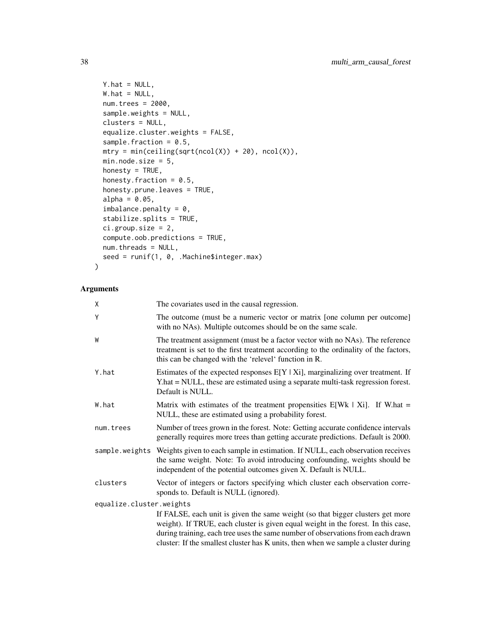```
Y.hat = NULL,W.hat = NULL,num.trees = 2000,
sample.weights = NULL,
clusters = NULL,
equalize.cluster.weights = FALSE,
sample.fraction = 0.5,
mtry = min(ceiling(sqrt(ncol(X)) + 20), ncol(X)),min.node.size = 5,
honesty = TRUE,
honesty.fraction = 0.5,
honesty.prune.leaves = TRUE,
alpha = 0.05,
imbalance.penalty = 0,
stabilize.splits = TRUE,
ci.group.size = 2,
compute.oob.predictions = TRUE,
num.threads = NULL,
seed = runif(1, 0, .Machine$integer.max)
```
## Arguments

)

| χ                        | The covariates used in the causal regression.                                                                                                                                                                                                                                                                                                |  |
|--------------------------|----------------------------------------------------------------------------------------------------------------------------------------------------------------------------------------------------------------------------------------------------------------------------------------------------------------------------------------------|--|
| Υ                        | The outcome (must be a numeric vector or matrix [one column per outcome]<br>with no NAs). Multiple outcomes should be on the same scale.                                                                                                                                                                                                     |  |
| W                        | The treatment assignment (must be a factor vector with no NAs). The reference<br>treatment is set to the first treatment according to the ordinality of the factors,<br>this can be changed with the 'relevel' function in R.                                                                                                                |  |
| Y.hat                    | Estimates of the expected responses $E[Y   X_i]$ , marginalizing over treatment. If<br>Y.hat = NULL, these are estimated using a separate multi-task regression forest.<br>Default is NULL.                                                                                                                                                  |  |
| W.hat                    | Matrix with estimates of the treatment propensities $E[Wh   Xi]$ . If W.hat =<br>NULL, these are estimated using a probability forest.                                                                                                                                                                                                       |  |
| num.trees                | Number of trees grown in the forest. Note: Getting accurate confidence intervals<br>generally requires more trees than getting accurate predictions. Default is 2000.                                                                                                                                                                        |  |
|                          | sample weights Weights given to each sample in estimation. If NULL, each observation receives<br>the same weight. Note: To avoid introducing confounding, weights should be<br>independent of the potential outcomes given X. Default is NULL.                                                                                               |  |
| clusters                 | Vector of integers or factors specifying which cluster each observation corre-<br>sponds to. Default is NULL (ignored).                                                                                                                                                                                                                      |  |
| equalize.cluster.weights |                                                                                                                                                                                                                                                                                                                                              |  |
|                          | If FALSE, each unit is given the same weight (so that bigger clusters get more<br>weight). If TRUE, each cluster is given equal weight in the forest. In this case,<br>during training, each tree uses the same number of observations from each drawn<br>cluster: If the smallest cluster has K units, then when we sample a cluster during |  |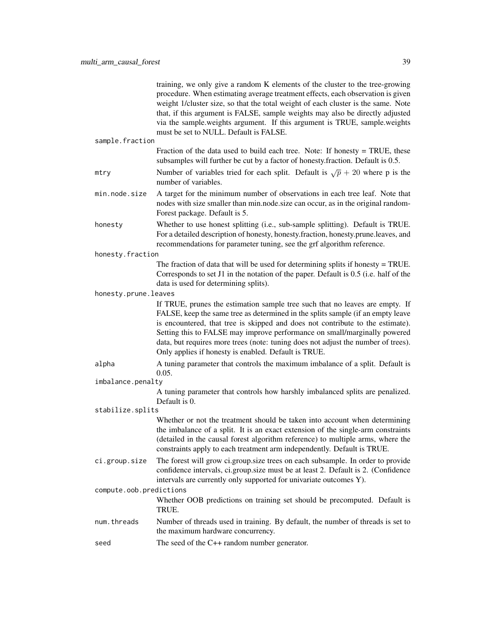|                                                                                                | training, we only give a random K elements of the cluster to the tree-growing<br>procedure. When estimating average treatment effects, each observation is given<br>weight 1/cluster size, so that the total weight of each cluster is the same. Note<br>that, if this argument is FALSE, sample weights may also be directly adjusted<br>via the sample weights argument. If this argument is TRUE, sample weights<br>must be set to NULL. Default is FALSE.               |  |
|------------------------------------------------------------------------------------------------|-----------------------------------------------------------------------------------------------------------------------------------------------------------------------------------------------------------------------------------------------------------------------------------------------------------------------------------------------------------------------------------------------------------------------------------------------------------------------------|--|
| sample.fraction                                                                                |                                                                                                                                                                                                                                                                                                                                                                                                                                                                             |  |
|                                                                                                | Fraction of the data used to build each tree. Note: If honesty $=$ TRUE, these<br>subsamples will further be cut by a factor of honesty.fraction. Default is 0.5.                                                                                                                                                                                                                                                                                                           |  |
| mtry                                                                                           | Number of variables tried for each split. Default is $\sqrt{p} + 20$ where p is the<br>number of variables.                                                                                                                                                                                                                                                                                                                                                                 |  |
| min.node.size                                                                                  | A target for the minimum number of observations in each tree leaf. Note that<br>nodes with size smaller than min.node.size can occur, as in the original random-<br>Forest package. Default is 5.                                                                                                                                                                                                                                                                           |  |
| honesty                                                                                        | Whether to use honest splitting (i.e., sub-sample splitting). Default is TRUE.<br>For a detailed description of honesty, honesty.fraction, honesty.prune.leaves, and<br>recommendations for parameter tuning, see the grf algorithm reference.                                                                                                                                                                                                                              |  |
| honesty.fraction                                                                               |                                                                                                                                                                                                                                                                                                                                                                                                                                                                             |  |
|                                                                                                | The fraction of data that will be used for determining splits if honesty $=$ TRUE.<br>Corresponds to set J1 in the notation of the paper. Default is 0.5 (i.e. half of the<br>data is used for determining splits).                                                                                                                                                                                                                                                         |  |
| honesty.prune.leaves                                                                           |                                                                                                                                                                                                                                                                                                                                                                                                                                                                             |  |
|                                                                                                | If TRUE, prunes the estimation sample tree such that no leaves are empty. If<br>FALSE, keep the same tree as determined in the splits sample (if an empty leave<br>is encountered, that tree is skipped and does not contribute to the estimate).<br>Setting this to FALSE may improve performance on small/marginally powered<br>data, but requires more trees (note: tuning does not adjust the number of trees).<br>Only applies if honesty is enabled. Default is TRUE. |  |
| alpha                                                                                          | A tuning parameter that controls the maximum imbalance of a split. Default is<br>0.05.                                                                                                                                                                                                                                                                                                                                                                                      |  |
| imbalance.penalty                                                                              |                                                                                                                                                                                                                                                                                                                                                                                                                                                                             |  |
|                                                                                                | A tuning parameter that controls how harshly imbalanced splits are penalized.<br>Default is 0.                                                                                                                                                                                                                                                                                                                                                                              |  |
| stabilize.splits<br>Whether or not the treatment should be taken into account when determining |                                                                                                                                                                                                                                                                                                                                                                                                                                                                             |  |
|                                                                                                | the imbalance of a split. It is an exact extension of the single-arm constraints<br>(detailed in the causal forest algorithm reference) to multiple arms, where the<br>constraints apply to each treatment arm independently. Default is TRUE.                                                                                                                                                                                                                              |  |
| ci.group.size                                                                                  | The forest will grow ci.group.size trees on each subsample. In order to provide<br>confidence intervals, ci.group.size must be at least 2. Default is 2. (Confidence<br>intervals are currently only supported for univariate outcomes Y).                                                                                                                                                                                                                                  |  |
| compute.oob.predictions                                                                        |                                                                                                                                                                                                                                                                                                                                                                                                                                                                             |  |
|                                                                                                | Whether OOB predictions on training set should be precomputed. Default is<br>TRUE.                                                                                                                                                                                                                                                                                                                                                                                          |  |
| num.threads                                                                                    | Number of threads used in training. By default, the number of threads is set to<br>the maximum hardware concurrency.                                                                                                                                                                                                                                                                                                                                                        |  |
| seed                                                                                           | The seed of the $C++$ random number generator.                                                                                                                                                                                                                                                                                                                                                                                                                              |  |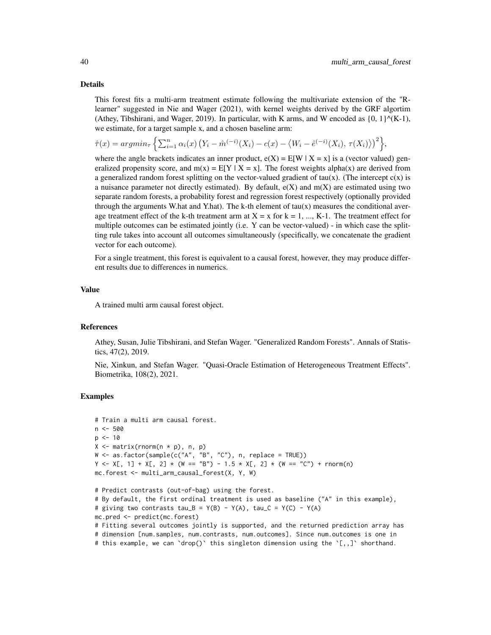#### Details

This forest fits a multi-arm treatment estimate following the multivariate extension of the "Rlearner" suggested in Nie and Wager (2021), with kernel weights derived by the GRF algortim (Athey, Tibshirani, and Wager, 2019). In particular, with K arms, and W encoded as  $\{0, 1\}^{\wedge}(K-1)$ , we estimate, for a target sample x, and a chosen baseline arm:

$$
\hat{\tau}(x) = argmin_{\tau} \left\{ \sum_{i=1}^{n} \alpha_i(x) \left( Y_i - \hat{m}^{(-i)}(X_i) - c(x) - \langle W_i - \hat{e}^{(-i)}(X_i), \tau(X_i) \rangle \right)^2 \right\},\
$$

where the angle brackets indicates an inner product,  $e(X) = E[W | X = x]$  is a (vector valued) generalized propensity score, and  $m(x) = E[Y | X = x]$ . The forest weights alpha(x) are derived from a generalized random forest splitting on the vector-valued gradient of tau(x). (The intercept  $c(x)$  is a nuisance parameter not directly estimated). By default,  $e(X)$  and  $m(X)$  are estimated using two separate random forests, a probability forest and regression forest respectively (optionally provided through the arguments W.hat and Y.hat). The k-th element of  $tau(x)$  measures the conditional average treatment effect of the k-th treatment arm at  $X = x$  for  $k = 1, ..., K-1$ . The treatment effect for multiple outcomes can be estimated jointly (i.e. Y can be vector-valued) - in which case the splitting rule takes into account all outcomes simultaneously (specifically, we concatenate the gradient vector for each outcome).

For a single treatment, this forest is equivalent to a causal forest, however, they may produce different results due to differences in numerics.

#### Value

A trained multi arm causal forest object.

## References

Athey, Susan, Julie Tibshirani, and Stefan Wager. "Generalized Random Forests". Annals of Statistics, 47(2), 2019.

Nie, Xinkun, and Stefan Wager. "Quasi-Oracle Estimation of Heterogeneous Treatment Effects". Biometrika, 108(2), 2021.

```
# Train a multi arm causal forest.
n < -500p \le -10X \leftarrow matrix(rnorm(n * p), n, p)W <- as.factor(sample(c("A", "B", "C"), n, replace = TRUE))
Y <- X[, 1] + X[, 2] * (W == "B") - 1.5 * X[, 2] * (W == "C") + rnorm(n)
mc.forest <- multi_arm_causal_forest(X, Y, W)
# Predict contrasts (out-of-bag) using the forest.
# By default, the first ordinal treatment is used as baseline ("A" in this example),
# giving two contrasts tau_B = Y(B) - Y(A), tau_C = Y(C) - Y(A)mc.pred <- predict(mc.forest)
# Fitting several outcomes jointly is supported, and the returned prediction array has
# dimension [num.samples, num.contrasts, num.outcomes]. Since num.outcomes is one in
# this example, we can `drop()` this singleton dimension using the `[,,]` shorthand.
```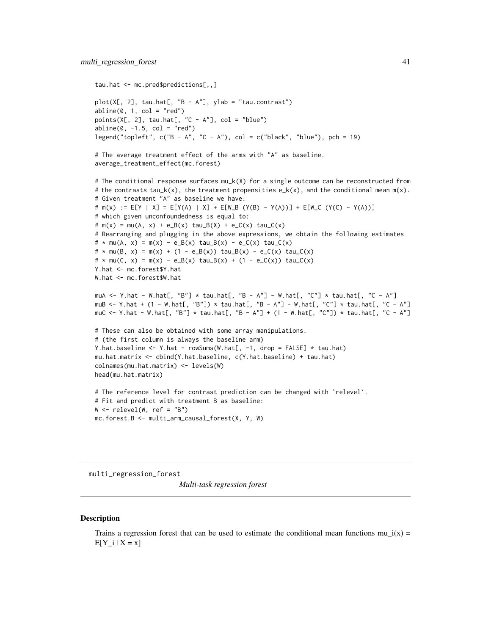```
tau.hat <- mc.pred$predictions[,,]
plot(X[, 2], tau.hat[, "B - A"], ylab = "tau.contrast")
abline(0, 1, col = "red")points(X[, 2], tau.hat[, "C - A"], col = "blue")abline(0, -1.5, col = "red")legend("topleft", c("B - A", "C - A"), col = c("black", "blue"), pch = 19)# The average treatment effect of the arms with "A" as baseline.
average_treatment_effect(mc.forest)
# The conditional response surfaces mu_k(X) for a single outcome can be reconstructed from
# the contrasts tau_k(x), the treatment propensities e_k(x), and the conditional mean m(x).
# Given treatment "A" as baseline we have:
# m(x) := E[Y | X] = E[Y(A) | X] + E[W_B (Y(B) - Y(A))] + E[W_C (Y(C) - Y(A))]
# which given unconfoundedness is equal to:
# m(x) = mu(A, x) + e_B(x) \tau = B(X) + e_C(x) \tau = c(x) \tau = c(x)# Rearranging and plugging in the above expressions, we obtain the following estimates
# * mu(A, x) = m(x) - e_B(x) \tau + e_B(x) - e_C(x) \tau + e_C(x) \tau\# * mu(B, x) = m(x) + (1 - e_B(x)) \tau = B(x) - e_C(x) \tau = L(x)\# * mu(C, x) = m(x) - e_B(x) \tan B(x) + (1 - e_C(x)) \tan C(x)Y.hat <- mc.forest$Y.hat
W.hat <- mc.forest$W.hat
muA <- Y.hat - W.hat[, "B"] * tau.hat[, "B - A"] - W.hat[, "C"] * tau.hat[, "C - A"]
muB <- Y.hat + (1 - W.hat[, "B"]) * tau.hat[, "B - A"] - W.hat[, "C"] * tau.hat[, "C - A"]
muC <- Y.hat - W.hat[, "B"] * tau.hat[, "B - A"] + (1 - W.hat[, "C"]) * tau.hat[, "C - A"]
# These can also be obtained with some array manipulations.
# (the first column is always the baseline arm)
Y.hat.baseline <- Y.hat - rowSums(W.hat[, -1, drop = FALSE] * tau.hat)
mu.hat.matrix <- cbind(Y.hat.baseline, c(Y.hat.baseline) + tau.hat)
colnames(mu.hat.matrix) <- levels(W)
head(mu.hat.matrix)
# The reference level for contrast prediction can be changed with `relevel`.
# Fit and predict with treatment B as baseline:
W \leftarrow relevel(W, ref = "B")
mc.forest.B <- multi_arm_causal_forest(X, Y, W)
```
multi\_regression\_forest

*Multi-task regression forest*

#### **Description**

Trains a regression forest that can be used to estimate the conditional mean functions mu  $i(x)$  =  $E[Y_i | X = x]$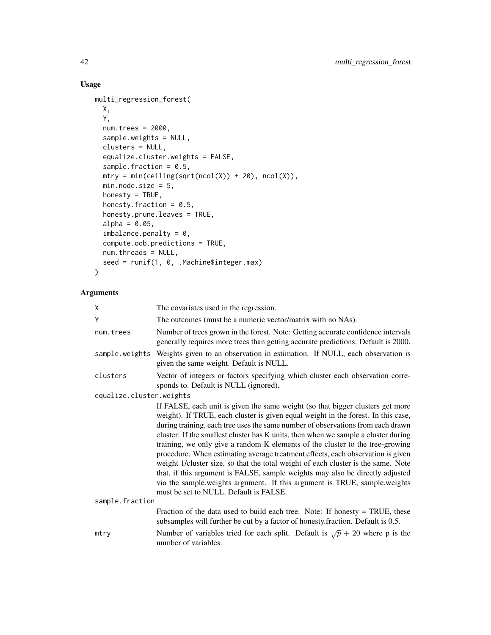## Usage

```
multi_regression_forest(
 X,
  Y,
 num.trees = 2000,
  sample.weights = NULL,
 clusters = NULL,
  equalize.cluster.weights = FALSE,
  sample.fraction = 0.5,
 mtry = min(ceiling(sqrt(ncol(X)) + 20), ncol(X)),min.node.size = 5,
 honesty = TRUE,
  honesty.fraction = 0.5,
  honesty.prune.leaves = TRUE,
  alpha = 0.05,
  imbalance.penalty = 0,compute.oob.predictions = TRUE,
 num.threads = NULL,
  seed = runif(1, 0, .Machine$integer.max)
\mathcal{L}
```

| X                        | The covariates used in the regression.                                                                                                                                                                                                                                                                                                                                                                                                                                                                                                                                                                                                                                                                                                                                                                        |
|--------------------------|---------------------------------------------------------------------------------------------------------------------------------------------------------------------------------------------------------------------------------------------------------------------------------------------------------------------------------------------------------------------------------------------------------------------------------------------------------------------------------------------------------------------------------------------------------------------------------------------------------------------------------------------------------------------------------------------------------------------------------------------------------------------------------------------------------------|
| Υ                        | The outcomes (must be a numeric vector/matrix with no NAs).                                                                                                                                                                                                                                                                                                                                                                                                                                                                                                                                                                                                                                                                                                                                                   |
| num.trees                | Number of trees grown in the forest. Note: Getting accurate confidence intervals<br>generally requires more trees than getting accurate predictions. Default is 2000.                                                                                                                                                                                                                                                                                                                                                                                                                                                                                                                                                                                                                                         |
|                          | sample weights Weights given to an observation in estimation. If NULL, each observation is<br>given the same weight. Default is NULL.                                                                                                                                                                                                                                                                                                                                                                                                                                                                                                                                                                                                                                                                         |
| clusters                 | Vector of integers or factors specifying which cluster each observation corre-<br>sponds to. Default is NULL (ignored).                                                                                                                                                                                                                                                                                                                                                                                                                                                                                                                                                                                                                                                                                       |
| equalize.cluster.weights |                                                                                                                                                                                                                                                                                                                                                                                                                                                                                                                                                                                                                                                                                                                                                                                                               |
|                          | If FALSE, each unit is given the same weight (so that bigger clusters get more<br>weight). If TRUE, each cluster is given equal weight in the forest. In this case,<br>during training, each tree uses the same number of observations from each drawn<br>cluster: If the smallest cluster has K units, then when we sample a cluster during<br>training, we only give a random K elements of the cluster to the tree-growing<br>procedure. When estimating average treatment effects, each observation is given<br>weight 1/cluster size, so that the total weight of each cluster is the same. Note<br>that, if this argument is FALSE, sample weights may also be directly adjusted<br>via the sample weights argument. If this argument is TRUE, sample weights<br>must be set to NULL. Default is FALSE. |
| sample.fraction          |                                                                                                                                                                                                                                                                                                                                                                                                                                                                                                                                                                                                                                                                                                                                                                                                               |
|                          | Fraction of the data used to build each tree. Note: If honesty $=$ TRUE, these<br>subsamples will further be cut by a factor of honesty. fraction. Default is 0.5.                                                                                                                                                                                                                                                                                                                                                                                                                                                                                                                                                                                                                                            |
| mtry                     | Number of variables tried for each split. Default is $\sqrt{p} + 20$ where p is the<br>number of variables.                                                                                                                                                                                                                                                                                                                                                                                                                                                                                                                                                                                                                                                                                                   |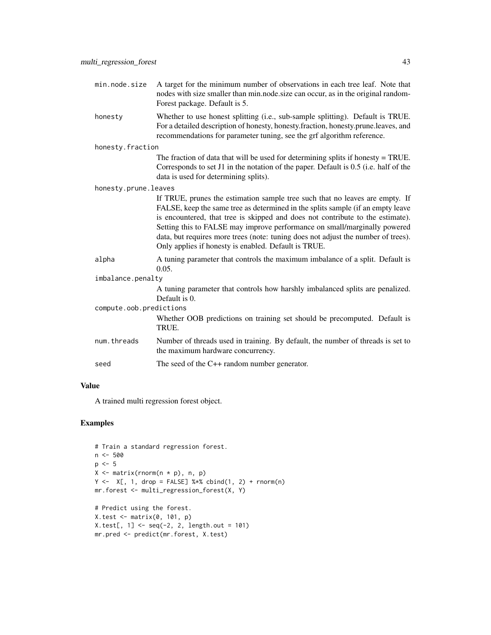- min.node.size A target for the minimum number of observations in each tree leaf. Note that nodes with size smaller than min.node.size can occur, as in the original random-Forest package. Default is 5.
- honesty Whether to use honest splitting (i.e., sub-sample splitting). Default is TRUE. For a detailed description of honesty, honesty.fraction, honesty.prune.leaves, and recommendations for parameter tuning, see the grf algorithm reference.

honesty.fraction

The fraction of data that will be used for determining splits if honesty = TRUE. Corresponds to set J1 in the notation of the paper. Default is 0.5 (i.e. half of the data is used for determining splits).

honesty.prune.leaves

If TRUE, prunes the estimation sample tree such that no leaves are empty. If FALSE, keep the same tree as determined in the splits sample (if an empty leave is encountered, that tree is skipped and does not contribute to the estimate). Setting this to FALSE may improve performance on small/marginally powered data, but requires more trees (note: tuning does not adjust the number of trees). Only applies if honesty is enabled. Default is TRUE.

- alpha A tuning parameter that controls the maximum imbalance of a split. Default is 0.05.
- imbalance.penalty

A tuning parameter that controls how harshly imbalanced splits are penalized. Default is 0.

compute.oob.predictions

Whether OOB predictions on training set should be precomputed. Default is TRUE.

num.threads Number of threads used in training. By default, the number of threads is set to the maximum hardware concurrency.

```
seed The seed of the C++ random number generator.
```
#### Value

A trained multi regression forest object.

```
# Train a standard regression forest.
n <- 500
p \le -5X \leq - matrix(rnorm(n * p), n, p)
Y \leftarrow X[, 1, drop = FALSE] %*% \text{cbind}(1, 2) + \text{norm}(n)mr.forest <- multi_regression_forest(X, Y)
# Predict using the forest.
X.test < - matrix(0, 101, p)X.test[, 1] < -seq(-2, 2, length.out = 101)mr.pred <- predict(mr.forest, X.test)
```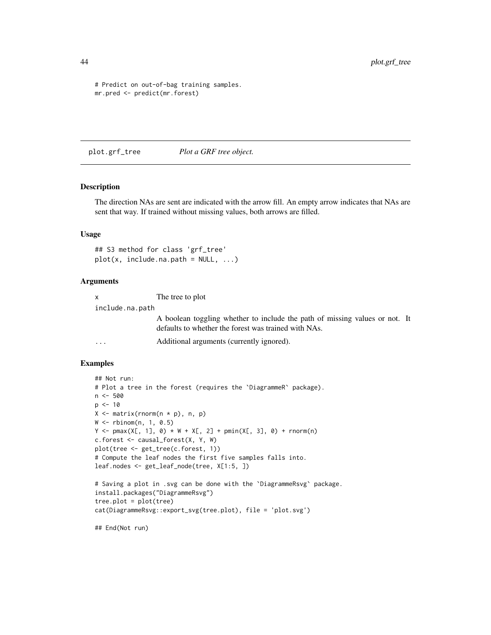```
# Predict on out-of-bag training samples.
mr.pred <- predict(mr.forest)
```
plot.grf\_tree *Plot a GRF tree object.*

### Description

The direction NAs are sent are indicated with the arrow fill. An empty arrow indicates that NAs are sent that way. If trained without missing values, both arrows are filled.

#### Usage

## S3 method for class 'grf\_tree'  $plot(x, include.na.path = NULL, ...)$ 

#### Arguments

| $\mathsf{x}$    | The tree to plot                                                                                                                    |  |
|-----------------|-------------------------------------------------------------------------------------------------------------------------------------|--|
| include.na.path |                                                                                                                                     |  |
|                 | A boolean toggling whether to include the path of missing values or not. It<br>defaults to whether the forest was trained with NAs. |  |
| $\cdot$         | Additional arguments (currently ignored).                                                                                           |  |

#### Examples

```
## Not run:
# Plot a tree in the forest (requires the `DiagrammeR` package).
n < -500p < -10X <- matrix(rnorm(n * p), n, p)
W <- rbinom(n, 1, 0.5)
Y \le - pmax(X[, 1], 0) * W + X[, 2] + pmin(X[, 3], 0) + rnorm(n)
c.forest <- causal_forest(X, Y, W)
plot(tree <- get_tree(c.forest, 1))
# Compute the leaf nodes the first five samples falls into.
leaf.nodes <- get_leaf_node(tree, X[1:5, ])
# Saving a plot in .svg can be done with the `DiagrammeRsvg` package.
install.packages("DiagrammeRsvg")
tree.plot = plot(tree)cat(DiagrammeRsvg::export_svg(tree.plot), file = 'plot.svg')
```
## End(Not run)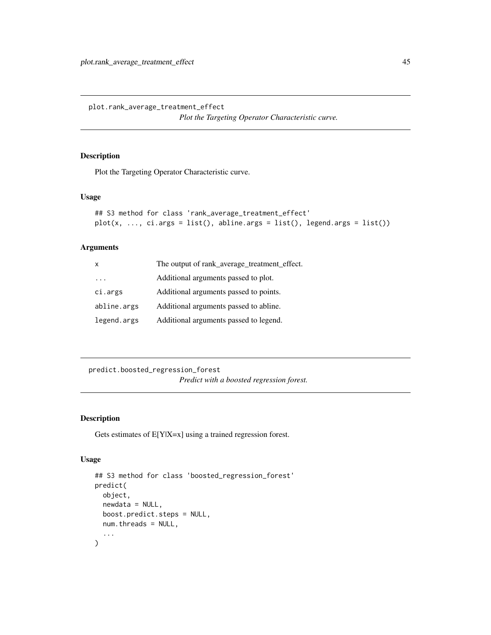plot.rank\_average\_treatment\_effect

*Plot the Targeting Operator Characteristic curve.*

#### Description

Plot the Targeting Operator Characteristic curve.

#### Usage

```
## S3 method for class 'rank_average_treatment_effect'
plot(x, ..., ci.args = list(), abline.args = list(), legend.args = list())
```
## Arguments

| X           | The output of rank_average_treatment_effect. |
|-------------|----------------------------------------------|
|             | Additional arguments passed to plot.         |
| ci.args     | Additional arguments passed to points.       |
| abline.args | Additional arguments passed to abline.       |
| legend.args | Additional arguments passed to legend.       |

predict.boosted\_regression\_forest *Predict with a boosted regression forest.*

## Description

Gets estimates of E[Y|X=x] using a trained regression forest.

#### Usage

```
## S3 method for class 'boosted_regression_forest'
predict(
  object,
 newdata = NULL,
 boost.predict.steps = NULL,
 num.threads = NULL,
  ...
\mathcal{L}
```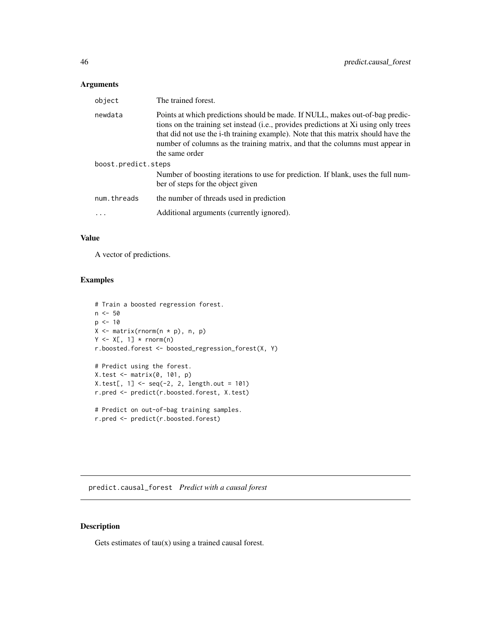## Arguments

| object              | The trained forest.                                                                                                                                                                                                                                                                                                                                            |  |
|---------------------|----------------------------------------------------------------------------------------------------------------------------------------------------------------------------------------------------------------------------------------------------------------------------------------------------------------------------------------------------------------|--|
| newdata             | Points at which predictions should be made. If NULL, makes out-of-bag predic-<br>tions on the training set instead (i.e., provides predictions at Xi using only trees<br>that did not use the i-th training example). Note that this matrix should have the<br>number of columns as the training matrix, and that the columns must appear in<br>the same order |  |
| boost.predict.steps |                                                                                                                                                                                                                                                                                                                                                                |  |
|                     | Number of boosting iterations to use for prediction. If blank, uses the full num-<br>ber of steps for the object given                                                                                                                                                                                                                                         |  |
| num.threads         | the number of threads used in prediction                                                                                                                                                                                                                                                                                                                       |  |
|                     | Additional arguments (currently ignored).                                                                                                                                                                                                                                                                                                                      |  |
|                     |                                                                                                                                                                                                                                                                                                                                                                |  |

## Value

A vector of predictions.

## Examples

```
# Train a boosted regression forest.
n <- 50
p <- 10
X \leftarrow matrix(rnorm(n * p), n, p)Y \leftarrow X[, 1] * rnorm(n)r.boosted.forest <- boosted_regression_forest(X, Y)
# Predict using the forest.
X.test <- matrix(0, 101, p)
X.test[, 1] < -seq(-2, 2, length.out = 101)r.pred <- predict(r.boosted.forest, X.test)
# Predict on out-of-bag training samples.
r.pred <- predict(r.boosted.forest)
```
predict.causal\_forest *Predict with a causal forest*

## Description

Gets estimates of  $tau(x)$  using a trained causal forest.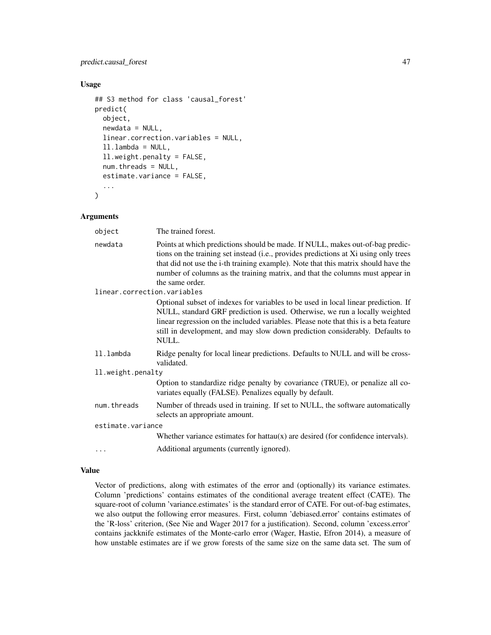## predict.causal\_forest 47

#### Usage

```
## S3 method for class 'causal_forest'
predict(
  object,
  newdata = NULL,
  linear.correction.variables = NULL,
  ll.lambda = NULL,
  ll.weight.penalty = FALSE,
  num.threads = NULL,
  estimate.variance = FALSE,
  ...
)
```
## Arguments

| object                      | The trained forest.                                                                                                                                                                                                                                                                                                                                             |
|-----------------------------|-----------------------------------------------------------------------------------------------------------------------------------------------------------------------------------------------------------------------------------------------------------------------------------------------------------------------------------------------------------------|
| newdata                     | Points at which predictions should be made. If NULL, makes out-of-bag predic-<br>tions on the training set instead (i.e., provides predictions at Xi using only trees<br>that did not use the i-th training example). Note that this matrix should have the<br>number of columns as the training matrix, and that the columns must appear in<br>the same order. |
| linear.correction.variables |                                                                                                                                                                                                                                                                                                                                                                 |
|                             | Optional subset of indexes for variables to be used in local linear prediction. If<br>NULL, standard GRF prediction is used. Otherwise, we run a locally weighted<br>linear regression on the included variables. Please note that this is a beta feature<br>still in development, and may slow down prediction considerably. Defaults to<br>NULL.              |
| ll.lambda                   | Ridge penalty for local linear predictions. Defaults to NULL and will be cross-<br>validated.                                                                                                                                                                                                                                                                   |
| 11.weight.penalty           |                                                                                                                                                                                                                                                                                                                                                                 |
|                             | Option to standardize ridge penalty by covariance (TRUE), or penalize all co-<br>variates equally (FALSE). Penalizes equally by default.                                                                                                                                                                                                                        |
| num.threads                 | Number of threads used in training. If set to NULL, the software automatically<br>selects an appropriate amount.                                                                                                                                                                                                                                                |
| estimate.variance           |                                                                                                                                                                                                                                                                                                                                                                 |
|                             | Whether variance estimates for hattau $(x)$ are desired (for confidence intervals).                                                                                                                                                                                                                                                                             |
| $\ddots$                    | Additional arguments (currently ignored).                                                                                                                                                                                                                                                                                                                       |

#### Value

Vector of predictions, along with estimates of the error and (optionally) its variance estimates. Column 'predictions' contains estimates of the conditional average treatent effect (CATE). The square-root of column 'variance.estimates' is the standard error of CATE. For out-of-bag estimates, we also output the following error measures. First, column 'debiased.error' contains estimates of the 'R-loss' criterion, (See Nie and Wager 2017 for a justification). Second, column 'excess.error' contains jackknife estimates of the Monte-carlo error (Wager, Hastie, Efron 2014), a measure of how unstable estimates are if we grow forests of the same size on the same data set. The sum of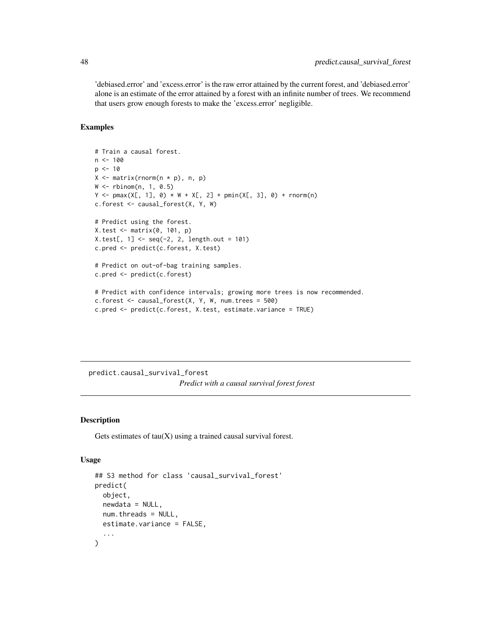'debiased.error' and 'excess.error' is the raw error attained by the current forest, and 'debiased.error' alone is an estimate of the error attained by a forest with an infinite number of trees. We recommend that users grow enough forests to make the 'excess.error' negligible.

## Examples

```
# Train a causal forest.
n < -100p \le -10X \leftarrow matrix(rnorm(n * p), n, p)W \leftarrow \text{rbinom}(n, 1, 0.5)Y \le - pmax(X[, 1], 0) * W + X[, 2] + pmin(X[, 3], 0) + rnorm(n)
c.forest <- causal_forest(X, Y, W)
# Predict using the forest.
X.test <- matrix(0, 101, p)
X.test[, 1] < -seq(-2, 2, length.out = 101)c.pred <- predict(c.forest, X.test)
# Predict on out-of-bag training samples.
c.pred <- predict(c.forest)
# Predict with confidence intervals; growing more trees is now recommended.
c.forest \le causal_forest(X, Y, W, num.trees = 500)
c.pred <- predict(c.forest, X.test, estimate.variance = TRUE)
```
predict.causal\_survival\_forest *Predict with a causal survival forest forest*

## Description

Gets estimates of  $tau(X)$  using a trained causal survival forest.

#### Usage

```
## S3 method for class 'causal_survival_forest'
predict(
  object,
  newdata = NULL,
  num.threads = NULL,
  estimate.variance = FALSE,
  ...
)
```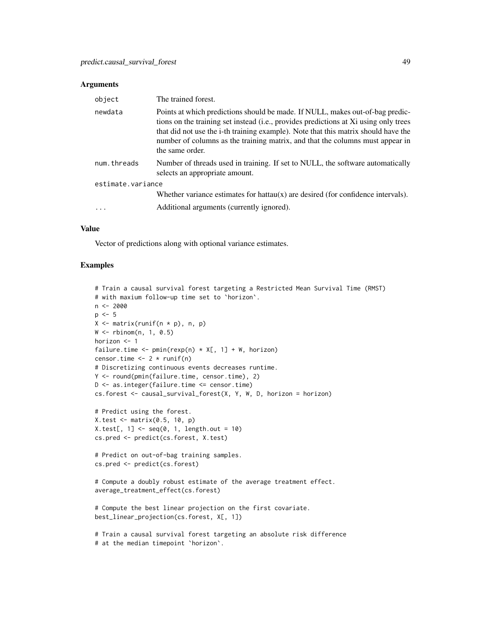#### **Arguments**

| object            | The trained forest.                                                                                                                                                                                                                                                                                                                                             |
|-------------------|-----------------------------------------------------------------------------------------------------------------------------------------------------------------------------------------------------------------------------------------------------------------------------------------------------------------------------------------------------------------|
| newdata           | Points at which predictions should be made. If NULL, makes out-of-bag predic-<br>tions on the training set instead (i.e., provides predictions at Xi using only trees<br>that did not use the i-th training example). Note that this matrix should have the<br>number of columns as the training matrix, and that the columns must appear in<br>the same order. |
| num.threads       | Number of threads used in training. If set to NULL, the software automatically<br>selects an appropriate amount.                                                                                                                                                                                                                                                |
| estimate.variance |                                                                                                                                                                                                                                                                                                                                                                 |
|                   | Whether variance estimates for hattau $(x)$ are desired (for confidence intervals).                                                                                                                                                                                                                                                                             |
|                   | Additional arguments (currently ignored).                                                                                                                                                                                                                                                                                                                       |

#### Value

Vector of predictions along with optional variance estimates.

```
# Train a causal survival forest targeting a Restricted Mean Survival Time (RMST)
# with maxium follow-up time set to `horizon`.
n <- 2000
p \le -5X \leftarrow matrix(runif(n * p), n, p)
W < - rbinom(n, 1, 0.5)
horizon <- 1
failure.time <- pmin(rexp(n) * X[, 1] + W, horizon)
censor.time <- 2 * \text{runif(n)}# Discretizing continuous events decreases runtime.
Y <- round(pmin(failure.time, censor.time), 2)
D \le - as.integer(failure.time \le censor.time)
cs.forest <- causal_survival_forest(X, Y, W, D, horizon = horizon)
# Predict using the forest.
X.test <- matrix(0.5, 10, p)
X.test[, 1] \leq seq(0, 1, length.out = 10)cs.pred <- predict(cs.forest, X.test)
# Predict on out-of-bag training samples.
cs.pred <- predict(cs.forest)
# Compute a doubly robust estimate of the average treatment effect.
average_treatment_effect(cs.forest)
# Compute the best linear projection on the first covariate.
best_linear_projection(cs.forest, X[, 1])
# Train a causal survival forest targeting an absolute risk difference
# at the median timepoint `horizon`.
```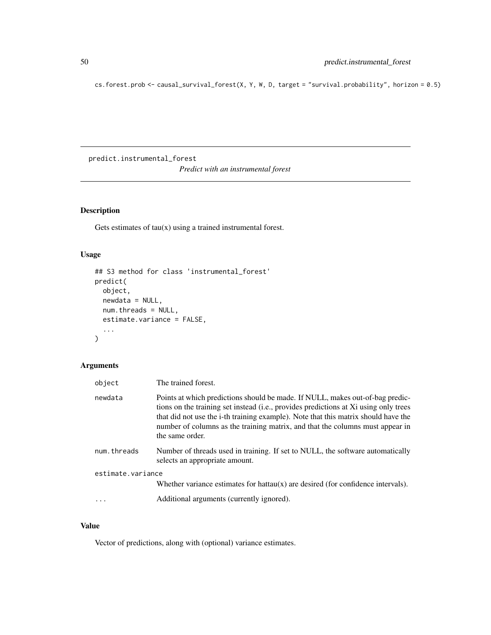cs.forest.prob <- causal\_survival\_forest(X, Y, W, D, target = "survival.probability", horizon = 0.5)

predict.instrumental\_forest *Predict with an instrumental forest*

## Description

Gets estimates of tau(x) using a trained instrumental forest.

## Usage

```
## S3 method for class 'instrumental_forest'
predict(
 object,
 newdata = NULL,
 num.threads = NULL,
 estimate.variance = FALSE,
  ...
)
```
## Arguments

| object            | The trained forest.                                                                                                                                                                                                                                                                                                                                             |  |
|-------------------|-----------------------------------------------------------------------------------------------------------------------------------------------------------------------------------------------------------------------------------------------------------------------------------------------------------------------------------------------------------------|--|
| newdata           | Points at which predictions should be made. If NULL, makes out-of-bag predic-<br>tions on the training set instead (i.e., provides predictions at Xi using only trees<br>that did not use the i-th training example). Note that this matrix should have the<br>number of columns as the training matrix, and that the columns must appear in<br>the same order. |  |
| num.threads       | Number of threads used in training. If set to NULL, the software automatically<br>selects an appropriate amount.                                                                                                                                                                                                                                                |  |
| estimate.variance |                                                                                                                                                                                                                                                                                                                                                                 |  |
|                   | Whether variance estimates for hattau $(x)$ are desired (for confidence intervals).                                                                                                                                                                                                                                                                             |  |
|                   | Additional arguments (currently ignored).                                                                                                                                                                                                                                                                                                                       |  |

## Value

Vector of predictions, along with (optional) variance estimates.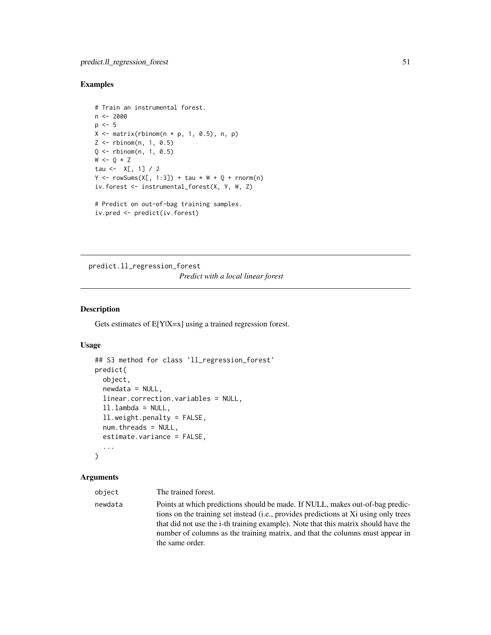#### Examples

```
# Train an instrumental forest.
n <- 2000
p \le -5X \leq - matrix(rbinom(n * p, 1, 0.5), n, p)
Z <- rbinom(n, 1, 0.5)
Q <- rbinom(n, 1, 0.5)
W \leftarrow Q * Ztau <-X[, 1] / 2
Y \le -\text{rowsums}(X[, 1:3]) + \text{tau} \times W + Q + \text{norm}(n)iv.forest <- instrumental_forest(X, Y, W, Z)
# Predict on out-of-bag training samples.
iv.pred <- predict(iv.forest)
```
predict.ll\_regression\_forest *Predict with a local linear forest*

## Description

Gets estimates of  $E[Y|X=x]$  using a trained regression forest.

#### Usage

```
## S3 method for class 'll_regression_forest'
predict(
  object,
  newdata = NULL,
  linear.correction.variables = NULL,
  ll.lambda = NULL,
  ll.weight.penalty = FALSE,
  num.threads = NULL,
  estimate.variance = FALSE,
  ...
)
```
#### Arguments

object The trained forest.

newdata Points at which predictions should be made. If NULL, makes out-of-bag predictions on the training set instead (i.e., provides predictions at Xi using only trees that did not use the i-th training example). Note that this matrix should have the number of columns as the training matrix, and that the columns must appear in the same order.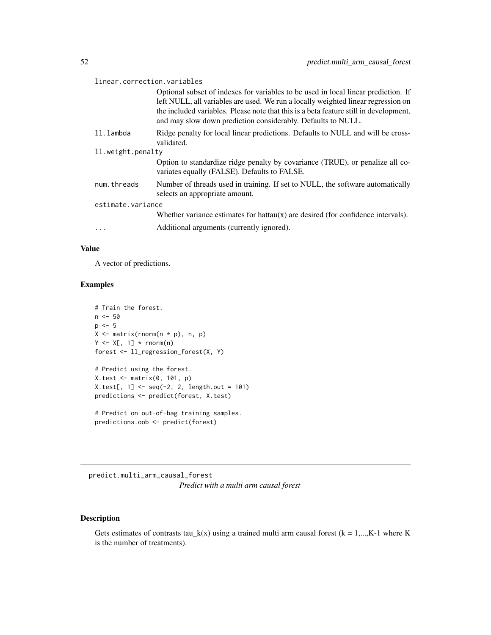| linear.correction.variables |                                                                                                                                                                                                                                                                                                                                  |  |
|-----------------------------|----------------------------------------------------------------------------------------------------------------------------------------------------------------------------------------------------------------------------------------------------------------------------------------------------------------------------------|--|
|                             | Optional subset of indexes for variables to be used in local linear prediction. If<br>left NULL, all variables are used. We run a locally weighted linear regression on<br>the included variables. Please note that this is a beta feature still in development,<br>and may slow down prediction considerably. Defaults to NULL. |  |
| 11.1ambda                   | Ridge penalty for local linear predictions. Defaults to NULL and will be cross-<br>validated.                                                                                                                                                                                                                                    |  |
| 11. weight.penalty          |                                                                                                                                                                                                                                                                                                                                  |  |
|                             | Option to standardize ridge penalty by covariance (TRUE), or penalize all co-<br>variates equally (FALSE). Defaults to FALSE.                                                                                                                                                                                                    |  |
| num.threads                 | Number of threads used in training. If set to NULL, the software automatically<br>selects an appropriate amount.                                                                                                                                                                                                                 |  |
| estimate.variance           |                                                                                                                                                                                                                                                                                                                                  |  |
|                             | Whether variance estimates for hattau $(x)$ are desired (for confidence intervals).                                                                                                                                                                                                                                              |  |
|                             | Additional arguments (currently ignored).                                                                                                                                                                                                                                                                                        |  |

## Value

A vector of predictions.

## Examples

```
# Train the forest.
n < -50p \le -5X <- matrix(rnorm(n * p), n, p)
Y \leftarrow X[, 1] * rnorm(n)forest <- ll_regression_forest(X, Y)
# Predict using the forest.
X.test <- matrix(0, 101, p)
```

```
X.test[, 1] < -seq(-2, 2, length.out = 101)predictions <- predict(forest, X.test)
# Predict on out-of-bag training samples.
```

```
predictions.oob <- predict(forest)
```
predict.multi\_arm\_causal\_forest *Predict with a multi arm causal forest*

## Description

Gets estimates of contrasts tau\_k(x) using a trained multi arm causal forest ( $k = 1,...,K-1$  where K is the number of treatments).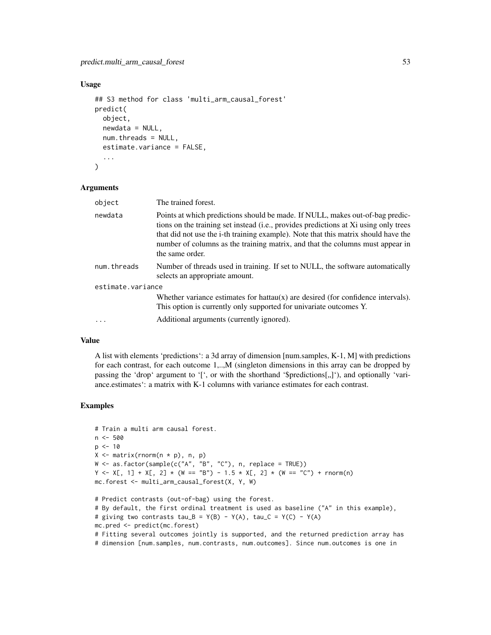#### Usage

```
## S3 method for class 'multi_arm_causal_forest'
predict(
  object,
  newdata = NULL,
  num.threads = NULL,
  estimate.variance = FALSE,
  ...
)
```
#### Arguments

| object            | The trained forest.                                                                                                                                                                                                                                                                                                                                             |
|-------------------|-----------------------------------------------------------------------------------------------------------------------------------------------------------------------------------------------------------------------------------------------------------------------------------------------------------------------------------------------------------------|
| newdata           | Points at which predictions should be made. If NULL, makes out-of-bag predic-<br>tions on the training set instead (i.e., provides predictions at Xi using only trees<br>that did not use the i-th training example). Note that this matrix should have the<br>number of columns as the training matrix, and that the columns must appear in<br>the same order. |
| num.threads       | Number of threads used in training. If set to NULL, the software automatically<br>selects an appropriate amount.                                                                                                                                                                                                                                                |
| estimate.variance |                                                                                                                                                                                                                                                                                                                                                                 |
|                   | Whether variance estimates for hattau $(x)$ are desired (for confidence intervals).<br>This option is currently only supported for univariate outcomes Y.                                                                                                                                                                                                       |
|                   | Additional arguments (currently ignored).                                                                                                                                                                                                                                                                                                                       |
|                   |                                                                                                                                                                                                                                                                                                                                                                 |

#### Value

A list with elements 'predictions': a 3d array of dimension [num.samples, K-1, M] with predictions for each contrast, for each outcome 1,..,M (singleton dimensions in this array can be dropped by passing the 'drop' argument to '[', or with the shorthand '\$predictions[ $,$ ]'), and optionally 'variance.estimates': a matrix with K-1 columns with variance estimates for each contrast.

```
# Train a multi arm causal forest.
n <- 500
p \le -10X \leftarrow matrix(rnorm(n * p), n, p)W <- as.factor(sample(c("A", "B", "C"), n, replace = TRUE))
Y <- X[, 1] + X[, 2] * (W == "B") - 1.5 * X[, 2] * (W == "C") + rnorm(n)
mc.forest <- multi_arm_causal_forest(X, Y, W)
# Predict contrasts (out-of-bag) using the forest.
# By default, the first ordinal treatment is used as baseline ("A" in this example),
# giving two contrasts tau_B = Y(B) - Y(A), tau_C = Y(C) - Y(A)mc.pred <- predict(mc.forest)
# Fitting several outcomes jointly is supported, and the returned prediction array has
```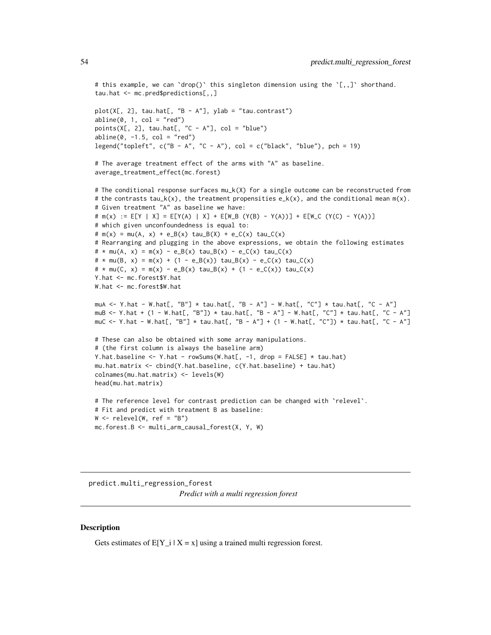```
# this example, we can `drop()` this singleton dimension using the `[,,]` shorthand.
tau.hat <- mc.pred$predictions[,,]
```

```
plot(X[, 2], tau.hat[, "B - A"], ylab = "tau.contrast")
abline(0, 1, col = "red")points(X[, 2], \text{ tau.hat[, "C - A"], col = "blue")abline(0, -1.5, col = "red")legend("topleft", c("B - A", "C - A"), col = c("black", "blue"), pch = 19)
```

```
# The average treatment effect of the arms with "A" as baseline.
average_treatment_effect(mc.forest)
```

```
# The conditional response surfaces mu_k(X) for a single outcome can be reconstructed from
# the contrasts tau_k(x), the treatment propensities e_k(x), and the conditional mean m(x).
# Given treatment "A" as baseline we have:
# m(x) := E[Y | X] = E[Y(A) | X] + E[W_B (Y(B) - Y(A))] + E[W_C (Y(C) - Y(A))]
# which given unconfoundedness is equal to:
# m(x) = mu(A, x) + e_B(x) \tau = B(X) + e_C(x) \tau = c(x) \tau = c(x)# Rearranging and plugging in the above expressions, we obtain the following estimates
# * mu(A, x) = m(x) - e_B(x) \tau + e_B(x) - e_C(x) \tau + e_C(x) \tau + e_C(x)# * mu(B, x) = m(x) + (1 - e_B(x)) tau_B(x) - e_C(x) tau_C(x)# * mu(C, x) = m(x) - e_B(x) tau_B(x) + (1 - e_C(x)) tau_C(x)
Y.hat <- mc.forest$Y.hat
W.hat <- mc.forest$W.hat
muA <- Y.hat - W.hat[, "B"] * tau.hat[, "B - A"] - W.hat[, "C"] * tau.hat[, "C - A"]
muB <- Y.hat + (1 - W.hat[, "B"]) * tau.hat[, "B - A"] - W.hat[, "C"] * tau.hat[, "C - A"]
```

```
muC <- Y.hat - W.hat[, "B"] * tau.hat[, "B - A"] + (1 - W.hat[, "C"]) * tau.hat[, "C - A"]
```

```
# These can also be obtained with some array manipulations.
# (the first column is always the baseline arm)
Y.hat.baseline <- Y.hat - rowSums(W.hat[, -1, drop = FALSE] * tau.hat)
mu.hat.matrix <- cbind(Y.hat.baseline, c(Y.hat.baseline) + tau.hat)
colnames(mu.hat.matrix) <- levels(W)
head(mu.hat.matrix)
```

```
# The reference level for contrast prediction can be changed with `relevel`.
# Fit and predict with treatment B as baseline:
W \le - relevel(W, ref = "B")
mc.forest.B <- multi_arm_causal_forest(X, Y, W)
```
predict.multi\_regression\_forest *Predict with a multi regression forest*

#### **Description**

Gets estimates of  $E[Y_i | X = x]$  using a trained multi regression forest.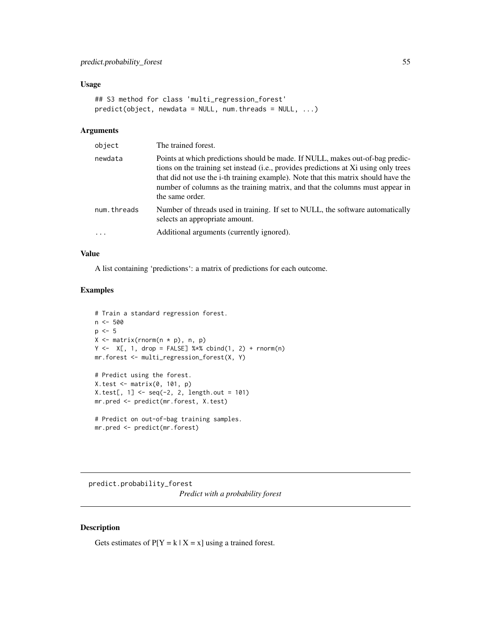#### Usage

```
## S3 method for class 'multi_regression_forest'
predict(object, newdata = NULL, num.threads = NULL, ...)
```
#### Arguments

| object      | The trained forest.                                                                                                                                                                                                                                                                                                                                             |
|-------------|-----------------------------------------------------------------------------------------------------------------------------------------------------------------------------------------------------------------------------------------------------------------------------------------------------------------------------------------------------------------|
| newdata     | Points at which predictions should be made. If NULL, makes out-of-bag predic-<br>tions on the training set instead (i.e., provides predictions at Xi using only trees<br>that did not use the i-th training example). Note that this matrix should have the<br>number of columns as the training matrix, and that the columns must appear in<br>the same order. |
| num.threads | Number of threads used in training. If set to NULL, the software automatically<br>selects an appropriate amount.                                                                                                                                                                                                                                                |
| .           | Additional arguments (currently ignored).                                                                                                                                                                                                                                                                                                                       |

#### Value

A list containing 'predictions': a matrix of predictions for each outcome.

## Examples

```
# Train a standard regression forest.
n < -500p \le -5X \leftarrow matrix(rnorm(n * p), n, p)Y \leftarrow X[, 1, drop = FALSE] %*% \text{cbind}(1, 2) + \text{norm}(n)mr.forest <- multi_regression_forest(X, Y)
# Predict using the forest.
X.test <- matrix(0, 101, p)
X.test[, 1] <- seq(-2, 2, length.out = 101)
mr.pred <- predict(mr.forest, X.test)
# Predict on out-of-bag training samples.
mr.pred <- predict(mr.forest)
```
predict.probability\_forest *Predict with a probability forest*

## Description

Gets estimates of  $P[Y = k | X = x]$  using a trained forest.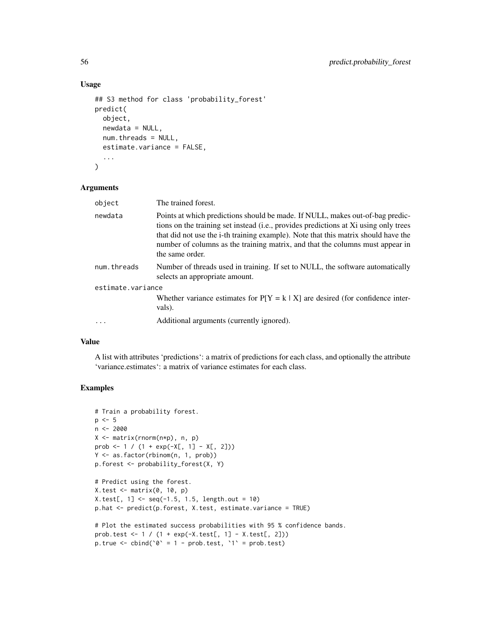## Usage

```
## S3 method for class 'probability_forest'
predict(
  object,
  newdata = NULL,
  num.threads = NULL,
  estimate.variance = FALSE,
  ...
\mathcal{L}
```
## Arguments

| object            | The trained forest.                                                                                                                                                                                                                                                                                                                                             |
|-------------------|-----------------------------------------------------------------------------------------------------------------------------------------------------------------------------------------------------------------------------------------------------------------------------------------------------------------------------------------------------------------|
| newdata           | Points at which predictions should be made. If NULL, makes out-of-bag predic-<br>tions on the training set instead (i.e., provides predictions at Xi using only trees<br>that did not use the i-th training example). Note that this matrix should have the<br>number of columns as the training matrix, and that the columns must appear in<br>the same order. |
| num.threads       | Number of threads used in training. If set to NULL, the software automatically<br>selects an appropriate amount.                                                                                                                                                                                                                                                |
| estimate.variance |                                                                                                                                                                                                                                                                                                                                                                 |
|                   | Whether variance estimates for $P[Y = k   X]$ are desired (for confidence inter-<br>vals).                                                                                                                                                                                                                                                                      |
|                   | Additional arguments (currently ignored).                                                                                                                                                                                                                                                                                                                       |

#### Value

A list with attributes 'predictions': a matrix of predictions for each class, and optionally the attribute 'variance.estimates': a matrix of variance estimates for each class.

```
# Train a probability forest.
p \le -5n <- 2000
X <- matrix(rnorm(n*p), n, p)
prob <- 1 / (1 + \exp(-X[, 1] - X[, 2]))Y <- as.factor(rbinom(n, 1, prob))
p.forest <- probability_forest(X, Y)
# Predict using the forest.
X.test < - matrix(0, 10, p)X.test[, 1] < -seq(-1.5, 1.5, length.out = 10)p.hat <- predict(p.forest, X.test, estimate.variance = TRUE)
# Plot the estimated success probabilities with 95 % confidence bands.
prob.test <- 1 / (1 + \exp(-X \cdot test[, 1] - X \cdot test[, 2]))p.true \le cbind(\degree = 1 - prob.test, \degree 1 = prob.test)
```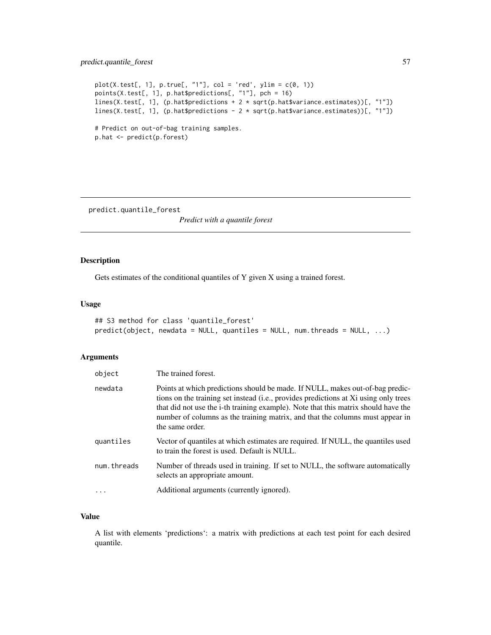## predict.quantile\_forest 57

```
plot(X.test[, 1], p,true[, "1"], col = 'red', ylim = c(0, 1))points(X.test[, 1], p.hat$predictions[, "1"], pch = 16)
lines(X.test[, 1], (p.hat$predictions + 2 * sqrt(p.hat$variance.estimates))[, "1"])
lines(X.test[, 1], (p.hat$predictions - 2 * sqrt(p.hat$variance.estimates))[, "1"])
# Predict on out-of-bag training samples.
p.hat <- predict(p.forest)
```
predict.quantile\_forest

*Predict with a quantile forest*

#### Description

Gets estimates of the conditional quantiles of Y given X using a trained forest.

#### Usage

```
## S3 method for class 'quantile_forest'
predict(object, newdata = NULL, quantiles = NULL, num.threads = NULL, ...)
```
## Arguments

| object      | The trained forest.                                                                                                                                                                                                                                                                                                                                             |
|-------------|-----------------------------------------------------------------------------------------------------------------------------------------------------------------------------------------------------------------------------------------------------------------------------------------------------------------------------------------------------------------|
| newdata     | Points at which predictions should be made. If NULL, makes out-of-bag predic-<br>tions on the training set instead (i.e., provides predictions at Xi using only trees<br>that did not use the i-th training example). Note that this matrix should have the<br>number of columns as the training matrix, and that the columns must appear in<br>the same order. |
| quantiles   | Vector of quantiles at which estimates are required. If NULL, the quantiles used<br>to train the forest is used. Default is NULL.                                                                                                                                                                                                                               |
| num.threads | Number of threads used in training. If set to NULL, the software automatically<br>selects an appropriate amount.                                                                                                                                                                                                                                                |
|             | Additional arguments (currently ignored).                                                                                                                                                                                                                                                                                                                       |

## Value

A list with elements 'predictions': a matrix with predictions at each test point for each desired quantile.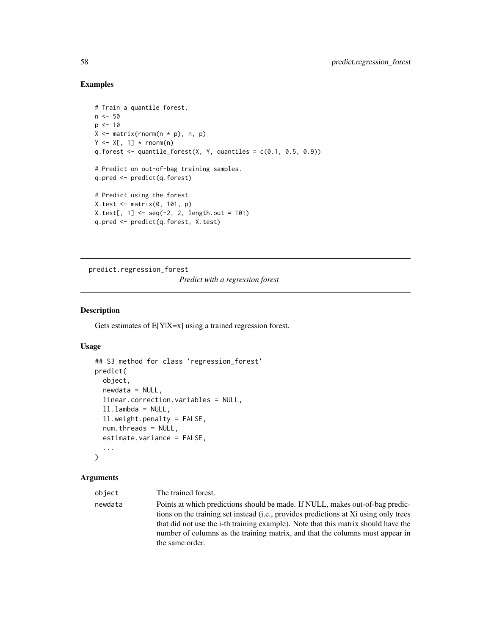#### Examples

```
# Train a quantile forest.
n < -50p \le -10X \leftarrow matrix(rnorm(n * p), n, p)Y \leftarrow X[, 1] * rnorm(n)q.forest \leq quantile_forest(X, Y, quantiles = c(0.1, 0.5, 0.9))
# Predict on out-of-bag training samples.
q.pred <- predict(q.forest)
# Predict using the forest.
X.test <- matrix(0, 101, p)
X.test[, 1] < -seq(-2, 2, length.out = 101)q.pred <- predict(q.forest, X.test)
```
predict.regression\_forest

*Predict with a regression forest*

#### Description

Gets estimates of E[Y|X=x] using a trained regression forest.

## Usage

```
## S3 method for class 'regression_forest'
predict(
  object,
  newdata = NULL,linear.correction.variables = NULL,
  ll.lambda = NULL,
  ll.weight.penalty = FALSE,
  num.threads = NULL,
  estimate.variance = FALSE,
  ...
)
```
#### Arguments

object The trained forest.

newdata Points at which predictions should be made. If NULL, makes out-of-bag predictions on the training set instead (i.e., provides predictions at Xi using only trees that did not use the i-th training example). Note that this matrix should have the number of columns as the training matrix, and that the columns must appear in the same order.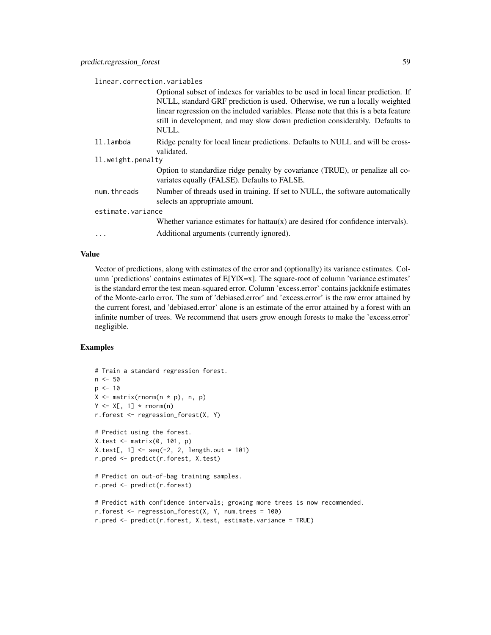linear.correction.variables

|                     | Optional subset of indexes for variables to be used in local linear prediction. If<br>NULL, standard GRF prediction is used. Otherwise, we run a locally weighted<br>linear regression on the included variables. Please note that this is a beta feature<br>still in development, and may slow down prediction considerably. Defaults to |  |
|---------------------|-------------------------------------------------------------------------------------------------------------------------------------------------------------------------------------------------------------------------------------------------------------------------------------------------------------------------------------------|--|
|                     | NULL.                                                                                                                                                                                                                                                                                                                                     |  |
| ll.lambda           | Ridge penalty for local linear predictions. Defaults to NULL and will be cross-<br>validated.                                                                                                                                                                                                                                             |  |
| 11. weight. penalty |                                                                                                                                                                                                                                                                                                                                           |  |
|                     | Option to standardize ridge penalty by covariance (TRUE), or penalize all co-<br>variates equally (FALSE). Defaults to FALSE.                                                                                                                                                                                                             |  |
| num.threads         | Number of threads used in training. If set to NULL, the software automatically<br>selects an appropriate amount.                                                                                                                                                                                                                          |  |
| estimate.variance   |                                                                                                                                                                                                                                                                                                                                           |  |
|                     | Whether variance estimates for hattau $(x)$ are desired (for confidence intervals).                                                                                                                                                                                                                                                       |  |
| $\ddotsc$           | Additional arguments (currently ignored).                                                                                                                                                                                                                                                                                                 |  |

#### Value

Vector of predictions, along with estimates of the error and (optionally) its variance estimates. Column 'predictions' contains estimates of  $E[Y|X=x]$ . The square-root of column 'variance.estimates' is the standard error the test mean-squared error. Column 'excess.error' contains jackknife estimates of the Monte-carlo error. The sum of 'debiased.error' and 'excess.error' is the raw error attained by the current forest, and 'debiased.error' alone is an estimate of the error attained by a forest with an infinite number of trees. We recommend that users grow enough forests to make the 'excess.error' negligible.

```
# Train a standard regression forest.
n < -50p \le -10X <- matrix(rnorm(n * p), n, p)
Y \leq X[, 1] * rnorm(n)r.forest <- regression_forest(X, Y)
# Predict using the forest.
X.test <- matrix(0, 101, p)
X.test[, 1] < -seq(-2, 2, length.out = 101)r.pred <- predict(r.forest, X.test)
# Predict on out-of-bag training samples.
r.pred <- predict(r.forest)
# Predict with confidence intervals; growing more trees is now recommended.
r.forest <- regression_forest(X, Y, num.trees = 100)
r.pred <- predict(r.forest, X.test, estimate.variance = TRUE)
```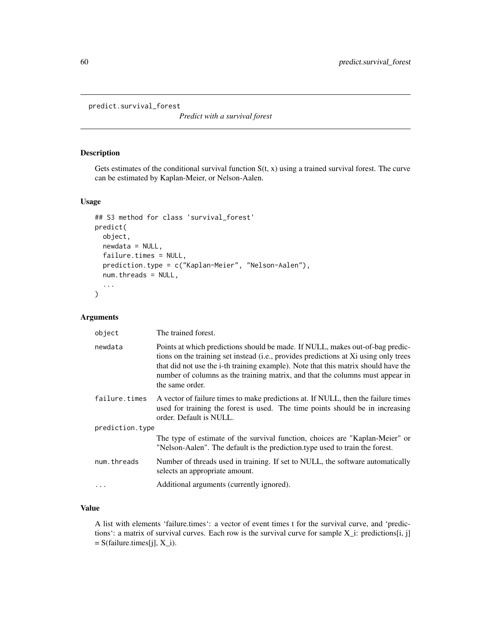```
predict.survival_forest
```
*Predict with a survival forest*

## Description

Gets estimates of the conditional survival function  $S(t, x)$  using a trained survival forest. The curve can be estimated by Kaplan-Meier, or Nelson-Aalen.

#### Usage

```
## S3 method for class 'survival_forest'
predict(
  object,
  newdata = NULL,
  failure.times = NULL,
 prediction.type = c("Kaplan-Meier", "Nelson-Aalen"),
  num.threads = NULL,
  ...
)
```
## Arguments

| object          | The trained forest.                                                                                                                                                                                                                                                                                                                                             |
|-----------------|-----------------------------------------------------------------------------------------------------------------------------------------------------------------------------------------------------------------------------------------------------------------------------------------------------------------------------------------------------------------|
| newdata         | Points at which predictions should be made. If NULL, makes out-of-bag predic-<br>tions on the training set instead (i.e., provides predictions at Xi using only trees<br>that did not use the i-th training example). Note that this matrix should have the<br>number of columns as the training matrix, and that the columns must appear in<br>the same order. |
| failure.times   | A vector of failure times to make predictions at. If NULL, then the failure times<br>used for training the forest is used. The time points should be in increasing<br>order. Default is NULL.                                                                                                                                                                   |
| prediction.type |                                                                                                                                                                                                                                                                                                                                                                 |
|                 | The type of estimate of the survival function, choices are "Kaplan-Meier" or<br>"Nelson-Aalen". The default is the prediction type used to train the forest.                                                                                                                                                                                                    |
| num.threads     | Number of threads used in training. If set to NULL, the software automatically<br>selects an appropriate amount.                                                                                                                                                                                                                                                |
|                 | Additional arguments (currently ignored).                                                                                                                                                                                                                                                                                                                       |

## Value

A list with elements 'failure.times': a vector of event times t for the survival curve, and 'predictions': a matrix of survival curves. Each row is the survival curve for sample X\_i: predictions[i, j]  $= S(failure.times[j], X_i).$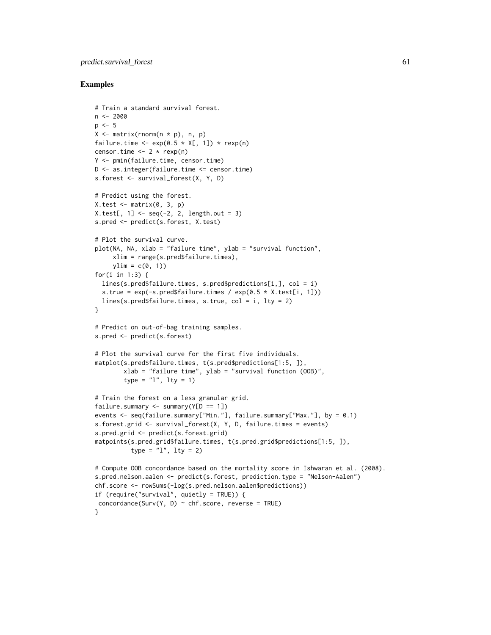## predict.survival\_forest 61

```
# Train a standard survival forest.
n < -2000p \le -5X <- matrix(rnorm(n * p), n, p)
failure.time <- exp(0.5 \times X[, 1]) \times resp(n)censor.time <- 2 * \text{rexp}(n)Y <- pmin(failure.time, censor.time)
D \le - as. integer(failure.time \le censor.time)
s.forest <- survival_forest(X, Y, D)
# Predict using the forest.
X.test \leftarrow matrix(0, 3, p)X.test[, 1] < -seq(-2, 2, length.out = 3)s.pred <- predict(s.forest, X.test)
# Plot the survival curve.
plot(NA, NA, xlab = "failure time", ylab = "survival function",
     xlim = range(s.pred$failure.times),
     ylim = c(0, 1)for(i in 1:3) {
  lines(s.pred$failure.times, s.pred$predictions[i,], col = i)
  s.true = exp(-s.predfailure.times / exp(0.5 * X.test[i, 1]))lines(s.pred$failure.times, s.true, col = i, lty = 2)
}
# Predict on out-of-bag training samples.
s.pred <- predict(s.forest)
# Plot the survival curve for the first five individuals.
matplot(s.pred$failure.times, t(s.pred$predictions[1:5, ]),
        xlab = "failure time", ylab = "survival function (OOB)",
        type = "1", lty = 1)
# Train the forest on a less granular grid.
failure.summary \leq summary(Y[D == 1])
events <- seq(failure.summary["Min."], failure.summary["Max."], by = 0.1)
s.forest.grid <- survival_forest(X, Y, D, failure.times = events)
s.pred.grid <- predict(s.forest.grid)
matpoints(s.pred.grid$failure.times, t(s.pred.grid$predictions[1:5, ]),
          type = "1", lty = 2)
# Compute OOB concordance based on the mortality score in Ishwaran et al. (2008).
s.pred.nelson.aalen <- predict(s.forest, prediction.type = "Nelson-Aalen")
chf.score <- rowSums(-log(s.pred.nelson.aalen$predictions))
if (require("survival", quietly = TRUE)) {
 concordance(Surv(Y, D) \sim chf.score, reverse = TRUE)
}
```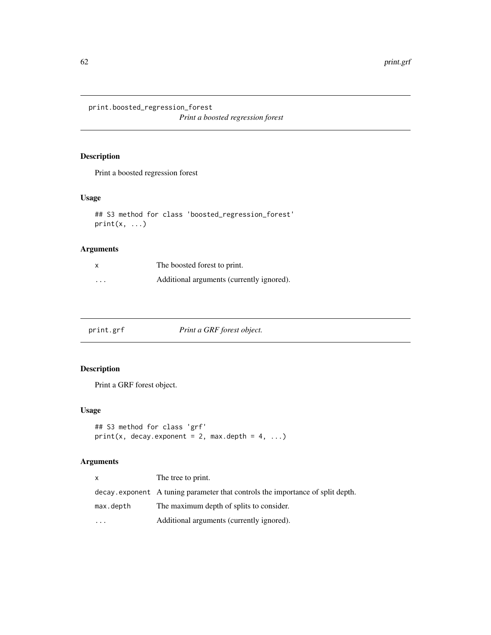print.boosted\_regression\_forest

*Print a boosted regression forest*

## Description

Print a boosted regression forest

## Usage

```
## S3 method for class 'boosted_regression_forest'
print(x, \ldots)
```
## Arguments

|         | The boosted forest to print.              |
|---------|-------------------------------------------|
| $\cdot$ | Additional arguments (currently ignored). |

print.grf *Print a GRF forest object.*

## Description

Print a GRF forest object.

## Usage

```
## S3 method for class 'grf'
print(x, decay.event = 2, max.depth = 4, ...)
```

| x         | The tree to print.                                                             |
|-----------|--------------------------------------------------------------------------------|
|           | decay exponent A tuning parameter that controls the importance of split depth. |
| max.depth | The maximum depth of splits to consider.                                       |
| $\ddotsc$ | Additional arguments (currently ignored).                                      |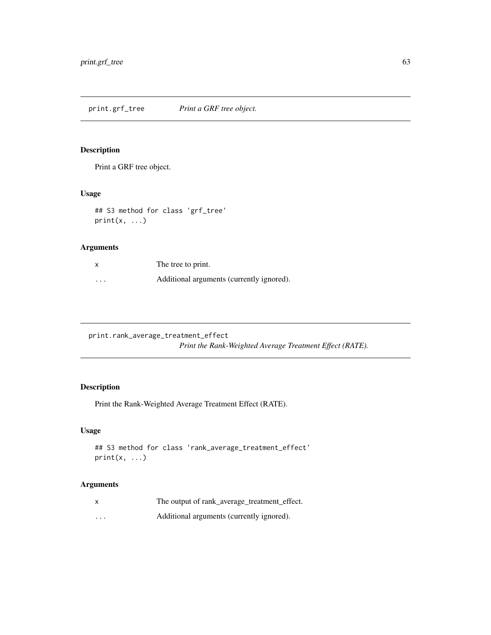print.grf\_tree *Print a GRF tree object.*

## Description

Print a GRF tree object.

## Usage

```
## S3 method for class 'grf_tree'
print(x, \ldots)
```
## Arguments

| x        | The tree to print.                        |
|----------|-------------------------------------------|
| $\cdots$ | Additional arguments (currently ignored). |

print.rank\_average\_treatment\_effect *Print the Rank-Weighted Average Treatment Effect (RATE).*

## Description

Print the Rank-Weighted Average Treatment Effect (RATE).

## Usage

```
## S3 method for class 'rank_average_treatment_effect'
print(x, \ldots)
```

|          | The output of rank_average_treatment_effect. |
|----------|----------------------------------------------|
| $\cdots$ | Additional arguments (currently ignored).    |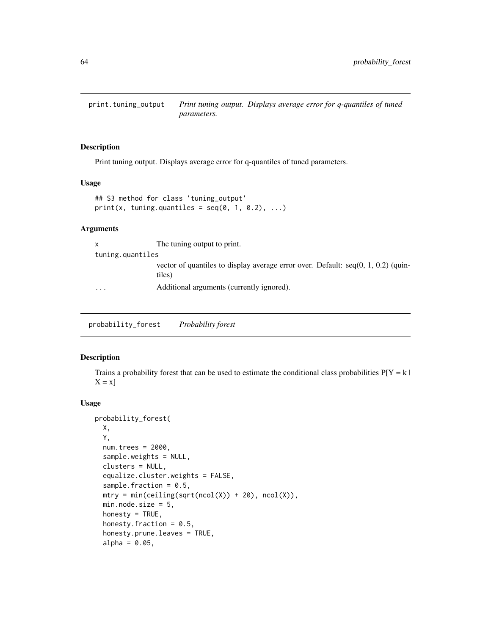print.tuning\_output *Print tuning output. Displays average error for q-quantiles of tuned parameters.*

## Description

Print tuning output. Displays average error for q-quantiles of tuned parameters.

#### Usage

```
## S3 method for class 'tuning_output'
print(x, tuning.quantiles = seq(0, 1, 0.2), ...)
```
## Arguments

| X                | The tuning output to print.                                                                   |
|------------------|-----------------------------------------------------------------------------------------------|
| tuning.quantiles |                                                                                               |
|                  | vector of quantiles to display average error over. Default: $seq(0, 1, 0.2)$ (quin-<br>tiles) |
| $\cdots$         | Additional arguments (currently ignored).                                                     |

probability\_forest *Probability forest*

## Description

Trains a probability forest that can be used to estimate the conditional class probabilities  $P[Y = k]$  $X = x$ ]

#### Usage

```
probability_forest(
 X,
 Y,
 num.trees = 2000,
  sample.weights = NULL,
  clusters = NULL,
  equalize.cluster.weights = FALSE,
  sample.fraction = 0.5,
 mtry = min(ceiling(sqrt(ncol(X)) + 20), ncol(X)),min.node.size = 5,
 honesty = TRUE,
 honesty. fraction = 0.5,
  honesty.prune.leaves = TRUE,
  alpha = 0.05,
```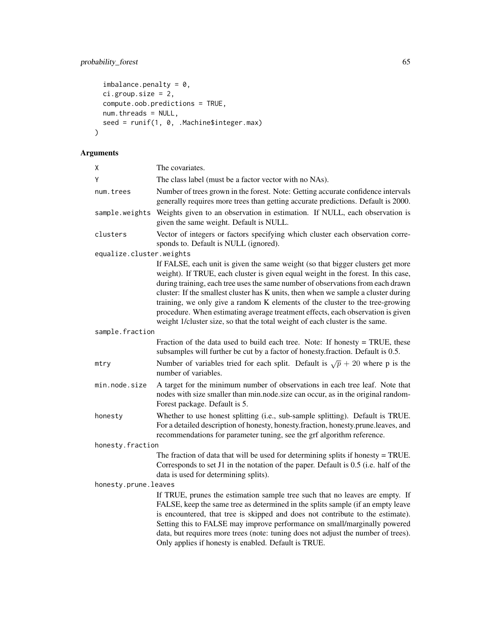## probability\_forest 65

```
imbalance.penalty = 0,
 ci.group.size = 2,
 compute.oob.predictions = TRUE,
 num.threads = NULL,
 seed = runif(1, 0, .Machine$integer.max)\mathcal{L}
```

| The covariates.                                                                                                                                                                                                                                                                                                                                                                                                                                                                                                                                                                                  |
|--------------------------------------------------------------------------------------------------------------------------------------------------------------------------------------------------------------------------------------------------------------------------------------------------------------------------------------------------------------------------------------------------------------------------------------------------------------------------------------------------------------------------------------------------------------------------------------------------|
| The class label (must be a factor vector with no NAs).                                                                                                                                                                                                                                                                                                                                                                                                                                                                                                                                           |
| Number of trees grown in the forest. Note: Getting accurate confidence intervals<br>generally requires more trees than getting accurate predictions. Default is 2000.                                                                                                                                                                                                                                                                                                                                                                                                                            |
| Weights given to an observation in estimation. If NULL, each observation is<br>given the same weight. Default is NULL.                                                                                                                                                                                                                                                                                                                                                                                                                                                                           |
| Vector of integers or factors specifying which cluster each observation corre-<br>sponds to. Default is NULL (ignored).                                                                                                                                                                                                                                                                                                                                                                                                                                                                          |
| equalize.cluster.weights                                                                                                                                                                                                                                                                                                                                                                                                                                                                                                                                                                         |
| If FALSE, each unit is given the same weight (so that bigger clusters get more<br>weight). If TRUE, each cluster is given equal weight in the forest. In this case,<br>during training, each tree uses the same number of observations from each drawn<br>cluster: If the smallest cluster has K units, then when we sample a cluster during<br>training, we only give a random K elements of the cluster to the tree-growing<br>procedure. When estimating average treatment effects, each observation is given<br>weight 1/cluster size, so that the total weight of each cluster is the same. |
| sample.fraction                                                                                                                                                                                                                                                                                                                                                                                                                                                                                                                                                                                  |
| Fraction of the data used to build each tree. Note: If honesty $=$ TRUE, these<br>subsamples will further be cut by a factor of honesty.fraction. Default is 0.5.                                                                                                                                                                                                                                                                                                                                                                                                                                |
| Number of variables tried for each split. Default is $\sqrt{p} + 20$ where p is the<br>number of variables.                                                                                                                                                                                                                                                                                                                                                                                                                                                                                      |
| A target for the minimum number of observations in each tree leaf. Note that<br>nodes with size smaller than min.node.size can occur, as in the original random-<br>Forest package. Default is 5.                                                                                                                                                                                                                                                                                                                                                                                                |
| Whether to use honest splitting (i.e., sub-sample splitting). Default is TRUE.<br>For a detailed description of honesty, honesty.fraction, honesty.prune.leaves, and<br>recommendations for parameter tuning, see the grf algorithm reference.                                                                                                                                                                                                                                                                                                                                                   |
| honesty.fraction                                                                                                                                                                                                                                                                                                                                                                                                                                                                                                                                                                                 |
| The fraction of data that will be used for determining splits if honesty $=$ TRUE.<br>Corresponds to set J1 in the notation of the paper. Default is 0.5 (i.e. half of the<br>data is used for determining splits).                                                                                                                                                                                                                                                                                                                                                                              |
| honesty.prune.leaves                                                                                                                                                                                                                                                                                                                                                                                                                                                                                                                                                                             |
| If TRUE, prunes the estimation sample tree such that no leaves are empty. If<br>FALSE, keep the same tree as determined in the splits sample (if an empty leave<br>is encountered, that tree is skipped and does not contribute to the estimate).<br>Setting this to FALSE may improve performance on small/marginally powered<br>data, but requires more trees (note: tuning does not adjust the number of trees).<br>Only applies if honesty is enabled. Default is TRUE.                                                                                                                      |
|                                                                                                                                                                                                                                                                                                                                                                                                                                                                                                                                                                                                  |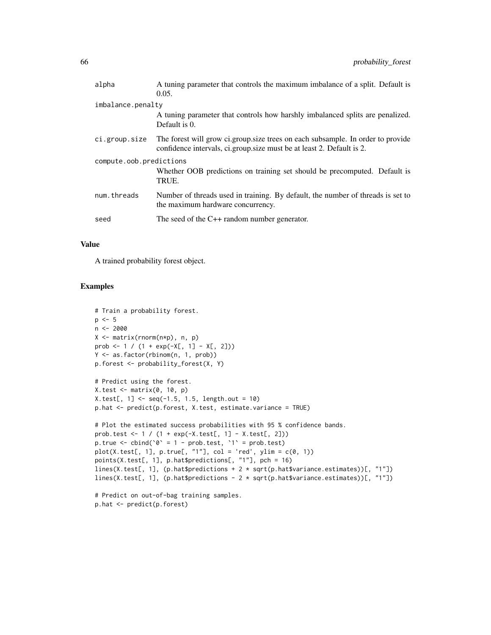| alpha                   | A tuning parameter that controls the maximum imbalance of a split. Default is<br>0.05.                                                                   |  |
|-------------------------|----------------------------------------------------------------------------------------------------------------------------------------------------------|--|
| imbalance.penalty       |                                                                                                                                                          |  |
|                         | A tuning parameter that controls how harshly imbalanced splits are penalized.<br>Default is 0.                                                           |  |
| ci.group.size           | The forest will grow ci.group.size trees on each subsample. In order to provide<br>confidence intervals, ci.group.size must be at least 2. Default is 2. |  |
| compute.oob.predictions |                                                                                                                                                          |  |
|                         | Whether OOB predictions on training set should be precomputed. Default is<br>TRUE.                                                                       |  |
| num.threads             | Number of threads used in training. By default, the number of threads is set to<br>the maximum hardware concurrency.                                     |  |
| seed                    | The seed of the $C++$ random number generator.                                                                                                           |  |

## Value

A trained probability forest object.

```
# Train a probability forest.
p \le -5n < -2000X <- matrix(rnorm(n*p), n, p)
prob <- 1 / (1 + \exp(-X[, 1] - X[, 2]))Y <- as.factor(rbinom(n, 1, prob))
p.forest <- probability_forest(X, Y)
# Predict using the forest.
X.test <- matrix(0, 10, p)
X.test[, 1] < -seq(-1.5, 1.5, length.out = 10)p.hat <- predict(p.forest, X.test, estimate.variance = TRUE)
# Plot the estimated success probabilities with 95 % confidence bands.
prob.test <- 1 / (1 + exp(-X.test[, 1] - X.test[, 2]))
p.true \le cbind(\degree = 1 - prob.test, \degree 1 = prob.test)
plot(X.test[, 1], p,true[, "1"], col = 'red', ylim = c(0, 1))points(X.test[, 1], p.hat$predictions[, "1"], pch = 16)
lines(X.test[, 1], (p.hat$predictions + 2 * sqrt(p.hat$variance.estimates))[, "1"])
lines(X.test[, 1], (p.hat$predictions - 2 * sqrt(p.hat$variance.estimates))[, "1"])
# Predict on out-of-bag training samples.
p.hat <- predict(p.forest)
```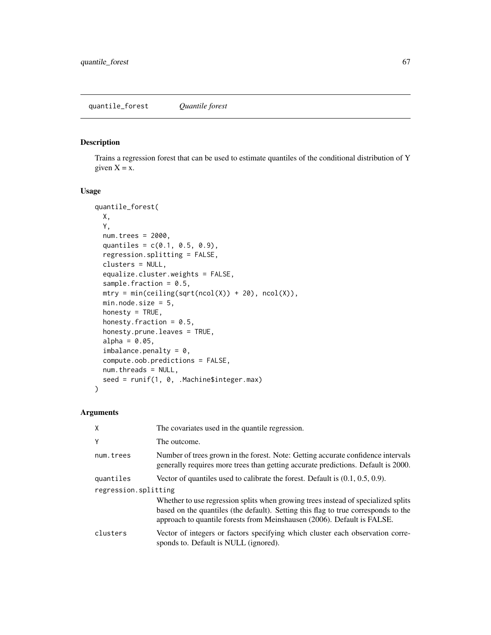## Description

Trains a regression forest that can be used to estimate quantiles of the conditional distribution of Y given  $X = x$ .

#### Usage

```
quantile_forest(
 X,
 Y,
 num.trees = 2000,
  quantiles = c(0.1, 0.5, 0.9),
  regression.splitting = FALSE,
 clusters = NULL,
  equalize.cluster.weights = FALSE,
  sample.fraction = 0.5,
 mtry = min(ceiling(sqrt(ncol(X)) + 20), ncol(X)),min.node.size = 5,
 honesty = TRUE,
  honesty.fraction = 0.5,
 honesty.prune.leaves = TRUE,
  alpha = 0.05,
  imbalance.penalty = 0,compute.oob.predictions = FALSE,
 num.threads = NULL,
 seed = runif(1, 0, .Machine$integer.max)
\mathcal{L}
```

| X                    | The covariates used in the quantile regression.                                                                                                                                                                                                    |  |
|----------------------|----------------------------------------------------------------------------------------------------------------------------------------------------------------------------------------------------------------------------------------------------|--|
| Y                    | The outcome.                                                                                                                                                                                                                                       |  |
| num.trees            | Number of trees grown in the forest. Note: Getting accurate confidence intervals<br>generally requires more trees than getting accurate predictions. Default is 2000.                                                                              |  |
| quantiles            | Vector of quantiles used to calibrate the forest. Default is $(0.1, 0.5, 0.9)$ .                                                                                                                                                                   |  |
| regression.splitting |                                                                                                                                                                                                                                                    |  |
|                      | Whether to use regression splits when growing trees instead of specialized splits<br>based on the quantiles (the default). Setting this flag to true corresponds to the<br>approach to quantile forests from Meinshausen (2006). Default is FALSE. |  |
| clusters             | Vector of integers or factors specifying which cluster each observation corre-<br>sponds to. Default is NULL (ignored).                                                                                                                            |  |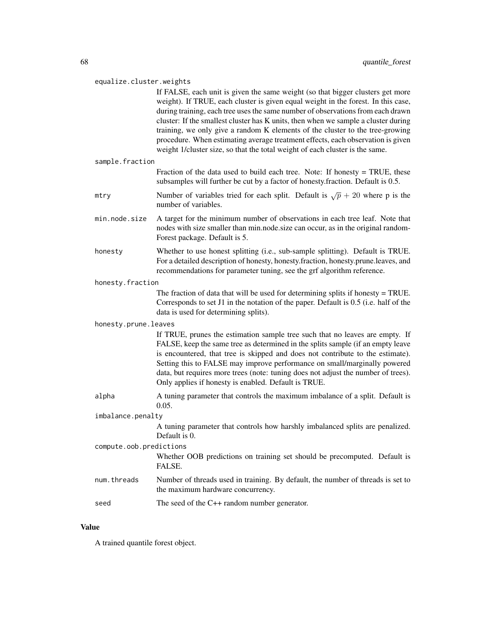#### equalize.cluster.weights

If FALSE, each unit is given the same weight (so that bigger clusters get more weight). If TRUE, each cluster is given equal weight in the forest. In this case, during training, each tree uses the same number of observations from each drawn cluster: If the smallest cluster has K units, then when we sample a cluster during training, we only give a random K elements of the cluster to the tree-growing procedure. When estimating average treatment effects, each observation is given weight 1/cluster size, so that the total weight of each cluster is the same.

#### sample.fraction

|  |  |  |  | Fraction of the data used to build each tree. Note: If honesty = TRUE, these    |  |
|--|--|--|--|---------------------------------------------------------------------------------|--|
|  |  |  |  | subsamples will further be cut by a factor of honesty.fraction. Default is 0.5. |  |

- mtry Number of variables tried for each split. Default is  $\sqrt{p} + 20$  where p is the number of variables.
- min.node.size A target for the minimum number of observations in each tree leaf. Note that nodes with size smaller than min.node.size can occur, as in the original random-Forest package. Default is 5.
- honesty Whether to use honest splitting (i.e., sub-sample splitting). Default is TRUE. For a detailed description of honesty, honesty.fraction, honesty.prune.leaves, and recommendations for parameter tuning, see the grf algorithm reference.

#### honesty.fraction

The fraction of data that will be used for determining splits if honesty = TRUE. Corresponds to set J1 in the notation of the paper. Default is 0.5 (i.e. half of the data is used for determining splits).

#### honesty.prune.leaves

If TRUE, prunes the estimation sample tree such that no leaves are empty. If FALSE, keep the same tree as determined in the splits sample (if an empty leave is encountered, that tree is skipped and does not contribute to the estimate). Setting this to FALSE may improve performance on small/marginally powered data, but requires more trees (note: tuning does not adjust the number of trees). Only applies if honesty is enabled. Default is TRUE.

alpha A tuning parameter that controls the maximum imbalance of a split. Default is 0.05.

#### imbalance.penalty

A tuning parameter that controls how harshly imbalanced splits are penalized. Default is 0.

# compute.oob.predictions

Whether OOB predictions on training set should be precomputed. Default is FALSE.

- num. threads Number of threads used in training. By default, the number of threads is set to the maximum hardware concurrency.
- seed The seed of the C++ random number generator.

#### Value

A trained quantile forest object.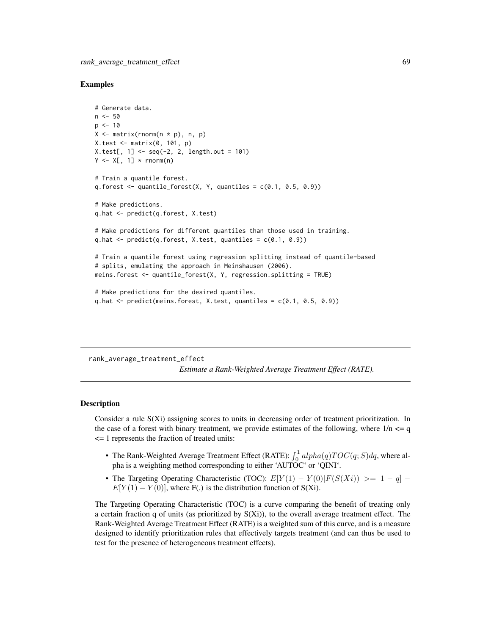#### Examples

```
# Generate data.
n < -50p \le -10X \leftarrow matrix(rnorm(n * p), n, p)X.test <- matrix(0, 101, p)
X.test[, 1] < -seq(-2, 2, length.out = 101)Y \leq X[, 1] * rnorm(n)# Train a quantile forest.
q.forest \leq quantile_forest(X, Y, quantiles = c(0.1, 0.5, 0.9))
# Make predictions.
q.hat <- predict(q.forest, X.test)
# Make predictions for different quantiles than those used in training.
q.hat \leq predict(q.forest, X.test, quantiles = c(0.1, 0.9))
# Train a quantile forest using regression splitting instead of quantile-based
# splits, emulating the approach in Meinshausen (2006).
meins.forest <- quantile_forest(X, Y, regression.splitting = TRUE)
# Make predictions for the desired quantiles.
q.hat \leq predict(meins.forest, X.test, quantiles = c(0.1, 0.5, 0.9))
```
rank\_average\_treatment\_effect

*Estimate a Rank-Weighted Average Treatment Effect (RATE).*

#### Description

Consider a rule S(Xi) assigning scores to units in decreasing order of treatment prioritization. In the case of a forest with binary treatment, we provide estimates of the following, where  $1/n \leq q$ <= 1 represents the fraction of treated units:

- The Rank-Weighted Average Treatment Effect (RATE):  $\int_0^1 alpha(q)TOC(q; S)dq$ , where alpha is a weighting method corresponding to either 'AUTOC' or 'QINI'.
- The Targeting Operating Characteristic (TOC):  $E[Y(1) Y(0)|F(S(Xi)) >= 1 q]$  $E[Y(1) - Y(0)]$ , where F(.) is the distribution function of S(Xi).

The Targeting Operating Characteristic (TOC) is a curve comparing the benefit of treating only a certain fraction q of units (as prioritized by  $S(Xi)$ ), to the overall average treatment effect. The Rank-Weighted Average Treatment Effect (RATE) is a weighted sum of this curve, and is a measure designed to identify prioritization rules that effectively targets treatment (and can thus be used to test for the presence of heterogeneous treatment effects).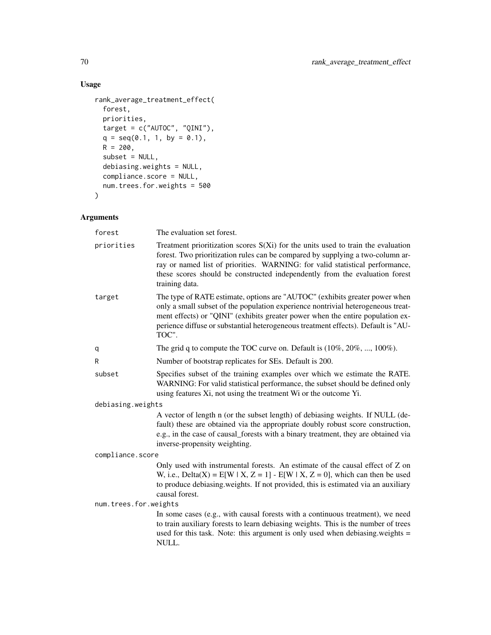## Usage

```
rank_average_treatment_effect(
 forest,
 priorities,
 target = c("AUTOC", "QINI"),q = seq(0.1, 1, by = 0.1),R = 200,subset = NULL,
 debiasing.weights = NULL,
 compliance.score = NULL,
 num.trees.for.weights = 500
\mathcal{L}
```

| forest                | The evaluation set forest.                                                                                                                                                                                                                                                                                                                             |  |  |  |  |
|-----------------------|--------------------------------------------------------------------------------------------------------------------------------------------------------------------------------------------------------------------------------------------------------------------------------------------------------------------------------------------------------|--|--|--|--|
| priorities            | Treatment prioritization scores $S(X_i)$ for the units used to train the evaluation<br>forest. Two prioritization rules can be compared by supplying a two-column ar-<br>ray or named list of priorities. WARNING: for valid statistical performance,<br>these scores should be constructed independently from the evaluation forest<br>training data. |  |  |  |  |
| target                | The type of RATE estimate, options are "AUTOC" (exhibits greater power when<br>only a small subset of the population experience nontrivial heterogeneous treat-<br>ment effects) or "QINI" (exhibits greater power when the entire population ex-<br>perience diffuse or substantial heterogeneous treatment effects). Default is "AU-<br>TOC".        |  |  |  |  |
| q                     | The grid q to compute the TOC curve on. Default is $(10\%, 20\%, , 100\%).$                                                                                                                                                                                                                                                                            |  |  |  |  |
| R                     | Number of bootstrap replicates for SEs. Default is 200.                                                                                                                                                                                                                                                                                                |  |  |  |  |
| subset                | Specifies subset of the training examples over which we estimate the RATE.<br>WARNING: For valid statistical performance, the subset should be defined only<br>using features Xi, not using the treatment Wi or the outcome Yi.                                                                                                                        |  |  |  |  |
| debiasing.weights     |                                                                                                                                                                                                                                                                                                                                                        |  |  |  |  |
|                       | A vector of length n (or the subset length) of debiasing weights. If NULL (de-<br>fault) these are obtained via the appropriate doubly robust score construction,<br>e.g., in the case of causal_forests with a binary treatment, they are obtained via<br>inverse-propensity weighting.                                                               |  |  |  |  |
| compliance.score      |                                                                                                                                                                                                                                                                                                                                                        |  |  |  |  |
|                       | Only used with instrumental forests. An estimate of the causal effect of Z on<br>W, i.e., Delta(X) = $E[W \mid X, Z = 1] - E[W \mid X, Z = 0]$ , which can then be used<br>to produce debiasing weights. If not provided, this is estimated via an auxiliary<br>causal forest.                                                                         |  |  |  |  |
| num.trees.for.weights |                                                                                                                                                                                                                                                                                                                                                        |  |  |  |  |
|                       | In some cases (e.g., with causal forests with a continuous treatment), we need<br>to train auxiliary forests to learn debiasing weights. This is the number of trees<br>used for this task. Note: this argument is only used when debiasing weights =<br>NULL.                                                                                         |  |  |  |  |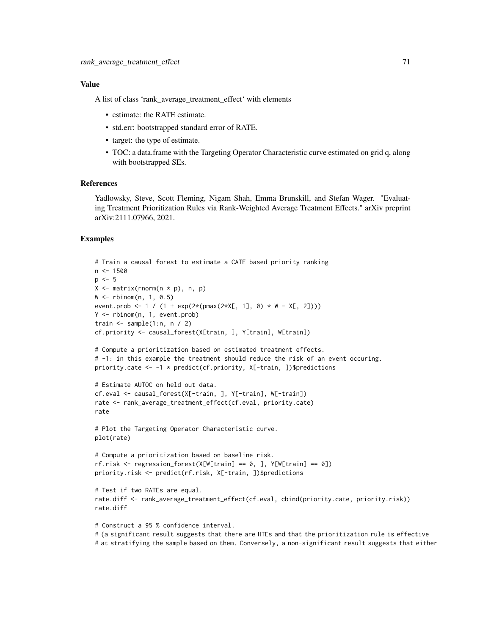## Value

A list of class 'rank average treatment effect' with elements

- estimate: the RATE estimate.
- std.err: bootstrapped standard error of RATE.
- target: the type of estimate.
- TOC: a data.frame with the Targeting Operator Characteristic curve estimated on grid q, along with bootstrapped SEs.

#### References

Yadlowsky, Steve, Scott Fleming, Nigam Shah, Emma Brunskill, and Stefan Wager. "Evaluating Treatment Prioritization Rules via Rank-Weighted Average Treatment Effects." arXiv preprint arXiv:2111.07966, 2021.

```
# Train a causal forest to estimate a CATE based priority ranking
n < -1500p \le -5X \leq - matrix(rnorm(n \times p), n, p)
W <- rbinom(n, 1, 0.5)
event.prob <- 1 / (1 + \exp(2*(p\max(2*X[, 1], 0) * W - X[, 2]))Y <- rbinom(n, 1, event.prob)
train \leq sample(1:n, n / 2)
cf.priority <- causal_forest(X[train, ], Y[train], W[train])
# Compute a prioritization based on estimated treatment effects.
# -1: in this example the treatment should reduce the risk of an event occuring.
priority.cate <- -1 * predict(cf.priority, X[-train, ])$predictions
# Estimate AUTOC on held out data.
cf.eval <- causal_forest(X[-train, ], Y[-train], W[-train])
rate <- rank_average_treatment_effect(cf.eval, priority.cate)
rate
# Plot the Targeting Operator Characteristic curve.
plot(rate)
# Compute a prioritization based on baseline risk.
rf. risk \leq regression_fonest(X[W[train] == 0, ], Y[W[train] == 0])priority.risk <- predict(rf.risk, X[-train, ])$predictions
# Test if two RATEs are equal.
rate.diff <- rank_average_treatment_effect(cf.eval, cbind(priority.cate, priority.risk))
rate.diff
# Construct a 95 % confidence interval.
# (a significant result suggests that there are HTEs and that the prioritization rule is effective
# at stratifying the sample based on them. Conversely, a non-significant result suggests that either
```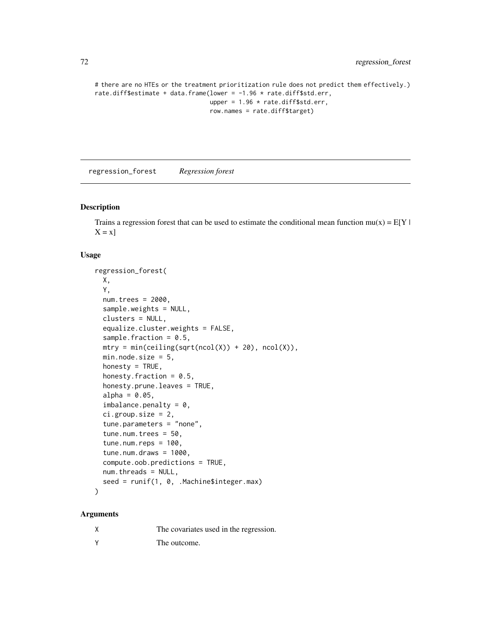```
# there are no HTEs or the treatment prioritization rule does not predict them effectively.)
rate.diff$estimate + data.frame(lower = -1.96 * rate.diff$std.err,
                                upper = 1.96 * rate.diff$std.err,row.names = rate.diff$target)
```
regression\_forest *Regression forest*

### Description

Trains a regression forest that can be used to estimate the conditional mean function  $mu(x) = E[Y|$  $X = x$ ]

#### Usage

```
regression_forest(
 X,
 Y,
  num.trees = 2000,
  sample.weights = NULL,
  clusters = NULL,
  equalize.cluster.weights = FALSE,
  sample.fraction = 0.5,
 mtry = min(ceiling(sqrt(ncol(X)) + 20), ncol(X)),min.node.size = 5,
  honesty = TRUE,
  honesty. fraction = 0.5,
  honesty.prune.leaves = TRUE,
  alpha = 0.05,
  imbalance.penalty = 0,ci.group.size = 2,
  tune.parameters = "none",
  tune.num.trees = 50,
  tune.num.reps = 100,
  tune.num.draws = 1000,
  compute.oob.predictions = TRUE,
 num.threads = NULL,
  seed = runif(1, 0, .Machine$integer.max)
\lambda
```

|   | The covariates used in the regression. |
|---|----------------------------------------|
| v | The outcome.                           |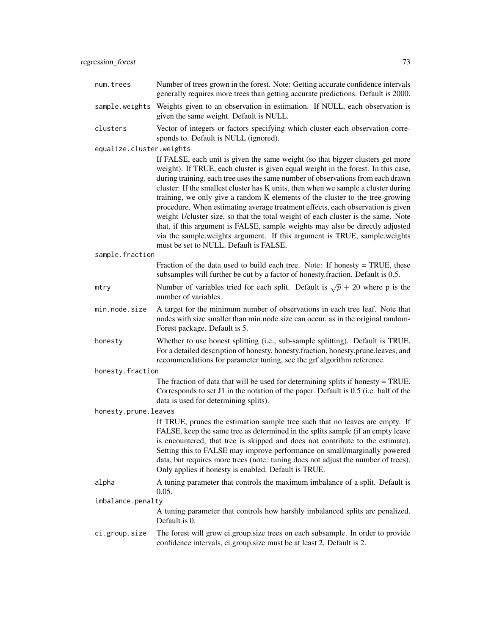| num.trees                | Number of trees grown in the forest. Note: Getting accurate confidence intervals<br>generally requires more trees than getting accurate predictions. Default is 2000.                                                                                                                                                                                                                                                                                                                                                                                                                                                                                                                                                                                                                                         |
|--------------------------|---------------------------------------------------------------------------------------------------------------------------------------------------------------------------------------------------------------------------------------------------------------------------------------------------------------------------------------------------------------------------------------------------------------------------------------------------------------------------------------------------------------------------------------------------------------------------------------------------------------------------------------------------------------------------------------------------------------------------------------------------------------------------------------------------------------|
| sample.weights           | Weights given to an observation in estimation. If NULL, each observation is<br>given the same weight. Default is NULL.                                                                                                                                                                                                                                                                                                                                                                                                                                                                                                                                                                                                                                                                                        |
| clusters                 | Vector of integers or factors specifying which cluster each observation corre-<br>sponds to. Default is NULL (ignored).                                                                                                                                                                                                                                                                                                                                                                                                                                                                                                                                                                                                                                                                                       |
| equalize.cluster.weights |                                                                                                                                                                                                                                                                                                                                                                                                                                                                                                                                                                                                                                                                                                                                                                                                               |
|                          | If FALSE, each unit is given the same weight (so that bigger clusters get more<br>weight). If TRUE, each cluster is given equal weight in the forest. In this case,<br>during training, each tree uses the same number of observations from each drawn<br>cluster: If the smallest cluster has K units, then when we sample a cluster during<br>training, we only give a random K elements of the cluster to the tree-growing<br>procedure. When estimating average treatment effects, each observation is given<br>weight 1/cluster size, so that the total weight of each cluster is the same. Note<br>that, if this argument is FALSE, sample weights may also be directly adjusted<br>via the sample.weights argument. If this argument is TRUE, sample.weights<br>must be set to NULL. Default is FALSE. |
| sample.fraction          |                                                                                                                                                                                                                                                                                                                                                                                                                                                                                                                                                                                                                                                                                                                                                                                                               |
|                          | Fraction of the data used to build each tree. Note: If honesty $=$ TRUE, these<br>subsamples will further be cut by a factor of honesty. fraction. Default is 0.5.                                                                                                                                                                                                                                                                                                                                                                                                                                                                                                                                                                                                                                            |
| mtry                     | Number of variables tried for each split. Default is $\sqrt{p} + 20$ where p is the<br>number of variables.                                                                                                                                                                                                                                                                                                                                                                                                                                                                                                                                                                                                                                                                                                   |
| min.node.size            | A target for the minimum number of observations in each tree leaf. Note that<br>nodes with size smaller than min.node.size can occur, as in the original random-<br>Forest package. Default is 5.                                                                                                                                                                                                                                                                                                                                                                                                                                                                                                                                                                                                             |
| honesty                  | Whether to use honest splitting (i.e., sub-sample splitting). Default is TRUE.<br>For a detailed description of honesty, honesty.fraction, honesty.prune.leaves, and<br>recommendations for parameter tuning, see the grf algorithm reference.                                                                                                                                                                                                                                                                                                                                                                                                                                                                                                                                                                |
| honesty.fraction         |                                                                                                                                                                                                                                                                                                                                                                                                                                                                                                                                                                                                                                                                                                                                                                                                               |
|                          | The fraction of data that will be used for determining splits if honesty $=$ TRUE.<br>Corresponds to set J1 in the notation of the paper. Default is 0.5 (i.e. half of the<br>data is used for determining splits).                                                                                                                                                                                                                                                                                                                                                                                                                                                                                                                                                                                           |
| honesty.prune.leaves     |                                                                                                                                                                                                                                                                                                                                                                                                                                                                                                                                                                                                                                                                                                                                                                                                               |
|                          | If TRUE, prunes the estimation sample tree such that no leaves are empty. If<br>FALSE, keep the same tree as determined in the splits sample (if an empty leave<br>is encountered, that tree is skipped and does not contribute to the estimate).<br>Setting this to FALSE may improve performance on small/marginally powered<br>data, but requires more trees (note: tuning does not adjust the number of trees).<br>Only applies if honesty is enabled. Default is TRUE.                                                                                                                                                                                                                                                                                                                                   |
| alpha                    | A tuning parameter that controls the maximum imbalance of a split. Default is<br>0.05.                                                                                                                                                                                                                                                                                                                                                                                                                                                                                                                                                                                                                                                                                                                        |
| imbalance.penalty        |                                                                                                                                                                                                                                                                                                                                                                                                                                                                                                                                                                                                                                                                                                                                                                                                               |
|                          | A tuning parameter that controls how harshly imbalanced splits are penalized.<br>Default is 0.                                                                                                                                                                                                                                                                                                                                                                                                                                                                                                                                                                                                                                                                                                                |
| ci.group.size            | The forest will grow ci.group.size trees on each subsample. In order to provide<br>confidence intervals, ci.group.size must be at least 2. Default is 2.                                                                                                                                                                                                                                                                                                                                                                                                                                                                                                                                                                                                                                                      |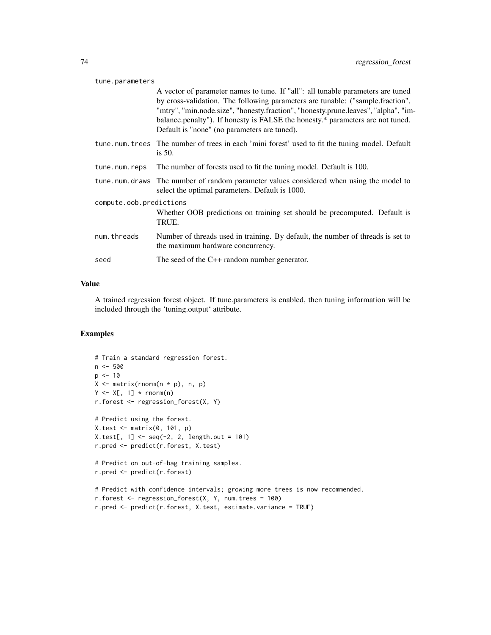#### tune.parameters

A vector of parameter names to tune. If "all": all tunable parameters are tuned by cross-validation. The following parameters are tunable: ("sample.fraction", "mtry", "min.node.size", "honesty.fraction", "honesty.prune.leaves", "alpha", "imbalance.penalty"). If honesty is FALSE the honesty.\* parameters are not tuned. Default is "none" (no parameters are tuned).

- tune.num.trees The number of trees in each 'mini forest' used to fit the tuning model. Default is 50.
- tune.num.reps The number of forests used to fit the tuning model. Default is 100.
- tune.num.draws The number of random parameter values considered when using the model to select the optimal parameters. Default is 1000.

compute.oob.predictions

|             | Whether OOB predictions on training set should be precomputed. Default is<br>TRUE.                                   |
|-------------|----------------------------------------------------------------------------------------------------------------------|
| num.threads | Number of threads used in training. By default, the number of threads is set to<br>the maximum hardware concurrency. |

```
seed The seed of the C++ random number generator.
```
#### Value

A trained regression forest object. If tune.parameters is enabled, then tuning information will be included through the 'tuning.output' attribute.

#### Examples

```
# Train a standard regression forest.
n < -500p \le -10X \leftarrow matrix(rnorm(n * p), n, p)Y \leftarrow X[, 1] * rnorm(n)r.forest <- regression_forest(X, Y)
# Predict using the forest.
X.test <- matrix(0, 101, p)
X.test[, 1] < -seq(-2, 2, length.out = 101)r.pred <- predict(r.forest, X.test)
# Predict on out-of-bag training samples.
r.pred <- predict(r.forest)
# Predict with confidence intervals; growing more trees is now recommended.
r.forest <- regression_forest(X, Y, num.trees = 100)
r.pred <- predict(r.forest, X.test, estimate.variance = TRUE)
```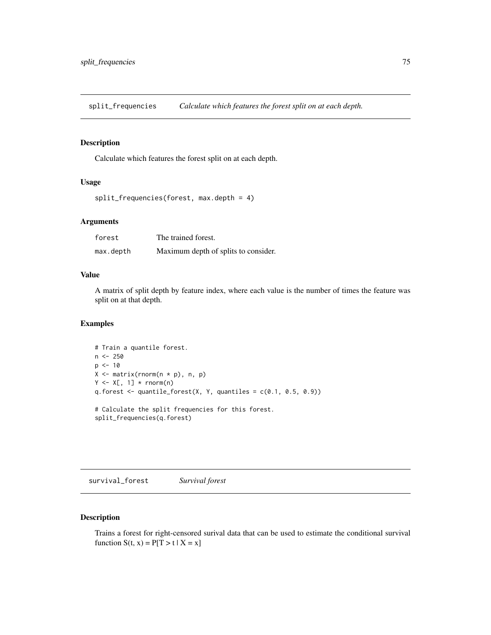<span id="page-74-0"></span>split\_frequencies *Calculate which features the forest split on at each depth.*

#### Description

Calculate which features the forest split on at each depth.

#### Usage

```
split_frequencies(forest, max.depth = 4)
```
#### Arguments

| forest    | The trained forest.                  |
|-----------|--------------------------------------|
| max.depth | Maximum depth of splits to consider. |

#### Value

A matrix of split depth by feature index, where each value is the number of times the feature was split on at that depth.

#### Examples

```
# Train a quantile forest.
n < -250p \le -10X \leftarrow matrix(rnorm(n * p), n, p)Y \leftarrow X[, 1] * rnorm(n)q.forest \leq quantile_forest(X, Y, quantiles = c(0.1, 0.5, 0.9))
# Calculate the split frequencies for this forest.
split_frequencies(q.forest)
```
survival\_forest *Survival forest*

### Description

Trains a forest for right-censored surival data that can be used to estimate the conditional survival function  $S(t, x) = P[T > t | X = x]$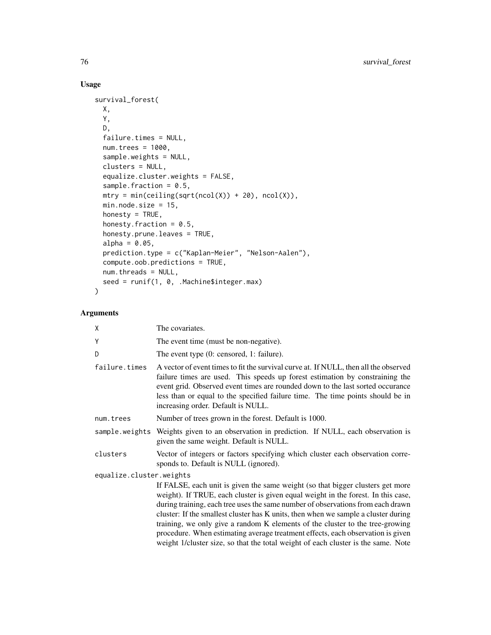# Usage

```
survival_forest(
 X,
 Y,
 D,
 failure.times = NULL,
 num.trees = 1000,
  sample.weights = NULL,
 clusters = NULL,
 equalize.cluster.weights = FALSE,
  sample.fraction = 0.5,
 mtry = min(ceiling(sqrt(ncol(X)) + 20), ncol(X)),min.node.size = 15,
 honesty = TRUE,
 honesty.fraction = 0.5,
 honesty.prune.leaves = TRUE,
  alpha = 0.05,
 prediction.type = c("Kaplan-Meier", "Nelson-Aalen"),
  compute.oob.predictions = TRUE,
 num.threads = NULL,
 seed = runif(1, 0, .Machine$integer.max)
\mathcal{L}
```
# Arguments

| χ                        | The covariates.                                                                                                                                                                                                                                                                                                                                                                                                                                                                                                                                                                                       |
|--------------------------|-------------------------------------------------------------------------------------------------------------------------------------------------------------------------------------------------------------------------------------------------------------------------------------------------------------------------------------------------------------------------------------------------------------------------------------------------------------------------------------------------------------------------------------------------------------------------------------------------------|
| Ý                        | The event time (must be non-negative).                                                                                                                                                                                                                                                                                                                                                                                                                                                                                                                                                                |
| D                        | The event type (0: censored, 1: failure).                                                                                                                                                                                                                                                                                                                                                                                                                                                                                                                                                             |
| failure.times            | A vector of event times to fit the survival curve at. If NULL, then all the observed<br>failure times are used. This speeds up forest estimation by constraining the<br>event grid. Observed event times are rounded down to the last sorted occurance<br>less than or equal to the specified failure time. The time points should be in<br>increasing order. Default is NULL.                                                                                                                                                                                                                        |
| num.trees                | Number of trees grown in the forest. Default is 1000.                                                                                                                                                                                                                                                                                                                                                                                                                                                                                                                                                 |
|                          | sample weights Weights given to an observation in prediction. If NULL, each observation is<br>given the same weight. Default is NULL.                                                                                                                                                                                                                                                                                                                                                                                                                                                                 |
| clusters                 | Vector of integers or factors specifying which cluster each observation corre-<br>sponds to. Default is NULL (ignored).                                                                                                                                                                                                                                                                                                                                                                                                                                                                               |
| equalize.cluster.weights |                                                                                                                                                                                                                                                                                                                                                                                                                                                                                                                                                                                                       |
|                          | If FALSE, each unit is given the same weight (so that bigger clusters get more<br>weight). If TRUE, each cluster is given equal weight in the forest. In this case,<br>during training, each tree uses the same number of observations from each drawn<br>cluster: If the smallest cluster has K units, then when we sample a cluster during<br>training, we only give a random K elements of the cluster to the tree-growing<br>procedure. When estimating average treatment effects, each observation is given<br>weight 1/cluster size, so that the total weight of each cluster is the same. Note |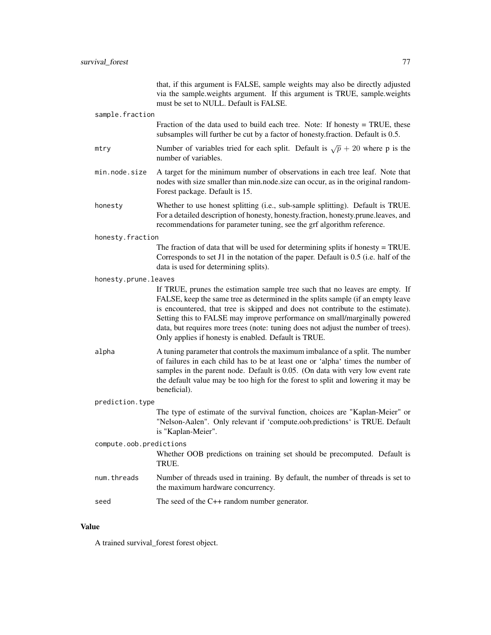|                         | that, if this argument is FALSE, sample weights may also be directly adjusted<br>via the sample.weights argument. If this argument is TRUE, sample.weights<br>must be set to NULL. Default is FALSE.                                                                                                                                                                                                                                                                        |
|-------------------------|-----------------------------------------------------------------------------------------------------------------------------------------------------------------------------------------------------------------------------------------------------------------------------------------------------------------------------------------------------------------------------------------------------------------------------------------------------------------------------|
| sample.fraction         |                                                                                                                                                                                                                                                                                                                                                                                                                                                                             |
|                         | Fraction of the data used to build each tree. Note: If honesty $=$ TRUE, these<br>subsamples will further be cut by a factor of honesty. fraction. Default is 0.5.                                                                                                                                                                                                                                                                                                          |
| mtry                    | Number of variables tried for each split. Default is $\sqrt{p} + 20$ where p is the<br>number of variables.                                                                                                                                                                                                                                                                                                                                                                 |
| min.node.size           | A target for the minimum number of observations in each tree leaf. Note that<br>nodes with size smaller than min.node.size can occur, as in the original random-<br>Forest package. Default is 15.                                                                                                                                                                                                                                                                          |
| honesty                 | Whether to use honest splitting (i.e., sub-sample splitting). Default is TRUE.<br>For a detailed description of honesty, honesty.fraction, honesty.prune.leaves, and<br>recommendations for parameter tuning, see the grf algorithm reference.                                                                                                                                                                                                                              |
| honesty.fraction        |                                                                                                                                                                                                                                                                                                                                                                                                                                                                             |
|                         | The fraction of data that will be used for determining splits if honesty = TRUE.<br>Corresponds to set J1 in the notation of the paper. Default is 0.5 (i.e. half of the<br>data is used for determining splits).                                                                                                                                                                                                                                                           |
| honesty.prune.leaves    |                                                                                                                                                                                                                                                                                                                                                                                                                                                                             |
|                         | If TRUE, prunes the estimation sample tree such that no leaves are empty. If<br>FALSE, keep the same tree as determined in the splits sample (if an empty leave<br>is encountered, that tree is skipped and does not contribute to the estimate).<br>Setting this to FALSE may improve performance on small/marginally powered<br>data, but requires more trees (note: tuning does not adjust the number of trees).<br>Only applies if honesty is enabled. Default is TRUE. |
| alpha                   | A tuning parameter that controls the maximum imbalance of a split. The number<br>of failures in each child has to be at least one or 'alpha' times the number of<br>samples in the parent node. Default is 0.05. (On data with very low event rate<br>the default value may be too high for the forest to split and lowering it may be<br>beneficial).                                                                                                                      |
| prediction.type         |                                                                                                                                                                                                                                                                                                                                                                                                                                                                             |
|                         | The type of estimate of the survival function, choices are "Kaplan-Meier" or<br>"Nelson-Aalen". Only relevant if 'compute.oob.predictions' is TRUE. Default<br>is "Kaplan-Meier".                                                                                                                                                                                                                                                                                           |
| compute.oob.predictions |                                                                                                                                                                                                                                                                                                                                                                                                                                                                             |
|                         | Whether OOB predictions on training set should be precomputed. Default is<br>TRUE.                                                                                                                                                                                                                                                                                                                                                                                          |
| num.threads             | Number of threads used in training. By default, the number of threads is set to<br>the maximum hardware concurrency.                                                                                                                                                                                                                                                                                                                                                        |
| seed                    | The seed of the $C++$ random number generator.                                                                                                                                                                                                                                                                                                                                                                                                                              |
|                         |                                                                                                                                                                                                                                                                                                                                                                                                                                                                             |

# Value

A trained survival\_forest forest object.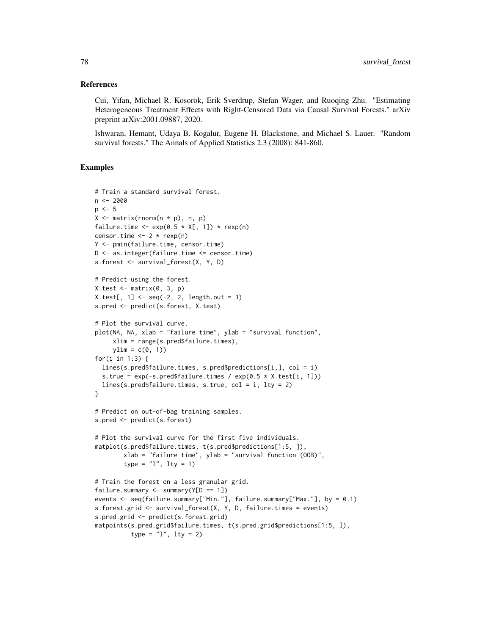#### References

Cui, Yifan, Michael R. Kosorok, Erik Sverdrup, Stefan Wager, and Ruoqing Zhu. "Estimating Heterogeneous Treatment Effects with Right-Censored Data via Causal Survival Forests." arXiv preprint arXiv:2001.09887, 2020.

Ishwaran, Hemant, Udaya B. Kogalur, Eugene H. Blackstone, and Michael S. Lauer. "Random survival forests." The Annals of Applied Statistics 2.3 (2008): 841-860.

#### Examples

```
# Train a standard survival forest.
n < -2000p \le -5X \leq - matrix(rnorm(n \times p), n, p)
failure.time \leq -\exp(0.5 \times X[, 1]) \times \exp(n)censor.time <- 2 * \text{rexp}(n)Y <- pmin(failure.time, censor.time)
D <- as.integer(failure.time <= censor.time)
s.forest <- survival_forest(X, Y, D)
# Predict using the forest.
X.test \leftarrow matrix(0, 3, p)X.test[, 1] \leq seq(-2, 2, length.out = 3)s.pred <- predict(s.forest, X.test)
# Plot the survival curve.
plot(NA, NA, xlab = "failure time", ylab = "survival function",
     xlim = range(s.pred$failure.times),
     ylim = c(0, 1)for(i in 1:3) {
  lines(s.pred$failure.times, s.pred$predictions[i,], col = i)
  s.true = exp(-s.pred$failure.times / exp(0.5 * X.test[i, 1]))lines(s.pred$failure.times, s.true, col = i, lty = 2)
}
# Predict on out-of-bag training samples.
s.pred <- predict(s.forest)
# Plot the survival curve for the first five individuals.
matplot(s.pred$failure.times, t(s.pred$predictions[1:5, ]),
        xlab = "failure time", ylab = "survival function (OOB)",
        type = "1", lty = 1)
# Train the forest on a less granular grid.
failure.summary \leq summary(Y[D == 1])
events <- seq(failure.summary["Min."], failure.summary["Max."], by = 0.1)
s.forest.grid <- survival_forest(X, Y, D, failure.times = events)
s.pred.grid <- predict(s.forest.grid)
matpoints(s.pred.grid$failure.times, t(s.pred.grid$predictions[1:5, ]),
          type = "1", 1ty = 2)
```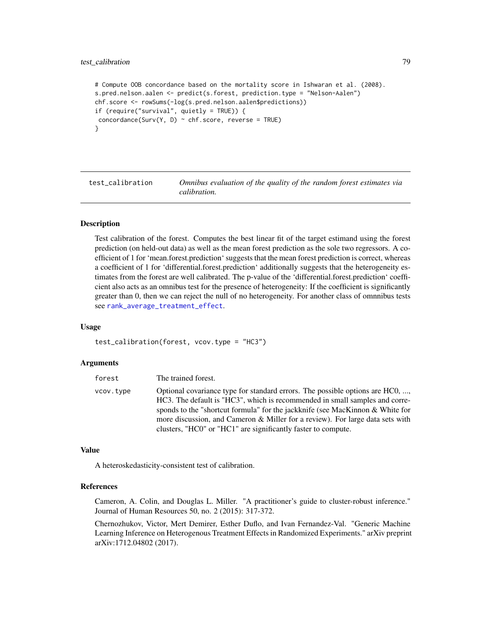### <span id="page-78-0"></span>test\_calibration 79

```
# Compute OOB concordance based on the mortality score in Ishwaran et al. (2008).
s.pred.nelson.aalen <- predict(s.forest, prediction.type = "Nelson-Aalen")
chf.score <- rowSums(-log(s.pred.nelson.aalen$predictions))
if (require("survival", quietly = TRUE)) {
concordance(Surv(Y, D) \sim chf.score, reverse = TRUE)
}
```
test\_calibration *Omnibus evaluation of the quality of the random forest estimates via calibration.*

#### Description

Test calibration of the forest. Computes the best linear fit of the target estimand using the forest prediction (on held-out data) as well as the mean forest prediction as the sole two regressors. A coefficient of 1 for 'mean.forest.prediction' suggests that the mean forest prediction is correct, whereas a coefficient of 1 for 'differential.forest.prediction' additionally suggests that the heterogeneity estimates from the forest are well calibrated. The p-value of the 'differential.forest.prediction' coefficient also acts as an omnibus test for the presence of heterogeneity: If the coefficient is significantly greater than 0, then we can reject the null of no heterogeneity. For another class of omnnibus tests see [rank\\_average\\_treatment\\_effect](#page-68-0).

#### Usage

```
test_calibration(forest, vcov.type = "HC3")
```
#### Arguments

| forest    | The trained forest.                                                                                                                                                                                                                                                                                                                                                                             |
|-----------|-------------------------------------------------------------------------------------------------------------------------------------------------------------------------------------------------------------------------------------------------------------------------------------------------------------------------------------------------------------------------------------------------|
| vcov.tvpe | Optional covariance type for standard errors. The possible options are HC0, ,<br>HC3. The default is "HC3", which is recommended in small samples and corre-<br>sponds to the "shortcut formula" for the jackknife (see MacKinnon & White for<br>more discussion, and Cameron & Miller for a review). For large data sets with<br>clusters, "HC0" or "HC1" are significantly faster to compute. |

#### Value

A heteroskedasticity-consistent test of calibration.

#### References

Cameron, A. Colin, and Douglas L. Miller. "A practitioner's guide to cluster-robust inference." Journal of Human Resources 50, no. 2 (2015): 317-372.

Chernozhukov, Victor, Mert Demirer, Esther Duflo, and Ivan Fernandez-Val. "Generic Machine Learning Inference on Heterogenous Treatment Effects in Randomized Experiments." arXiv preprint arXiv:1712.04802 (2017).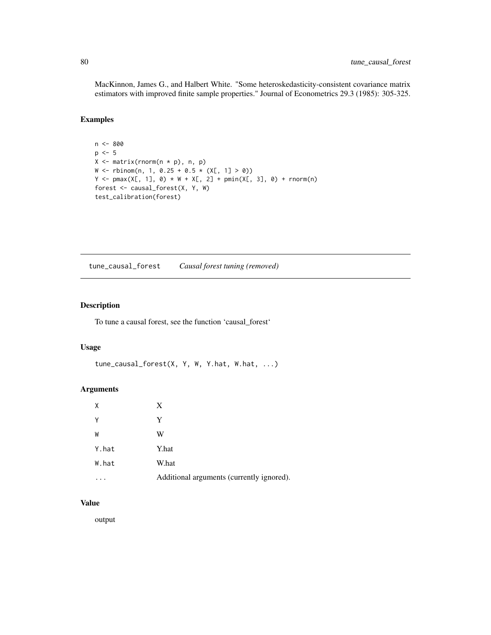<span id="page-79-0"></span>MacKinnon, James G., and Halbert White. "Some heteroskedasticity-consistent covariance matrix estimators with improved finite sample properties." Journal of Econometrics 29.3 (1985): 305-325.

#### Examples

```
n <- 800
p \le -5X \leftarrow matrix(rnorm(n * p), n, p)W \leftarrow \text{rbinom}(n, 1, 0.25 + 0.5 \times (X[, 1] > 0))Y \le - pmax(X[, 1], 0) * W + X[, 2] + pmin(X[, 3], 0) + rnorm(n)
forest <- causal_forest(X, Y, W)
test_calibration(forest)
```
tune\_causal\_forest *Causal forest tuning (removed)*

#### Description

To tune a causal forest, see the function 'causal\_forest'

#### Usage

```
tune_causal_forest(X, Y, W, Y.hat, W.hat, ...)
```
#### Arguments

| X     | X                                         |
|-------|-------------------------------------------|
| Υ     | Y                                         |
| W     | W                                         |
| Y.hat | Y.hat                                     |
| W.hat | W.hat                                     |
|       | Additional arguments (currently ignored). |

#### Value

output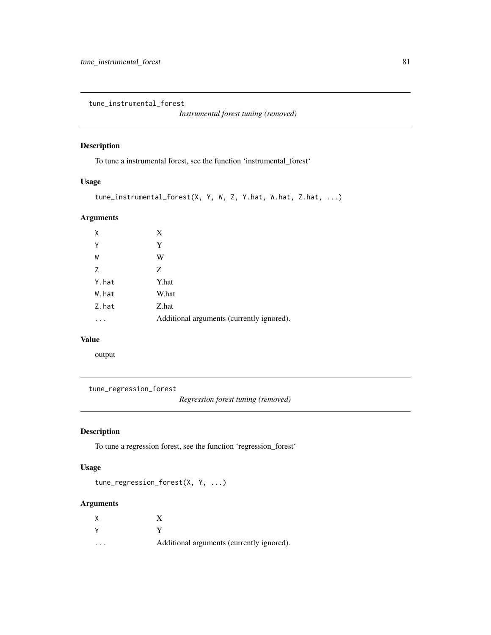<span id="page-80-0"></span>tune\_instrumental\_forest

*Instrumental forest tuning (removed)*

# Description

To tune a instrumental forest, see the function 'instrumental\_forest'

## Usage

```
tune_instrumental_forest(X, Y, W, Z, Y.hat, W.hat, Z.hat, ...)
```
## Arguments

| χ     | X                                         |
|-------|-------------------------------------------|
| Υ     | Y                                         |
| W     | W                                         |
| 7     | Z                                         |
| Y.hat | Y.hat                                     |
| W.hat | W.hat                                     |
| Z.hat | Z.hat                                     |
|       | Additional arguments (currently ignored). |

# Value

output

```
tune_regression_forest
```
*Regression forest tuning (removed)*

## Description

To tune a regression forest, see the function 'regression\_forest'

### Usage

```
tune_regression_forest(X, Y, ...)
```
# Arguments

| $\cdot$ $\cdot$ $\cdot$ | Additional arguments (currently ignored). |
|-------------------------|-------------------------------------------|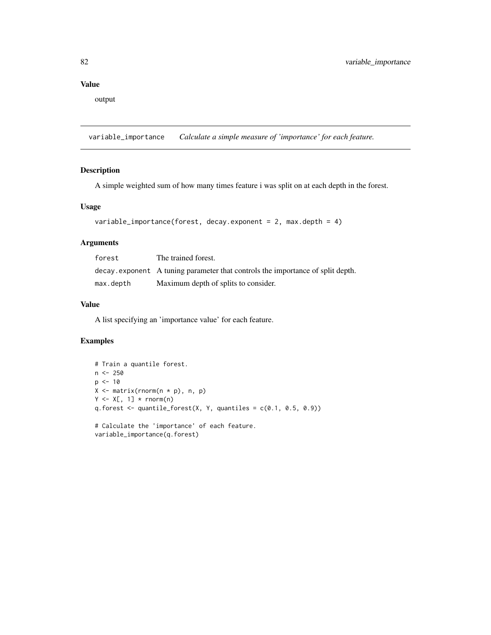## <span id="page-81-0"></span>Value

output

variable\_importance *Calculate a simple measure of 'importance' for each feature.*

## Description

A simple weighted sum of how many times feature i was split on at each depth in the forest.

#### Usage

```
variable_importance(forest, decay.exponent = 2, max.depth = 4)
```
# Arguments

| forest    | The trained forest.                                                            |
|-----------|--------------------------------------------------------------------------------|
|           | decay exponent A tuning parameter that controls the importance of split depth. |
| max.depth | Maximum depth of splits to consider.                                           |

### Value

A list specifying an 'importance value' for each feature.

## Examples

```
# Train a quantile forest.
n <- 250
p \le -10X \leftarrow matrix(rnorm(n * p), n, p)Y \leq X[, 1] * rnorm(n)q.forest \leq quantile_forest(X, Y, quantiles = c(0.1, 0.5, 0.9))
# Calculate the 'importance' of each feature.
variable_importance(q.forest)
```